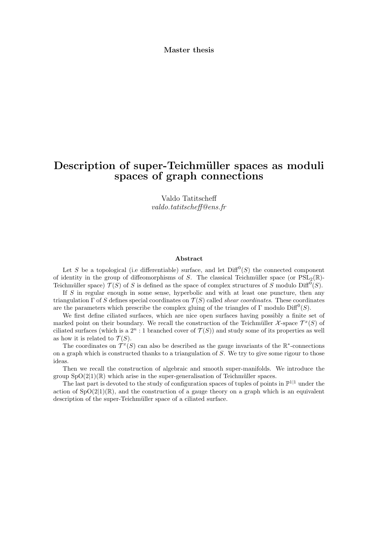Master thesis

# Description of super-Teichmüller spaces as moduli spaces of graph connections

Valdo Tatitscheff valdo.tatitscheff@ens.fr

#### Abstract

Let S be a topological (i.e differentiable) surface, and let  $\text{Diff}^0(S)$  the connected component of identity in the group of diffeomorphisms of S. The classical Teichmüller space (or  $PSL_2(\mathbb{R})$ -Teichmüller space)  $\mathcal{T}(S)$  of S is defined as the space of complex structures of S modulo Diff<sup>0</sup>(S).

If S in regular enough in some sense, hyperbolic and with at least one puncture, then any triangulation  $\Gamma$  of S defines special coordinates on  $\mathcal{T}(S)$  called *shear coordinates*. These coordinates are the parameters which prescribe the complex gluing of the triangles of  $\Gamma$  modulo  $\text{Diff}^0(S)$ .

We first define ciliated surfaces, which are nice open surfaces having possibly a finite set of marked point on their boundary. We recall the construction of the Teichmüller  $\mathcal{X}$ -space  $\mathcal{T}^x(S)$  of ciliated surfaces (which is a  $2^n$ : 1 branched cover of  $\mathcal{T}(S)$ ) and study some of its properties as well as how it is related to  $\mathcal{T}(S)$ .

The coordinates on  $\mathcal{T}^x(S)$  can also be described as the gauge invariants of the  $\mathbb{R}^*$ -connections on a graph which is constructed thanks to a triangulation of S. We try to give some rigour to those ideas.

Then we recall the construction of algebraic and smooth super-manifolds. We introduce the group  $SpO(2|1)(\mathbb{R})$  which arise in the super-generalisation of Teichmüller spaces.

The last part is devoted to the study of configuration spaces of tuples of points in  $\mathbb{P}^{1|1}$  under the action of  $SpO(2|1)(\mathbb{R})$ , and the construction of a gauge theory on a graph which is an equivalent description of the super-Teichmüller space of a ciliated surface.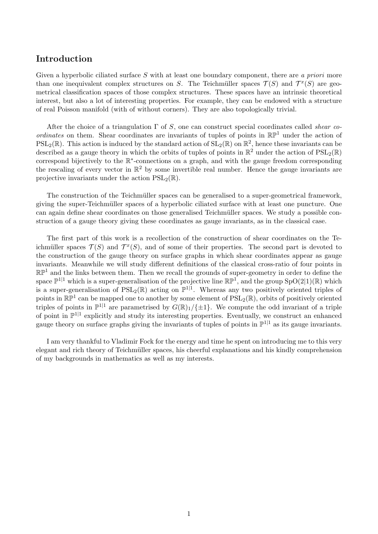## Introduction

Given a hyperbolic ciliated surface S with at least one boundary component, there are a priori more than one inequivalent complex structures on S. The Teichmüller spaces  $\mathcal{T}(S)$  and  $\mathcal{T}^x(S)$  are geometrical classification spaces of those complex structures. These spaces have an intrinsic theoretical interest, but also a lot of interesting properties. For example, they can be endowed with a structure of real Poisson manifold (with of without corners). They are also topologically trivial.

After the choice of a triangulation  $\Gamma$  of S, one can construct special coordinates called *shear co*ordinates on them. Shear coordinates are invariants of tuples of points in  $\mathbb{RP}^1$  under the action of  $PSL_2(\mathbb{R})$ . This action is induced by the standard action of  $SL_2(\mathbb{R})$  on  $\mathbb{R}^2$ , hence these invariants can be described as a gauge theory in which the orbits of tuples of points in  $\mathbb{R}^2$  under the action of  $PSL_2(\mathbb{R})$ correspond bijectively to the R ∗ -connections on a graph, and with the gauge freedom corresponding the rescaling of every vector in  $\mathbb{R}^2$  by some invertible real number. Hence the gauge invariants are projective invariants under the action  $PSL_2(\mathbb{R})$ .

The construction of the Teichmüller spaces can be generalised to a super-geometrical framework, giving the super-Teichmüller spaces of a hyperbolic ciliated surface with at least one puncture. One can again define shear coordinates on those generalised Teichmüller spaces. We study a possible construction of a gauge theory giving these coordinates as gauge invariants, as in the classical case.

The first part of this work is a recollection of the construction of shear coordinates on the Teichmüller spaces  $\mathcal{T}(S)$  and  $\mathcal{T}^x(S)$ , and of some of their properties. The second part is devoted to the construction of the gauge theory on surface graphs in which shear coordinates appear as gauge invariants. Meanwhile we will study different definitions of the classical cross-ratio of four points in  $\mathbb{RP}^1$  and the links between them. Then we recall the grounds of super-geometry in order to define the space  $\mathbb{P}^{1|1}$  which is a super-generalisation of the projective line  $\mathbb{RP}^1$ , and the group  $SpO(2|1)(\mathbb{R})$  which is a super-generalisation of  $PSL_2(\mathbb{R})$  acting on  $\mathbb{P}^{1|1}$ . Whereas any two positively oriented triples of points in  $\mathbb{RP}^1$  can be mapped one to another by some element of  $PSL_2(\mathbb{R})$ , orbits of positively oriented triples of points in  $\mathbb{P}^{1|1}$  are parametrised by  $G(\mathbb{R})_1/\{\pm 1\}$ . We compute the odd invariant of a triple of point in  $\mathbb{P}^{1|1}$  explicitly and study its interesting properties. Eventually, we construct an enhanced gauge theory on surface graphs giving the invariants of tuples of points in  $\mathbb{P}^{1|1}$  as its gauge invariants.

I am very thankful to Vladimir Fock for the energy and time he spent on introducing me to this very elegant and rich theory of Teichmüller spaces, his cheerful explanations and his kindly comprehension of my backgrounds in mathematics as well as my interests.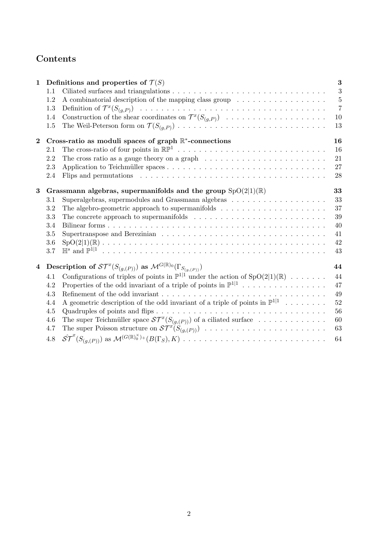# Contents

| $\mathbf{1}$            |                                                                   | Definitions and properties of $\mathcal{T}(S)$                                                                   |                |  |  |  |
|-------------------------|-------------------------------------------------------------------|------------------------------------------------------------------------------------------------------------------|----------------|--|--|--|
|                         | 1.1                                                               |                                                                                                                  | $\sqrt{3}$     |  |  |  |
|                         | 1.2                                                               | A combinatorial description of the mapping class group                                                           | $\overline{5}$ |  |  |  |
|                         | 1.3                                                               |                                                                                                                  | $\overline{7}$ |  |  |  |
|                         | 1.4                                                               | Construction of the shear coordinates on $\mathcal{T}^x(S_{(g,P)})$                                              | 10             |  |  |  |
|                         | 1.5                                                               |                                                                                                                  | 13             |  |  |  |
| $\bf{2}$                | Cross-ratio as moduli spaces of graph $\mathbb{R}^*$ -connections |                                                                                                                  |                |  |  |  |
|                         | 2.1                                                               |                                                                                                                  | 16             |  |  |  |
|                         | 2.2                                                               | The cross ratio as a gauge theory on a graph $\dots \dots \dots \dots \dots \dots \dots \dots \dots$             | 21             |  |  |  |
|                         | 2.3                                                               |                                                                                                                  | 27             |  |  |  |
|                         | 2.4                                                               |                                                                                                                  | 28             |  |  |  |
| 3                       |                                                                   | 33<br>Grassmann algebras, supermanifolds and the group $SpO(2 1)(\mathbb{R})$                                    |                |  |  |  |
|                         | 3.1                                                               | Superalgebras, supermodules and Grassmann algebras $\ldots \ldots \ldots \ldots \ldots \ldots$                   | 33             |  |  |  |
|                         | 3.2                                                               | The algebro-geometric approach to supermanifolds $\dots \dots \dots \dots \dots \dots \dots \dots$               | 37             |  |  |  |
|                         | 3.3                                                               | The concrete approach to supermanifolds $\dots \dots \dots \dots \dots \dots \dots \dots \dots \dots$            | 39             |  |  |  |
|                         | 3.4                                                               |                                                                                                                  | 40             |  |  |  |
|                         | 3.5                                                               |                                                                                                                  | 41             |  |  |  |
|                         | 3.6                                                               |                                                                                                                  | 42             |  |  |  |
|                         | 3.7                                                               |                                                                                                                  | 43             |  |  |  |
| $\overline{\mathbf{4}}$ |                                                                   | <b>Description of</b> $ST^x(S_{(g,(P))})$ as $\mathcal{M}^{G(\mathbb{R})}(T_{S_{(g,(P))}})$                      | 44             |  |  |  |
|                         | 4.1                                                               | Configurations of triples of points in $\mathbb{P}^{1 1}$ under the action of $SpO(2 1)(\mathbb{R}) \dots \dots$ | 44             |  |  |  |
|                         | 4.2                                                               | Properties of the odd invariant of a triple of points in $\mathbb{P}^{1 1}$                                      | 47             |  |  |  |
|                         | 4.3                                                               |                                                                                                                  | 49             |  |  |  |
|                         | 4.4                                                               | A geometric description of the odd invariant of a triple of points in $\mathbb{P}^{1 1}$                         | 52             |  |  |  |
|                         | 4.5                                                               |                                                                                                                  | 56             |  |  |  |
|                         | 4.6                                                               | The super Teichmüller space $\mathcal{ST}^x(S_{(g,(P))})$ of a ciliated surface                                  | 60             |  |  |  |
|                         | 4.7                                                               |                                                                                                                  | 63             |  |  |  |
|                         |                                                                   |                                                                                                                  |                |  |  |  |
|                         | 4.8                                                               |                                                                                                                  | 64             |  |  |  |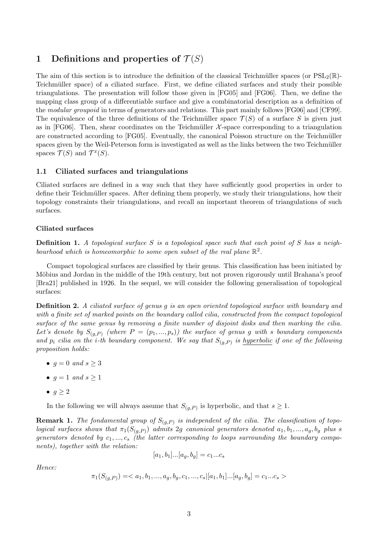# 1 Definitions and properties of  $\mathcal{T}(S)$

The aim of this section is to introduce the definition of the classical Teichmüller spaces (or  $PSL_2(\mathbb{R})$ -Teichmüller space) of a ciliated surface. First, we define ciliated surfaces and study their possible triangulations. The presentation will follow those given in [FG05] and [FG06]. Then, we define the mapping class group of a differentiable surface and give a combinatorial description as a definition of the modular groupoid in terms of generators and relations. This part mainly follows [FG06] and [CF99]. The equivalence of the three definitions of the Teichmüller space  $\mathcal{T}(S)$  of a surface S is given just as in [FG06]. Then, shear coordinates on the Teichmüller  $\mathcal{X}$ -space corresponding to a triangulation are constructed according to [FG05]. Eventually, the canonical Poisson structure on the Teichmüller spaces given by the Weil-Peterson form is investigated as well as the links between the two Teichmüller spaces  $\mathcal{T}(S)$  and  $\mathcal{T}^x(S)$ .

## 1.1 Ciliated surfaces and triangulations

Ciliated surfaces are defined in a way such that they have sufficiently good properties in order to define their Teichmüller spaces. After defining them properly, we study their triangulations, how their topology constraints their triangulations, and recall an important theorem of triangulations of such surfaces.

## Ciliated surfaces

**Definition 1.** A topological surface S is a topological space such that each point of S has a neighbourhood which is homeomorphic to some open subset of the real plane  $\mathbb{R}^2$ .

Compact topological surfaces are classified by their genus. This classification has been initiated by Möbius and Jordan in the middle of the 19th century, but not proven rigorously until Brahana's proof [Bra21] published in 1926. In the sequel, we will consider the following generalisation of topological surfaces:

Definition 2. A ciliated surface of genus g is an open oriented topological surface with boundary and with a finite set of marked points on the boundary called cilia, constructed from the compact topological surface of the same genus by removing a finite number of disjoint disks and then marking the cilia. Let's denote by  $S_{(a,P)}$  (where  $P = (p_1,...,p_s)$ ) the surface of genus g with s boundary components and  $p_i$  cilia on the *i*-th boundary component. We say that  $S_{(g,P)}$  is hyperbolic if one of the following proposition holds:

- $g = 0$  and  $s \geq 3$
- $g = 1$  and  $s \geq 1$
- $g \geq 2$

In the following we will always assume that  $S_{(g,P)}$  is hyperbolic, and that  $s \geq 1$ .

**Remark 1.** The fondamental group of  $S_{(g,P)}$  is independent of the cilia. The classification of topo*logical surfaces shows that*  $\pi_1(S_{(g,P)})$  *admits* 2g *canonical generators denoted*  $a_1, b_1, ..., a_g, b_g$  *plus s* generators denoted by  $c_1, ..., c_s$  (the latter corresponding to loops surrounding the boundary components), together with the relation:

$$
[a_1, b_1] \dots [a_g, b_g] = c_1 \dots c_s
$$

Hence:

$$
\pi_1(S_{(g,P)})=
$$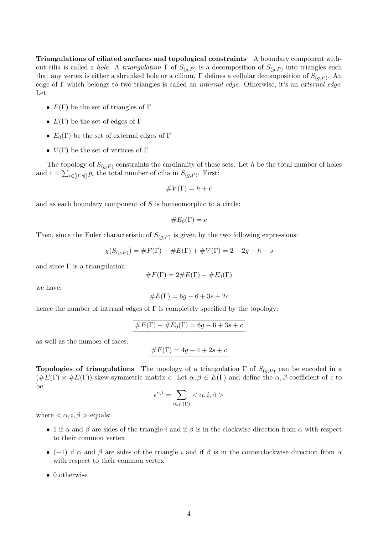Triangulations of ciliated surfaces and topological constraints A boundary component without cilia is called a *hole*. A *triangulation*  $\Gamma$  of  $S_{(g,P)}$  is a decomposition of  $S_{(g,P)}$  into triangles such that any vertex is either a shrunked hole or a cilium.  $\Gamma$  defines a cellular decomposition of  $S_{(g,P)}$ . An edge of Γ which belongs to two triangles is called an internal edge. Otherwise, it's an external edge. Let:

- $F(\Gamma)$  be the set of triangles of  $\Gamma$
- $E(\Gamma)$  be the set of edges of  $\Gamma$
- $E_0(\Gamma)$  be the set of external edges of  $\Gamma$
- $V(\Gamma)$  be the set of vertices of  $\Gamma$

The topology of  $S_{(q,P)}$  constraints the cardinality of these sets. Let h be the total number of holes and  $c = \sum_{i \in [1,s]} p_i$  the total number of cilia in  $S_{(g,P)}$ . First:

$$
\#V(\Gamma) = h + c
$$

and as each boundary component of  $S$  is homeomorphic to a circle:

$$
\#E_0(\Gamma)=c
$$

Then, since the Euler characteristic of  $S_{(g,P)}$  is given by the two following expressions:

$$
\chi(S_{(g,P)}) = \#F(\Gamma) - \#E(\Gamma) + \#V(\Gamma) = 2 - 2g + h - s
$$

and since  $\Gamma$  is a triangulation:

$$
\#F(\Gamma) = 2 \#E(\Gamma) - \#E_0(\Gamma)
$$

we have:

$$
\#E(\Gamma) = 6g - 6 + 3s + 2c
$$

hence the number of internal edges of  $\Gamma$  is completely specified by the topology:

$$
\#E(\Gamma) - \#E_0(\Gamma) = 6g - 6 + 3s + c
$$

as well as the number of faces:

 $\boxed{\#F(\Gamma) = 4g - 4 + 2s + c}$ 

**Topologies of triangulations** The topology of a triangulation  $\Gamma$  of  $S_{(g,P)}$  can be encoded in a  $(\#E(\Gamma) \times \#E(\Gamma))$ -skew-symmetric matrix  $\epsilon$ . Let  $\alpha, \beta \in E(\Gamma)$  and define the  $\alpha, \beta$ -coefficient of  $\epsilon$  to be:

$$
\epsilon^{\alpha\beta} = \sum_{i \in F(\Gamma)} \langle \alpha, i, \beta \rangle
$$

where  $\langle \alpha, i, \beta \rangle$  equals:

- 1 if  $\alpha$  and  $\beta$  are sides of the triangle i and if  $\beta$  is in the clockwise direction from  $\alpha$  with respect to their common vertex
- (−1) if  $\alpha$  and  $\beta$  are sides of the triangle i and if  $\beta$  is in the couterclockwise direction from  $\alpha$ with respect to their common vertex
- 0 otherwise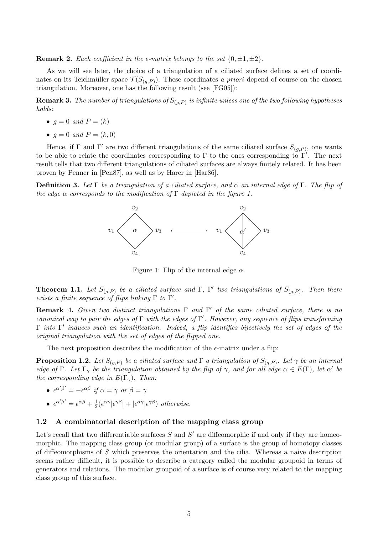**Remark 2.** Each coefficient in the  $\epsilon$ -matrix belongs to the set  $\{0, \pm 1, \pm 2\}$ .

As we will see later, the choice of a triangulation of a ciliated surface defines a set of coordinates on its Teichmüller space  $\mathcal{T}(S_{(g,P)})$ . These coordinates a priori depend of course on the chosen triangulation. Moreover, one has the following result (see [FG05]):

 ${\bf Remark~3.}$  The number of triangulations of  $S_{(g,P)}$  is infinite unless one of the two following hypotheses holds:

- $g = 0$  and  $P = (k)$
- $q = 0$  and  $P = (k, 0)$

Hence, if  $\Gamma$  and  $\Gamma'$  are two different triangulations of the same ciliated surface  $S_{(g,P)}$ , one wants to be able to relate the coordinates corresponding to  $\Gamma$  to the ones corresponding to  $\Gamma'$ . The next result tells that two different triangulations of ciliated surfaces are always finitely related. It has been proven by Penner in [Pen87], as well as by Harer in [Har86].

**Definition 3.** Let  $\Gamma$  be a triangulation of a ciliated surface, and  $\alpha$  an internal edge of  $\Gamma$ . The flip of the edge  $\alpha$  corresponds to the modification of  $\Gamma$  depicted in the figure 1.



Figure 1: Flip of the internal edge  $\alpha$ .

**Theorem 1.1.** Let  $S_{(g,P)}$  be a ciliated surface and  $\Gamma$ ,  $\Gamma'$  two triangulations of  $S_{(g,P)}$ . Then there exists a finite sequence of flips linking  $\Gamma$  to  $\Gamma'$ .

**Remark 4.** Given two distinct triangulations  $\Gamma$  and  $\Gamma'$  of the same ciliated surface, there is no canonical way to pair the edges of  $\Gamma$  with the edges of  $\Gamma'$ . However, any sequence of flips transforming  $\Gamma$  into  $\Gamma'$  induces such an identification. Indeed, a flip identifies bijectively the set of edges of the original triangulation with the set of edges of the flipped one.

The next proposition describes the modification of the  $\epsilon$ -matrix under a flip:

**Proposition 1.2.** Let  $S_{(g,P)}$  be a ciliated surface and  $\Gamma$  a triangulation of  $S_{(g,P)}$ . Let  $\gamma$  be an internal edge of  $\Gamma$ . Let  $\Gamma_{\gamma}$  be the triangulation obtained by the flip of  $\gamma$ , and for all edge  $\alpha \in E(\Gamma)$ , let  $\alpha'$  be the corresponding edge in  $E(\Gamma_{\gamma})$ . Then:

- $\epsilon^{\alpha'\beta'} = -\epsilon^{\alpha\beta}$  if  $\alpha = \gamma$  or  $\beta = \gamma$
- $\epsilon^{\alpha'\beta'}=\epsilon^{\alpha\beta}+\frac{1}{2}$  $\frac{1}{2}(\epsilon^{\alpha\gamma}|\epsilon^{\gamma\beta}|+|\epsilon^{\alpha\gamma}|\epsilon^{\gamma\beta})$  otherwise.

## 1.2 A combinatorial description of the mapping class group

Let's recall that two differentiable surfaces  $S$  and  $S'$  are diffeomorphic if and only if they are homeomorphic. The mapping class group (or modular group) of a surface is the group of homotopy classes of diffeomorphisms of S which preserves the orientation and the cilia. Whereas a naive description seems rather difficult, it is possible to describe a category called the modular groupoid in terms of generators and relations. The modular groupoid of a surface is of course very related to the mapping class group of this surface.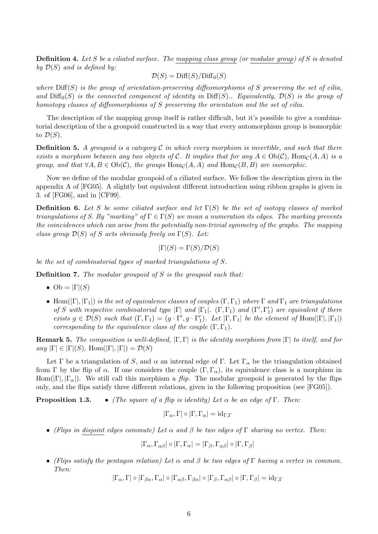**Definition 4.** Let S be a ciliated surface. The mapping class group (or modular group) of S is denoted by  $\mathcal{D}(S)$  and is defined by:

$$
\mathcal{D}(S) = \text{Diff}(S)/\text{Diff}_0(S)
$$

where  $\text{Diff}(S)$  is the group of orientation-preserving diffeomorphisms of S preserving the set of cilia, and  $\text{Diff}_0(S)$  is the connected component of identity in  $\text{Diff}(S)$ .. Equivalently,  $\mathcal{D}(S)$  is the group of homotopy classes of diffeomorphisms of S preserving the orientation and the set of cilia.

The description of the mapping group itself is rather difficult, but it's possible to give a combinatorial description of the a groupoid constructed in a way that every automorphism group is isomorphic to  $\mathcal{D}(S)$ .

**Definition 5.** A groupoid is a category  $C$  in which every morphism is invertible, and such that there exists a morphism between any two objects of C. It implies that for any  $A \in Ob(\mathcal{C})$ , Hom $_{\mathcal{C}}(A, A)$  is a group, and that  $\forall A, B \in Ob(C)$ , the groups  $Hom_{\mathcal{C}}(A, A)$  and  $Hom_{\mathcal{C}}(B, B)$  are isomorphic.

Now we define of the modular groupoid of a ciliated surface. We follow the description given in the appendix A of [FG05]. A slightly but equivalent different introduction using ribbon graphs is given in 3. of [FG06], and in [CF99].

**Definition 6.** Let S be some ciliated surface and let  $\Gamma(S)$  be the set of isotopy classes of marked triangulations of S. By "marking" of  $\Gamma \in \Gamma(S)$  we mean a numeration its edges. The marking prevents the coincidences which can arise from the potentially non-trivial symmetry of the graphs. The mapping class group  $\mathcal{D}(S)$  of S acts obviously freely on  $\Gamma(S)$ . Let:

$$
|\Gamma|(S) = \Gamma(S)/\mathcal{D}(S)
$$

be the set of combinatorial types of marked triangulations of S.

**Definition 7.** The modular groupoid of  $S$  is the groupoid such that:

- Ob =  $|\Gamma|(S)$
- Hom( $|\Gamma|, |\Gamma_1|$ ) is the set of equivalence classes of couples  $(\Gamma, \Gamma_1)$  where  $\Gamma$  and  $\Gamma_1$  are triangulations of S with respective combinatorial type  $|\Gamma|$  and  $|\Gamma_1|$ .  $(\Gamma, \Gamma_1)$  and  $(\Gamma', \Gamma'_1)$  are equivalent if there exists  $g \in \mathcal{D}(S)$  such that  $(\Gamma, \Gamma_1) = (g \cdot \Gamma', g \cdot \Gamma'_1)$ . Let  $|\Gamma, \Gamma_1|$  be the element of Hom $(|\Gamma|, |\Gamma_1|)$ corresponding to the equivalence class of the couple  $(\Gamma, \Gamma_1)$ .

**Remark 5.** The composition is well-defined,  $|\Gamma,\Gamma|$  is the identity morphism from  $|\Gamma|$  to itself, and for any  $|\Gamma| \in |\Gamma|(S)$ , Hom $(|\Gamma|, |\Gamma|) = \mathcal{D}(S)$ 

Let Γ be a triangulation of S, and  $\alpha$  an internal edge of Γ. Let Γ<sub>α</sub> be the triangulation obtained from Γ by the flip of  $\alpha$ . If one considers the couple  $(\Gamma, \Gamma_{\alpha})$ , its equivalence class is a morphism in Hom(|Γ|,  $|\Gamma_{\alpha}|$ ). We still call this morphism a *flip*. The modular groupoid is generated by the flips only, and the flips satisfy three different relations, given in the following proposition (see [FG05]).

**Proposition 1.3.** • (The square of a flip is identity) Let  $\alpha$  be an edge of  $\Gamma$ . Then:

$$
|\Gamma_{\alpha}, \Gamma| \circ |\Gamma, \Gamma_{\alpha}| = id_{\Gamma, \Gamma}
$$

• (Flips in disjoint edges commute) Let  $\alpha$  and  $\beta$  be two edges of  $\Gamma$  sharing no vertex. Then:

$$
|\Gamma_{\alpha}, \Gamma_{\alpha\beta}| \circ |\Gamma, \Gamma_{\alpha}| = |\Gamma_{\beta}, \Gamma_{\alpha\beta}| \circ |\Gamma, \Gamma_{\beta}|
$$

• (Flips satisfy the pentagon relation) Let  $\alpha$  and  $\beta$  be two edges of  $\Gamma$  having a vertex in common. Then:

 $|\Gamma_{\alpha}, \Gamma| \circ |\Gamma_{\beta\alpha}, \Gamma_{\alpha}| \circ |\Gamma_{\alpha\beta}, \Gamma_{\beta\alpha}| \circ |\Gamma_{\beta}, \Gamma_{\alpha\beta}| \circ |\Gamma, \Gamma_{\beta}| = id_{\Gamma,\Gamma}$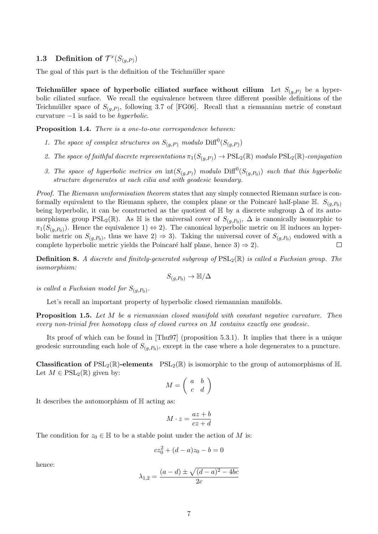## 1.3 Definition of  $\mathcal{T}^x(S_{(g,P)})$

The goal of this part is the definition of the Teichmüller space

Teichmüller space of hyperbolic ciliated surface without cilium Let  $S_{(q,P)}$  be a hyperbolic ciliated surface. We recall the equivalence between three different possible definitions of the Teichmüller space of  $S_{(g,P)}$ , following 3.7 of [FG06]. Recall that a riemannian metric of constant curvature  $-1$  is said to be *hyperbolic*.

Proposition 1.4. There is a one-to-one correspondence between:

- 1. The space of complex structures on  $S_{(g,P)}$  modulo  $\text{Diff}^0(S_{(g,P)})$
- 2. The space of faithful discrete representations  $\pi_1(S_{(g,P)}) \to \text{PSL}_2(\mathbb{R})$  modulo  $\text{PSL}_2(\mathbb{R})$ -conjugation
- 3. The space of hyperbolic metrics on  $\text{int}(S_{(g,P)})$  modulo  $\text{Diff}^0(S_{(g,P_0)})$  such that this hyperbolic structure degenerates at each cilia and with geodesic boundary.

Proof. The Riemann uniformisation theorem states that any simply connected Riemann surface is conformally equivalent to the Riemann sphere, the complex plane or the Poincaré half-plane  $\mathbb{H}$ .  $S_{(a,B_0)}$ being hyperbolic, it can be constructed as the quotient of  $\mathbb H$  by a discrete subgroup  $\Delta$  of its automorphisms group  $PSL_2(\mathbb{R})$ . As  $\mathbb H$  is the universal cover of  $S_{(g,P_0)}$ ,  $\Delta$  is canonically isomorphic to  $\pi_1(S_{(g,P_0)})$ . Hence the equivalence 1)  $\Leftrightarrow$  2). The canonical hyperbolic metric on H induces an hyperbolic metric on  $S_{(g,P_0)}$ , thus we have  $2) \Rightarrow 3$ . Taking the universal cover of  $S_{(g,P_0)}$  endowed with a complete hyperbolic metric yields the Poincaré half plane, hence  $3 \Rightarrow 2$ .  $\Box$ 

**Definition 8.** A discrete and finitely-generated subgroup of  $PSL_2(\mathbb{R})$  is called a Fuchsian group. The isomorphism:

$$
S_{(g,P_0)} \to \mathbb{H}/\Delta
$$

is called a Fuchsian model for  $S_{(g,P_0)}$ .

Let's recall an important property of hyperbolic closed riemannian manifolds.

Proposition 1.5. Let M be a riemannian closed manifold with constant negative curvature. Then every non-trivial free homotopy class of closed curves on M contains exactly one geodesic.

Its proof of which can be found in [Thu97] (proposition 5.3.1). It implies that there is a unique geodesic surrounding each hole of  $S_{(g, P_0)}$ , except in the case where a hole degenerates to a puncture.

**Classification of**  $PSL_2(\mathbb{R})$ **-elements**  $PSL_2(\mathbb{R})$  is isomorphic to the group of automorphisms of H. Let  $M \in \mathrm{PSL}_2(\mathbb{R})$  given by:

$$
M = \left(\begin{array}{cc} a & b \\ c & d \end{array}\right)
$$

It describes the automorphism of H acting as:

$$
M \cdot z = \frac{az + b}{cz + d}
$$

The condition for  $z_0 \in \mathbb{H}$  to be a stable point under the action of M is:

$$
cz_0^2 + (d - a)z_0 - b = 0
$$

hence:

$$
\lambda_{1,2} = \frac{(a-d) \pm \sqrt{(d-a)^2 - 4bc}}{2c}
$$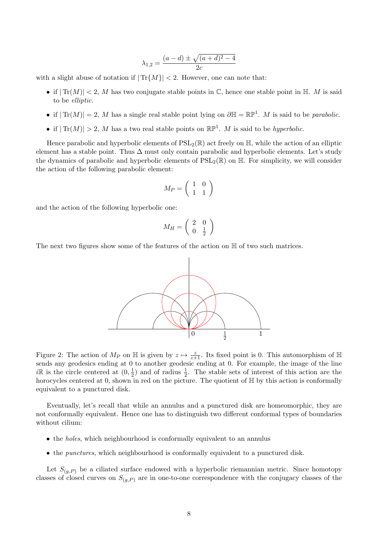$$
\lambda_{1,2} = \frac{(a-d) \pm \sqrt{(a+d)^2 - 4}}{2c}
$$

with a slight abuse of notation if  $|\text{Tr}\{M\}| < 2$ . However, one can note that:

- if  $|\text{Tr}(M)| < 2$ , M has two conjugate stable points in  $\mathbb{C}$ , hence one stable point in  $\mathbb{H}$ . M is said to be elliptic.
- if  $|\text{Tr}(M)| = 2$ , M has a single real stable point lying on  $\partial \mathbb{H} = \mathbb{RP}^1$ . M is said to be parabolic.
- if  $|\text{Tr}(M)| > 2$ , M has a two real stable points on  $\mathbb{RP}^1$ . M is said to be hyperbolic.

Hence parabolic and hyperbolic elements of  $PSL_2(\mathbb{R})$  act freely on  $\mathbb{H}$ , while the action of an elliptic element has a stable point. Thus  $\Delta$  must only contain parabolic and hyperbolic elements. Let's study the dynamics of parabolic and hyperbolic elements of  $PSL_2(\mathbb{R})$  on  $\mathbb{H}$ . For simplicity, we will consider the action of the following parabolic element:

$$
M_P = \left(\begin{array}{cc} 1 & 0 \\ 1 & 1 \end{array}\right)
$$

and the action of the following hyperbolic one:

$$
M_H=\left(\begin{array}{cc} 2 & 0 \\ 0 & \frac{1}{2} \end{array}\right)
$$

The next two figures show some of the features of the action on  $\mathbb H$  of two such matrices.



Figure 2: The action of  $M_P$  on  $\mathbb H$  is given by  $z \mapsto \frac{z}{z+1}$ . Its fixed point is 0. This automorphism of  $\mathbb H$ sends any geodesics ending at 0 to another geodesic ending at 0. For example, the image of the line  $i\mathbb{R}$  is the circle centered at  $(0, \frac{1}{2})$  $\frac{1}{2}$  and of radius  $\frac{1}{2}$ . The stable sets of interest of this action are the horocycles centered at 0, shown in red on the picture. The quotient of  $\mathbb{H}$  by this action is conformally equivalent to a punctured disk.

Eventually, let's recall that while an annulus and a punctured disk are homeomorphic, they are not conformally equivalent. Hence one has to distinguish two different conformal types of boundaries without cilium:

- the *holes*, which neighbourhood is conformally equivalent to an annulus
- the punctures, which neighbourhood is conformally equivalent to a punctured disk.

Let  $S_{(a,P)}$  be a ciliated surface endowed with a hyperbolic riemannian metric. Since homotopy classes of closed curves on  $S_{(g,P)}$  are in one-to-one correspondence with the conjugacy classes of the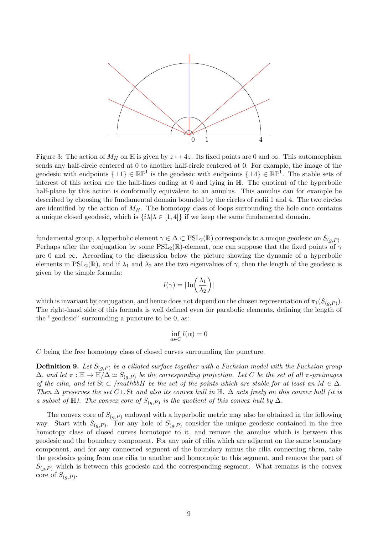

Figure 3: The action of  $M_H$  on H is given by  $z \mapsto 4z$ . Its fixed points are 0 and  $\infty$ . This automorphism sends any half-circle centered at 0 to another half-circle centered at 0. For example, the image of the geodesic with endpoints  $\{\pm 1\} \in \mathbb{RP}^1$  is the geodesic with endpoints  $\{\pm 4\} \in \mathbb{RP}^1$ . The stable sets of interest of this action are the half-lines ending at 0 and lying in H. The quotient of the hyperbolic half-plane by this action is conformally equivalent to an annulus. This annulus can for example be described by choosing the fundamental domain bounded by the circles of radii 1 and 4. The two circles are identified by the action of  $M_H$ . The homotopy class of loops surrounding the hole once contains a unique closed geodesic, which is  $\{i\lambda | \lambda \in [1, 4]\}$  if we keep the same fundamental domain.

fundamental group, a hyperbolic element  $\gamma \in \Delta \subset \mathrm{PSL}_2(\mathbb{R})$  corresponds to a unique geodesic on  $S_{(g,P)}$ . Perhaps after the conjugation by some  $PSL_2(\mathbb{R})$ -element, one can suppose that the fixed points of  $\gamma$ are 0 and  $\infty$ . According to the discussion below the picture showing the dynamic of a hyperbolic elements in  $PSL_2(\mathbb{R})$ , and if  $\lambda_1$  and  $\lambda_2$  are the two eigenvalues of  $\gamma$ , then the length of the geodesic is given by the simple formula:

$$
l(\gamma) = |\ln\left(\frac{\lambda_1}{\lambda_2}\right)|
$$

which is invariant by conjugation, and hence does not depend on the chosen representation of  $\pi_1(S_{(g,P)})$ . The right-hand side of this formula is well defined even for parabolic elements, defining the length of the "geodesic" surrounding a puncture to be 0, as:

$$
\inf_{\alpha \in C} l(\alpha) = 0
$$

C being the free homotopy class of closed curves surrounding the puncture.

**Definition 9.** Let  $S_{(q,P)}$  be a ciliated surface together with a Fuchsian model with the Fuchsian group  $\Delta$ , and let  $\pi : \mathbb{H} \to \mathbb{H}/\Delta \simeq S_{(g,P)}$  be the corresponding projection. Let C be the set of all  $\pi$ -preimages of the cilia, and let St  $\subset$  /mathbbH be the set of the points which are stable for at least an  $M \in \Delta$ . Then  $\Delta$  preserves the set C ∪ St and also its convex hull in  $\mathbb{H}$ .  $\Delta$  acts freely on this convex hull (it is a subset of  $\mathbb{H}$ ). The <u>convex core</u> of  $S_{(g,P)}$  is the quotient of this convex hull by  $\Delta$ .

The convex core of  $S_{(q,P)}$  endowed with a hyperbolic metric may also be obtained in the following way. Start with  $S_{(g,P)}$ . For any hole of  $S_{(g,P)}$  consider the unique geodesic contained in the free homotopy class of closed curves homotopic to it, and remove the annulus which is between this geodesic and the boundary component. For any pair of cilia which are adjacent on the same boundary component, and for any connected segment of the boundary minus the cilia connecting them, take the geodesics going from one cilia to another and homotopic to this segment, and remove the part of  $S_{(q,P)}$  which is between this geodesic and the corresponding segment. What remains is the convex core of  $S_{(g,P)}$ .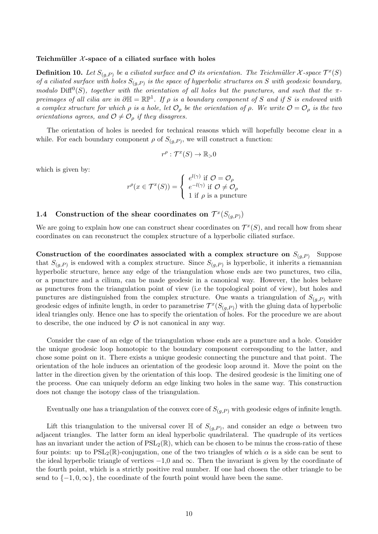#### Teichmüller  $X$ -space of a ciliated surface with holes

**Definition 10.** Let  $S_{(g,P)}$  be a ciliated surface and O its orientation. The Teichmüller X-space  $\mathcal{T}^x(S)$ of a ciliated surface with holes  $S_{(g,P)}$  is the space of hyperbolic structures on S with geodesic boundary, modulo  $\text{Diff}^0(S)$ , together with the orientation of all holes but the punctures, and such that the  $\pi$ preimages of all cilia are in  $\partial \mathbb{H} = \mathbb{RP}^1$ . If  $\rho$  is a boundary component of S and if S is endowed with a complex structure for which  $\rho$  is a hole, let  $\mathcal{O}_{\rho}$  be the orientation of  $\rho$ . We write  $\mathcal{O} = \mathcal{O}_{\rho}$  is the two orientations agrees, and  $\mathcal{O} \neq \mathcal{O}_\rho$  if they disagrees.

The orientation of holes is needed for technical reasons which will hopefully become clear in a while. For each boundary component  $\rho$  of  $S_{(g,P)}$ , we will construct a function:

$$
r^{\rho}: \mathcal{T}^x(S) \to \mathbb{R}_{>0}
$$

which is given by:

$$
r^{\rho}(x \in \mathcal{T}^x(S)) = \begin{cases} e^{l(\gamma)} & \text{if } \mathcal{O} = \mathcal{O}_{\rho} \\ e^{-l(\gamma)} & \text{if } \mathcal{O} \neq \mathcal{O}_{\rho} \\ 1 & \text{if } \rho \text{ is a puncture} \end{cases}
$$

## 1.4 Construction of the shear coordinates on  $\mathcal{T}^x(S_{(g,P)})$

We are going to explain how one can construct shear coordinates on  $\mathcal{T}^x(S)$ , and recall how from shear coordinates on can reconstruct the complex structure of a hyperbolic ciliated surface.

Construction of the coordinates associated with a complex structure on  $S_{(q,P)}$  Suppose that  $S_{(g,P)}$  is endowed with a complex structure. Since  $S_{(g,P)}$  is hyperbolic, it inherits a riemannian hyperbolic structure, hence any edge of the triangulation whose ends are two punctures, two cilia, or a puncture and a cilium, can be made geodesic in a canonical way. However, the holes behave as punctures from the triangulation point of view (i.e the topological point of view), but holes and punctures are distinguished from the complex structure. One wants a triangulation of  $S_{(q,P)}$  with geodesic edges of infinite length, in order to parametrise  $\mathcal{T}^x(S_{(g,P)})$  with the gluing data of hyperbolic ideal triangles only. Hence one has to specify the orientation of holes. For the procedure we are about to describe, the one induced by  $\mathcal O$  is not canonical in any way.

Consider the case of an edge of the triangulation whose ends are a puncture and a hole. Consider the unique geodesic loop homotopic to the boundary component corresponding to the latter, and chose some point on it. There exists a unique geodesic connecting the puncture and that point. The orientation of the hole induces an orientation of the geodesic loop around it. Move the point on the latter in the direction given by the orientation of this loop. The desired geodesic is the limiting one of the process. One can uniquely deform an edge linking two holes in the same way. This construction does not change the isotopy class of the triangulation.

Eventually one has a triangulation of the convex core of  $S_{(q,P)}$  with geodesic edges of infinite length.

Lift this triangulation to the universal cover  $\mathbb H$  of  $S_{(g,P)}$ , and consider an edge  $\alpha$  between two adjacent triangles. The latter form an ideal hyperbolic quadrilateral. The quadruple of its vertices has an invariant under the action of  $PSL_2(\mathbb{R})$ , which can be chosen to be minus the cross-ratio of these four points: up to  $PSL_2(\mathbb{R})$ -conjugation, one of the two triangles of which  $\alpha$  is a side can be sent to the ideal hyperbolic triangle of vertices  $-1.0$  and  $\infty$ . Then the invariant is given by the coordinate of the fourth point, which is a strictly positive real number. If one had chosen the other triangle to be send to  $\{-1, 0, \infty\}$ , the coordinate of the fourth point would have been the same.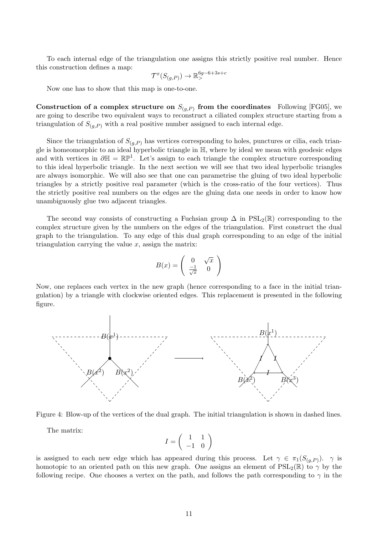To each internal edge of the triangulation one assigns this strictly positive real number. Hence this construction defines a map:

$$
\mathcal{T}^x(S_{(g,P)}) \to \mathbb{R}^{6g-6+3s+c}_{>}
$$

Now one has to show that this map is one-to-one.

Construction of a complex structure on  $S_{(g,P)}$  from the coordinates Following [FG05], we are going to describe two equivalent ways to reconstruct a ciliated complex structure starting from a triangulation of  $S_{(q,P)}$  with a real positive number assigned to each internal edge.

Since the triangulation of  $S_{(q,P)}$  has vertices corresponding to holes, punctures or cilia, each triangle is homeomorphic to an ideal hyperbolic triangle in H, where by ideal we mean with geodesic edges and with vertices in  $\partial \mathbb{H} = \mathbb{RP}^1$ . Let's assign to each triangle the complex structure corresponding to this ideal hyperbolic triangle. In the next section we will see that two ideal hyperbolic triangles are always isomorphic. We will also see that one can parametrise the gluing of two ideal hyperbolic triangles by a strictly positive real parameter (which is the cross-ratio of the four vertices). Thus the strictly positive real numbers on the edges are the gluing data one needs in order to know how unambiguously glue two adjacent triangles.

The second way consists of constructing a Fuchsian group  $\Delta$  in PSL<sub>2</sub>( $\mathbb{R}$ ) corresponding to the complex structure given by the numbers on the edges of the triangulation. First construct the dual graph to the triangulation. To any edge of this dual graph corresponding to an edge of the initial triangulation carrying the value  $x$ , assign the matrix:

$$
B(x) = \begin{pmatrix} 0 & \sqrt{x} \\ \frac{-1}{\sqrt{x}} & 0 \end{pmatrix}
$$

Now, one replaces each vertex in the new graph (hence corresponding to a face in the initial triangulation) by a triangle with clockwise oriented edges. This replacement is presented in the following figure.



Figure 4: Blow-up of the vertices of the dual graph. The initial triangulation is shown in dashed lines.

The matrix:

$$
I = \left(\begin{array}{cc} 1 & 1 \\ -1 & 0 \end{array}\right)
$$

is assigned to each new edge which has appeared during this process. Let  $\gamma \in \pi_1(S_{(g,P)})$ .  $\gamma$  is homotopic to an oriented path on this new graph. One assigns an element of  $PSL_2(\mathbb{R})$  to  $\gamma$  by the following recipe. One chooses a vertex on the path, and follows the path corresponding to  $\gamma$  in the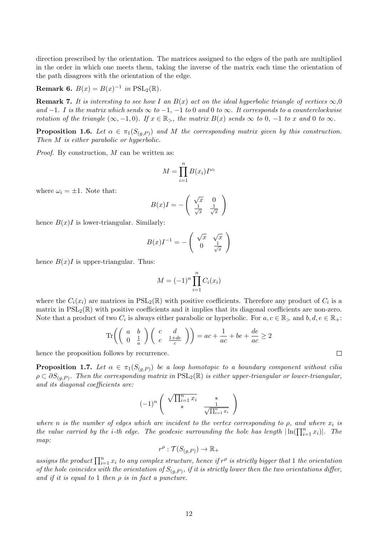direction prescribed by the orientation. The matrices assigned to the edges of the path are multiplied in the order in which one meets them, taking the inverse of the matrix each time the orientation of the path disagrees with the orientation of the edge.

**Remark 6.** 
$$
B(x) = B(x)^{-1}
$$
 in  $PSL_2(\mathbb{R})$ .

**Remark 7.** It is interesting to see how I an  $B(x)$  act on the ideal hyperbolic triangle of vertices  $\infty, 0$ and  $-1$ . I is the matrix which sends  $\infty$  to  $-1$ ,  $-1$  to 0 and 0 to  $\infty$ . It corresponds to a counterclockwise rotation of the triangle  $(\infty, -1, 0)$ . If  $x \in \mathbb{R}_{>}$ , the matrix  $B(x)$  sends  $\infty$  to  $0, -1$  to x and 0 to  $\infty$ .

**Proposition 1.6.** Let  $\alpha \in \pi_1(S_{(g,P)})$  and M the corresponding matrix given by this construction. Then M is either parabolic or hyperbolic.

Proof. By construction, M can be written as:

$$
M = \prod_{i=1}^{n} B(x_i) I^{\omega_i}
$$

where  $\omega_i = \pm 1$ . Note that:

$$
B(x)I = -\begin{pmatrix} \sqrt{x} & 0\\ \frac{1}{\sqrt{x}} & \frac{1}{\sqrt{x}} \end{pmatrix}
$$

hence  $B(x)I$  is lower-triangular. Similarly:

$$
B(x)I^{-1} = -\begin{pmatrix} \sqrt{x} & \sqrt{x} \\ 0 & \frac{1}{\sqrt{x}} \end{pmatrix}
$$

hence  $B(x)I$  is upper-triangular. Thus:

$$
M = (-1)^n \prod_{i=1}^n C_i(x_i)
$$

where the  $C_i(x_i)$  are matrices in  $PSL_2(\mathbb{R})$  with positive coefficients. Therefore any product of  $C_i$  is a matrix in  $PSL_2(\mathbb{R})$  with positive coefficients and it implies that its diagonal coefficients are non-zero. Note that a product of two  $C_i$  is always either parabolic or hyperbolic. For  $a, c \in \mathbb{R}_{>}$  and  $b, d, e \in \mathbb{R}_{+}$ :

$$
\operatorname{Tr}\left(\left(\begin{array}{cc}a & b \\ 0 & \frac{1}{a}\end{array}\right)\left(\begin{array}{cc}c & d \\ e & \frac{1+de}{c}\end{array}\right)\right) = ac + \frac{1}{ac} + be + \frac{de}{ac} \ge 2
$$

hence the proposition follows by recurrence.

**Proposition 1.7.** Let  $\alpha \in \pi_1(S_{(g,P)})$  be a loop homotopic to a boundary component without cilia  $\rho \subset \partial S_{(g,P)}$ . Then the corresponding matrix in  $\mathrm{PSL}_2(\mathbb{R})$  is either upper-triangular or lower-triangular, and its diagonal coefficients are:

$$
(-1)^n \left( \begin{array}{cc} \sqrt{\prod_{i=1}^n x_i} & * \\ * & \frac{1}{\sqrt{\prod_{i=1}^n x_i}} \end{array} \right)
$$

where n is the number of edges which are incident to the vertex corresponding to  $\rho$ , and where  $x_i$  is the value carried by the *i*-th edge. The geodesic surrounding the hole has length  $|\ln(\prod_{i=1}^n x_i)|$ . The map:

$$
r^{\rho} : \mathcal{T}(S_{(g,P)}) \to \mathbb{R}_+
$$

assigns the product  $\prod_{i=1}^n x_i$  to any complex structure, hence if  $r^{\rho}$  is strictly bigger that 1 the orientation of the hole coincides with the orientation of  $S_{(g,P)}$ , if it is strictly lower then the two orientations differ, and if it is equal to 1 then  $\rho$  is in fact a puncture.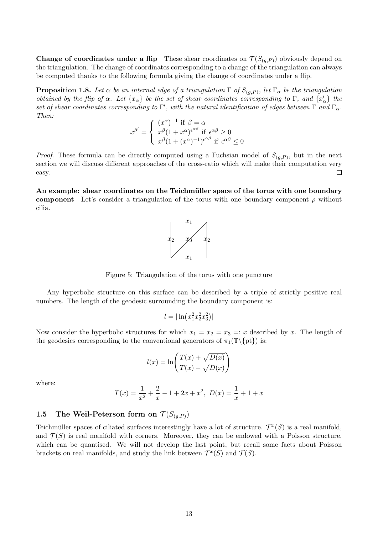**Change of coordinates under a flip** These shear coordinates on  $\mathcal{T}(S_{(g,P)})$  obviously depend on the triangulation. The change of coordinates corresponding to a change of the triangulation can always be computed thanks to the following formula giving the change of coordinates under a flip.

**Proposition 1.8.** Let  $\alpha$  be an internal edge of a triangulation  $\Gamma$  of  $S_{(g,P)}$ , let  $\Gamma_{\alpha}$  be the triangulation obtained by the flip of  $\alpha$ . Let  $\{x_{\alpha}\}\$ be the set of shear coordinates corresponding to  $\Gamma$ , and  $\{x'_{\alpha}\}\$ the set of shear coordinates corresponding to  $\Gamma'$ , with the natural identification of edges between  $\Gamma$  and  $\Gamma_\alpha$ . Then:

$$
x^{\beta'} = \begin{cases} (x^{\alpha})^{-1} & \text{if } \beta = \alpha \\ x^{\beta} (1 + x^{\alpha})^{\epsilon^{\alpha\beta}} & \text{if } \epsilon^{\alpha\beta} \ge 0 \\ x^{\beta} (1 + (x^{\alpha})^{-1})^{\epsilon^{\alpha\beta}} & \text{if } \epsilon^{\alpha\beta} \le 0 \end{cases}
$$

*Proof.* These formula can be directly computed using a Fuchsian model of  $S_{(g,P)}$ , but in the next section we will discuss different approaches of the cross-ratio which will make their computation very easy.  $\Box$ 

An example: shear coordinates on the Teichmüller space of the torus with one boundary component Let's consider a triangulation of the torus with one boundary component  $\rho$  without cilia.



Figure 5: Triangulation of the torus with one puncture

Any hyperbolic structure on this surface can be described by a triple of strictly positive real numbers. The length of the geodesic surrounding the boundary component is:

$$
l = |\ln(x_1^2 x_2^2 x_3^2)|
$$

Now consider the hyperbolic structures for which  $x_1 = x_2 = x_3 =: x$  described by x. The length of the geodesics corresponding to the conventional generators of  $\pi_1(\mathbb{T}\setminus\{pt\})$  is:

$$
l(x) = \ln\left(\frac{T(x) + \sqrt{D(x)}}{T(x) - \sqrt{D(x)}}\right)
$$

where:

$$
T(x) = \frac{1}{x^2} + \frac{2}{x} - 1 + 2x + x^2, \ D(x) = \frac{1}{x} + 1 + x
$$

# 1.5 The Weil-Peterson form on  $\mathcal{T}(S_{(a,P)})$

Teichmüller spaces of ciliated surfaces interestingly have a lot of structure.  $\mathcal{T}^x(S)$  is a real manifold, and  $\mathcal{T}(S)$  is real manifold with corners. Moreover, they can be endowed with a Poisson structure, which can be quantised. We will not develop the last point, but recall some facts about Poisson brackets on real manifolds, and study the link between  $\mathcal{T}^x(S)$  and  $\mathcal{T}(S)$ .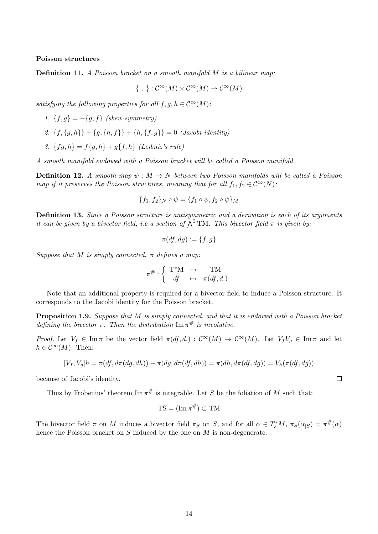#### Poisson structures

**Definition 11.** A Poisson bracket on a smooth manifold  $M$  is a bilinear map:

$$
\{.,.\}: \mathcal{C}^{\infty}(M) \times \mathcal{C}^{\infty}(M) \to \mathcal{C}^{\infty}(M)
$$

satisfying the following properties for all  $f, g, h \in C^{\infty}(M)$ :

1.  ${f, g} = -{g, f}$  (skew-symmetry)

- 2.  $\{f, \{g, h\}\} + \{g, \{h, f\}\} + \{h, \{f, g\}\} = 0$  (Jacobi identity)
- 3.  ${fg, h} = f{g, h} + g{f, h}$  (Leibniz's rule)

A smooth manifold endowed with a Poisson bracket will be called a Poisson manifold.

**Definition 12.** A smooth map  $\psi : M \to N$  between two Poisson manifolds will be called a Poisson map if it preserves the Poisson structures, meaning that for all  $f_1, f_2 \in C^{\infty}(N)$ :

$$
\{f_1, f_2\}_N \circ \psi = \{f_1 \circ \psi, f_2 \circ \psi\}_M
$$

Definition 13. Since a Poisson structure is antisymmetric and a derivation is each of its arguments it can be given by a bivector field, i.e a section of  $\bigwedge^2$  TM. This bivector field  $\pi$  is given by:

$$
\pi(df,dg) := \{f,g\}
$$

Suppose that M is simply connected.  $\pi$  defines a map:

$$
\pi^\#:\left\{ \begin{array}{ccc} \mathrm{T}^*\mathrm{M} & \to & \mathrm{TM} \\ d\!f & \mapsto & \pi(df,d.) \end{array} \right.
$$

Note that an additional property is required for a bivector field to induce a Poisson structure. It corresponds to the Jacobi identity for the Poisson bracket.

Proposition 1.9. Suppose that M is simply connected, and that it is endowed with a Poisson bracket defining the bivector  $\pi$ . Then the distribution  $\text{Im} \pi^{\#}$  is involutive.

Proof. Let  $V_f \in \text{Im }\pi$  be the vector field  $\pi(df, d.) : C^{\infty}(M) \to C^{\infty}(M)$ . Let  $V_fV_g \in \text{Im }\pi$  and let  $h \in \mathcal{C}^{\infty}(M)$ . Then:

$$
[V_f, V_g]h = \pi(df, d\pi(dg, dh)) - \pi(dg, d\pi(df, dh)) = \pi(dh, d\pi(df, dg)) = V_h(\pi(df, dg))
$$

because of Jacobi's identity.

Thus by Frobenius' theorem  $\text{Im}\,\pi^{\#}$  is integrable. Let S be the foliation of M such that:

$$
TS = (\operatorname{Im} \pi^{\#}) \subset TM
$$

The bivector field  $\pi$  on M induces a bivector field  $\pi_S$  on S, and for all  $\alpha \in T_s^*M$ ,  $\pi_S(\alpha_{|S}) = \pi^{\#}(\alpha)$ hence the Poisson bracket on  $S$  induced by the one on  $M$  is non-degenerate.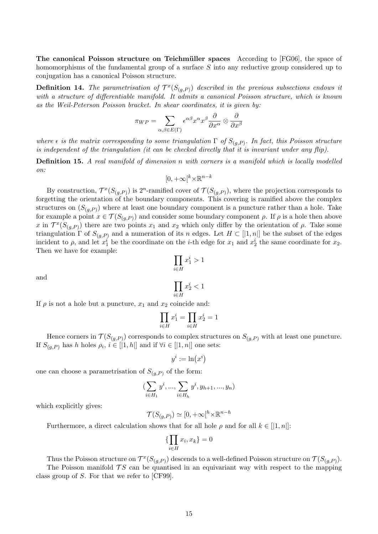The canonical Poisson structure on Teichmüller spaces According to [FG06], the space of homomorphisms of the fundamental group of a surface S into any reductive group considered up to conjugation has a canonical Poisson structure.

**Definition 14.** The parametrisation of  $\mathcal{T}^x(S_{(g,P)})$  described in the previous subsections endows it with a structure of differentiable manifold. It admits a canonical Poisson structure, which is known as the Weil-Peterson Poisson bracket. In shear coordinates, it is given by:

$$
\pi_{WP} = \sum_{\alpha,\beta \in E(\Gamma)} \epsilon^{\alpha\beta} x^{\alpha} x^{\beta} \frac{\partial}{\partial x^{\alpha}} \otimes \frac{\partial}{\partial x^{\beta}}
$$

where  $\epsilon$  is the matrix corresponding to some triangulation  $\Gamma$  of  $S_{(g,P)}$ . In fact, this Poisson structure is independent of the triangulation (it can be checked directly that it is invariant under any  $flip$ ).

**Definition 15.** A real manifold of dimension n with corners is a manifold which is locally modelled on:

$$
[0, +\infty[^k \times \mathbb{R}^{n-k}]
$$

By construction,  $\mathcal{T}^x(S_{(g,P)})$  is  $2^n$ -ramified cover of  $\mathcal{T}(S_{(g,P)})$ , where the projection corresponds to forgetting the orientation of the boundary components. This covering is ramified above the complex structures on  $(S_{(g,P)})$  where at least one boundary component is a puncture rather than a hole. Take for example a point  $x \in \mathcal{T}(S_{(g,P)})$  and consider some boundary component  $\rho$ . If  $\rho$  is a hole then above x in  $\mathcal{T}^x(S_{(g,P)})$  there are two points  $x_1$  and  $x_2$  which only differ by the orientation of  $\rho$ . Take some triangulation  $\Gamma$  of  $S_{(q,P)}$  and a numeration of its n edges. Let  $H \subset [1,n]$  be the subset of the edges incident to  $\rho$ , and let  $x_1^i$  be the coordinate on the *i*-th edge for  $x_1$  and  $x_2^i$  the same coordinate for  $x_2$ . Then we have for example:

$$
\prod_{i \in H} x_1^i > 1
$$
\n
$$
\prod x_2^i < 1
$$

and

If  $\rho$  is not a hole but a puncture,  $x_1$  and  $x_2$  coincide and:

$$
\prod_{i\in H}x_1^i=\prod_{i\in H}x_2^i=1
$$

i∈H

Hence corners in  $\mathcal{T}(S_{(g,P)})$  corresponds to complex structures on  $S_{(g,P)}$  with at least one puncture. If  $S_{(g,P)}$  has h holes  $\rho_i, i \in [1,h]$  and if  $\forall i \in [1,n]$  one sets:

 $y^i := \ln(x^i)$ 

one can choose a parametrisation of  $S_{(q,P)}$  of the form:

$$
(\sum_{i \in H_1} y^i, ..., \sum_{i \in H_h} y^i, y_{h+1}, ..., y_n)
$$

which explicitly gives:

$$
\mathcal{T}(S_{(g,P)}) \simeq [0, +\infty[^h \times \mathbb{R}^{n-h}]
$$

Furthermore, a direct calculation shows that for all hole  $\rho$  and for all  $k \in [1, n]$ :

$$
\{\prod_{i\in H} x_i, x_k\} = 0
$$

Thus the Poisson structure on  $\mathcal{T}^x(S_{(g,P)})$  descends to a well-defined Poisson structure on  $\mathcal{T}(S_{(g,P)})$ .

The Poisson manifold  $TS$  can be quantised in an equivariant way with respect to the mapping class group of S. For that we refer to [CF99].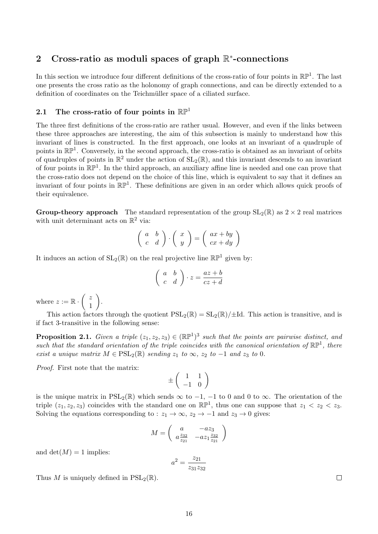# 2 Cross-ratio as moduli spaces of graph  $\mathbb{R}^*$ -connections

In this section we introduce four different definitions of the cross-ratio of four points in  $\mathbb{RP}^1$ . The last one presents the cross ratio as the holonomy of graph connections, and can be directly extended to a definition of coordinates on the Teichmüller space of a ciliated surface.

## 2.1 The cross-ratio of four points in  $\mathbb{RP}^1$

The three first definitions of the cross-ratio are rather usual. However, and even if the links between these three approaches are interesting, the aim of this subsection is mainly to understand how this invariant of lines is constructed. In the first approach, one looks at an invariant of a quadruple of points in  $\mathbb{RP}^1$ . Conversely, in the second approach, the cross-ratio is obtained as an invariant of orbits of quadruples of points in  $\mathbb{R}^2$  under the action of  $SL_2(\mathbb{R})$ , and this invariant descends to an invariant of four points in  $\mathbb{RP}^1$ . In the third approach, an auxiliary affine line is needed and one can prove that the cross-ratio does not depend on the choice of this line, which is equivalent to say that it defines an invariant of four points in  $\mathbb{RP}^1$ . These definitions are given in an order which allows quick proofs of their equivalence.

**Group-theory approach** The standard representation of the group  $SL_2(\mathbb{R})$  as  $2 \times 2$  real matrices with unit determinant acts on  $\mathbb{R}^2$  via:

$$
\left(\begin{array}{cc} a & b \\ c & d \end{array}\right) \cdot \left(\begin{array}{c} x \\ y \end{array}\right) = \left(\begin{array}{c} ax + by \\ cx + dy \end{array}\right)
$$

It induces an action of  $SL_2(\mathbb{R})$  on the real projective line  $\mathbb{RP}^1$  given by:

$$
\left(\begin{array}{cc} a & b \\ c & d \end{array}\right) \cdot z = \frac{az+b}{cz+d}
$$

where  $z := \mathbb{R} \cdot \begin{pmatrix} z \\ 1 \end{pmatrix}$ 1 .

This action factors through the quotient  $PSL_2(\mathbb{R}) = SL_2(\mathbb{R})/\pm Id$ . This action is transitive, and is if fact 3-transitive in the following sense:

**Proposition 2.1.** Given a triple  $(z_1, z_2, z_3) \in (\mathbb{RP}^1)^3$  such that the points are pairwise distinct, and such that the standard orientation of the triple coincides with the canonical orientation of  $\mathbb{RP}^1$ , there exist a unique matrix  $M \in \text{PSL}_2(\mathbb{R})$  sending  $z_1$  to  $\infty$ ,  $z_2$  to  $-1$  and  $z_3$  to 0.

Proof. First note that the matrix:

$$
\pm \left(\begin{array}{cc} 1 & 1 \\ -1 & 0 \end{array}\right)
$$

is the unique matrix in  $PSL_2(\mathbb{R})$  which sends  $\infty$  to  $-1$ ,  $-1$  to 0 and 0 to  $\infty$ . The orientation of the triple  $(z_1, z_2, z_3)$  coincides with the standard one on  $\mathbb{RP}^1$ , thus one can suppose that  $z_1 < z_2 < z_3$ . Solving the equations corresponding to :  $z_1 \rightarrow \infty$ ,  $z_2 \rightarrow -1$  and  $z_3 \rightarrow 0$  gives:

$$
M = \left( \begin{array}{cc} a & -az_3 \\ a \frac{z_{32}}{z_{21}} & -az_1 \frac{z_{32}}{z_{21}} \end{array} \right)
$$

and  $\det(M) = 1$  implies:

$$
a^2 = \frac{z_{21}}{z_{31}z_{32}}
$$

Thus M is uniquely defined in  $PSL_2(\mathbb{R})$ .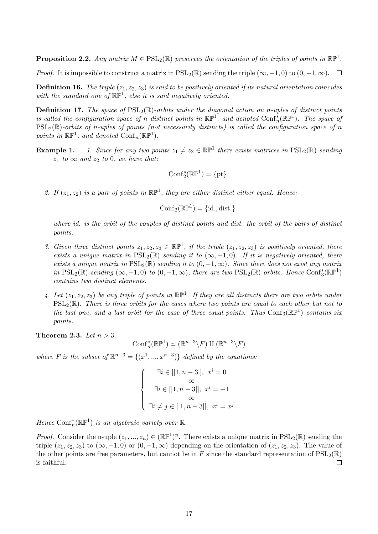**Proposition 2.2.** Any matrix  $M \in \text{PSL}_2(\mathbb{R})$  preserves the orientation of the triples of points in  $\mathbb{RP}^1$ .

*Proof.* It is impossible to construct a matrix in  $PSL_2(\mathbb{R})$  sending the triple  $(\infty, -1, 0)$  to  $(0, -1, \infty)$ .  $\Box$ 

**Definition 16.** The triple  $(z_1, z_2, z_3)$  is said to be positively oriented if its natural orientation coincides with the standard one of  $\mathbb{RP}^1$ , else it is said negatively oriented.

**Definition 17.** The space of  $PSL_2(\mathbb{R})$ -orbits under the diagonal action on n-uples of distinct points is called the configuration space of n distinct points in  $\mathbb{RP}^1$ , and denoted  $\text{Conf}_n^*(\mathbb{RP}^1)$ . The space of  $PSL_2(\mathbb{R})$ -orbits of n-uples of points (not necessarily distincts) is called the configuration space of n points in  $\mathbb{RP}^1$ , and denoted  $\mathrm{Conf}_n(\mathbb{RP}^1)$ .

**Example 1.** 1. Since for any two points  $z_1 \neq z_2 \in \mathbb{RP}^1$  there exists matrices in  $PSL_2(\mathbb{R})$  sending  $z_1$  to  $\infty$  and  $z_2$  to 0, we have that:

$$
\mathrm{Conf}_2^*(\mathbb{RP}^1)=\{\mathrm{pt}\}
$$

2. If  $(z_1, z_2)$  is a pair of points in  $\mathbb{RP}^1$ , they are either distinct either equal. Hence:

$$
\mathrm{Conf}_2(\mathbb{RP}^1)=\{\mathrm{id.},\mathrm{dist.}\}
$$

where id. is the orbit of the couples of distinct points and dist. the orbit of the pairs of distinct points.

- 3. Given three distinct points  $z_1, z_2, z_3 \in \mathbb{RP}^1$ , if the triple  $(z_1, z_2, z_3)$  is positively oriented, there exists a unique matrix in  $PSL_2(\mathbb{R})$  sending it to  $(\infty, -1, 0)$ . If it is negatively oriented, there exists a unique matrix in  $PSL_2(\mathbb{R})$  sending it to  $(0, -1, \infty)$ . Since there does not exist any matrix in  $PSL_2(\mathbb{R})$  sending  $(\infty, -1, 0)$  to  $(0, -1, \infty)$ , there are two  $PSL_2(\mathbb{R})$ -orbits. Hence  $Conf_3^*(\mathbb{RP}^1)$ contains two distinct elements.
- 4. Let  $(z_1, z_2, z_3)$  be any triple of points in  $\mathbb{RP}^1$ . If they are all distincts there are two orbits under  $PSL_2(\mathbb{R})$ . There is three orbits for the cases where two points are equal to each other but not to the last one, and a last orbit for the case of three equal points. Thus  $Conf_3(\mathbb{RP}^1)$  contains six points.

Theorem 2.3. Let  $n > 3$ .

$$
\mathrm{Conf}_n^*(\mathbb{RP}^1) \simeq (\mathbb{R}^{n-3} \backslash F) \amalg (\mathbb{R}^{n-3} \backslash F)
$$

where F is the subset of  $\mathbb{R}^{n-3} = \{(x^1, ..., x^{n-3})\}$  defined by the equations:

$$
\begin{cases}\n\exists i \in [[1, n-3]], x^{i} = 0 \\
\text{or} \\
\exists i \in [[1, n-3]], x^{i} = -1 \\
\text{or} \\
\exists i \neq j \in [[1, n-3]], x^{i} = x^{j} \n\end{cases}
$$

Hence  $\text{Conf}_n^*(\mathbb{RP}^1)$  is an algebraic variety over  $\mathbb{R}$ .

*Proof.* Consider the n-uple  $(z_1, ..., z_n) \in (\mathbb{RP}^1)^n$ . There exists a unique matrix in  $PSL_2(\mathbb{R})$  sending the triple  $(z_1, z_2, z_3)$  to  $(\infty, -1, 0)$  or  $(0, -1, \infty)$  depending on the orientation of  $(z_1, z_2, z_3)$ . The value of the other points are free parameters, but cannot be in F since the standard representation of  $PSL_2(\mathbb{R})$ is faithful.  $\Box$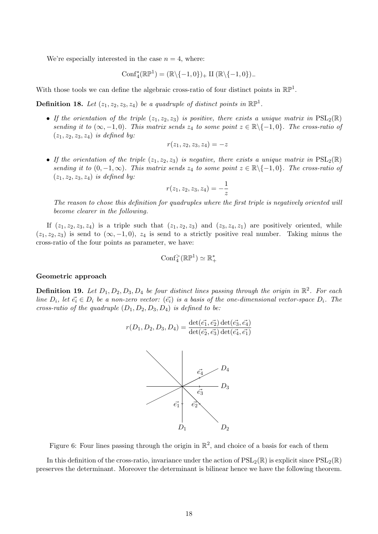We're especially interested in the case  $n = 4$ , where:

 $\text{Conf}_4^*(\mathbb{RP}^1) = (\mathbb{R} \setminus \{-1, 0\})_+$  II  $(\mathbb{R} \setminus \{-1, 0\})_-$ 

With those tools we can define the algebraic cross-ratio of four distinct points in  $\mathbb{RP}^1$ .

**Definition 18.** Let  $(z_1, z_2, z_3, z_4)$  be a quadruple of distinct points in  $\mathbb{RP}^1$ .

• If the orientation of the triple  $(z_1, z_2, z_3)$  is positive, there exists a unique matrix in  $PSL_2(\mathbb{R})$ sending it to  $(\infty, -1, 0)$ . This matrix sends  $z_4$  to some point  $z \in \mathbb{R} \setminus \{-1, 0\}$ . The cross-ratio of  $(z_1, z_2, z_3, z_4)$  is defined by:

$$
r(z_1,z_2,z_3,z_4)=-z\,
$$

• If the orientation of the triple  $(z_1, z_2, z_3)$  is negative, there exists a unique matrix in  $PSL_2(\mathbb{R})$ sending it to  $(0, -1, \infty)$ . This matrix sends  $z_4$  to some point  $z \in \mathbb{R} \setminus \{-1, 0\}$ . The cross-ratio of  $(z_1, z_2, z_3, z_4)$  is defined by:

$$
r(z_1, z_2, z_3, z_4) = -\frac{1}{z}
$$

The reason to chose this definition for quadruples where the first triple is negatively oriented will become clearer in the following.

If  $(z_1, z_2, z_3, z_4)$  is a triple such that  $(z_1, z_2, z_3)$  and  $(z_3, z_4, z_1)$  are positively oriented, while  $(z_1, z_2, z_3)$  is send to  $(\infty, -1, 0)$ ,  $z_4$  is send to a strictly positive real number. Taking minus the cross-ratio of the four points as parameter, we have:

$$
\mathrm{Conf}_4^>(\mathbb{RP}^1) \simeq \mathbb{R}_+^*
$$

#### Geometric approach

**Definition 19.** Let  $D_1, D_2, D_3, D_4$  be four distinct lines passing through the origin in  $\mathbb{R}^2$ . For each line  $D_i$ , let  $\vec{e_i} \in D_i$  be a non-zero vector:  $(\vec{e_i})$  is a basis of the one-dimensional vector-space  $D_i$ . The cross-ratio of the quadruple  $(D_1, D_2, D_3, D_4)$  is defined to be:

$$
r(D_1, D_2, D_3, D_4) = \frac{\det(\vec{e_1}, \vec{e_2}) \det(\vec{e_3}, \vec{e_4})}{\det(\vec{e_2}, \vec{e_3}) \det(\vec{e_4}, \vec{e_1})}
$$



Figure 6: Four lines passing through the origin in  $\mathbb{R}^2$ , and choice of a basis for each of them

In this definition of the cross-ratio, invariance under the action of  $PSL_2(\mathbb{R})$  is explicit since  $PSL_2(\mathbb{R})$ preserves the determinant. Moreover the determinant is bilinear hence we have the following theorem.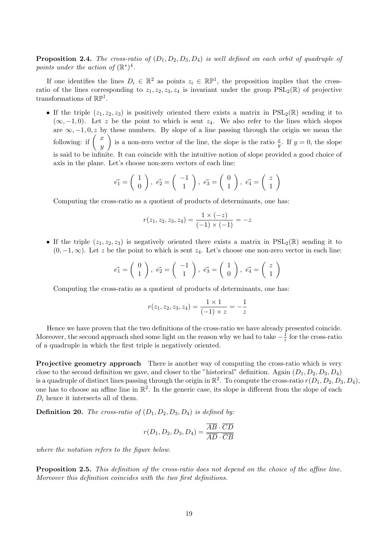**Proposition 2.4.** The cross-ratio of  $(D_1, D_2, D_3, D_4)$  is well defined on each orbit of quadruple of points under the action of  $(\mathbb{R}^*)^4$ .

If one identifies the lines  $D_i \in \mathbb{R}^2$  as points  $z_i \in \mathbb{RP}^1$ , the proposition implies that the crossratio of the lines corresponding to  $z_1, z_2, z_3, z_4$  is invariant under the group  $PSL_2(\mathbb{R})$  of projective transformations of  $\mathbb{RP}^1$ .

• If the triple  $(z_1, z_2, z_3)$  is positively oriented there exists a matrix in  $PSL_2(\mathbb{R})$  sending it to  $(\infty, -1, 0)$ . Let z be the point to which is sent  $z_4$ . We also refer to the lines which slopes are  $\infty, -1, 0, z$  by these numbers. By slope of a line passing through the origin we mean the following: if  $\left( \begin{array}{c} x \\ y \end{array} \right)$  $\hat{y}$ ) is a non-zero vector of the line, the slope is the ratio  $\frac{x}{y}$ . If  $y = 0$ , the slope is said to be infinite. It can coincide with the intuitive notion of slope provided a good choice of axis in the plane. Let's choose non-zero vectors of each line:

$$
\vec{e_1} = \begin{pmatrix} 1 \\ 0 \end{pmatrix}, \ \vec{e_2} = \begin{pmatrix} -1 \\ 1 \end{pmatrix}, \ \vec{e_3} = \begin{pmatrix} 0 \\ 1 \end{pmatrix}, \ \vec{e_4} = \begin{pmatrix} z \\ 1 \end{pmatrix}
$$

Computing the cross-ratio as a quotient of products of determinants, one has:

$$
r(z_1, z_2, z_3, z_4) = \frac{1 \times (-z)}{(-1) \times (-1)} = -z
$$

• If the triple  $(z_1, z_2, z_3)$  is negatively oriented there exists a matrix in  $PSL_2(\mathbb{R})$  sending it to  $(0, -1, \infty)$ . Let z be the point to which is sent  $z_4$ . Let's choose one non-zero vector in each line:

$$
\vec{e_1} = \begin{pmatrix} 0 \\ 1 \end{pmatrix}, \ \vec{e_2} = \begin{pmatrix} -1 \\ 1 \end{pmatrix}, \ \vec{e_3} = \begin{pmatrix} 1 \\ 0 \end{pmatrix}, \ \vec{e_4} = \begin{pmatrix} z \\ 1 \end{pmatrix}
$$

Computing the cross-ratio as a quotient of products of determinants, one has:

$$
r(z_1, z_2, z_3, z_4) = \frac{1 \times 1}{(-1) \times z} = -\frac{1}{z}
$$

Hence we have proven that the two definitions of the cross-ratio we have already presented coincide. Moreover, the second approach shed some light on the reason why we had to take  $-\frac{1}{z}$  $\frac{1}{z}$  for the cross-ratio of a quadruple in which the first triple is negatively oriented.

Projective geometry approach There is another way of computing the cross-ratio which is very close to the second definition we gave, and closer to the "historical" definition. Again  $(D_1, D_2, D_3, D_4)$ is a quadruple of distinct lines passing through the origin in  $\mathbb{R}^2$ . To compute the cross-ratio  $r(D_1,D_2,D_3,D_4),$ one has to choose an affine line in  $\mathbb{R}^2$ . In the generic case, its slope is different from the slope of each  $D_i$  hence it intersects all of them.

**Definition 20.** The cross-ratio of  $(D_1, D_2, D_3, D_4)$  is defined by:

$$
r(D_1, D_2, D_3, D_4) = \frac{\overline{AB} \cdot \overline{CD}}{\overline{AD} \cdot \overline{CB}}
$$

where the notation refers to the figure below.

Proposition 2.5. This definition of the cross-ratio does not depend on the choice of the affine line. Moreover this definition coincides with the two first definitions.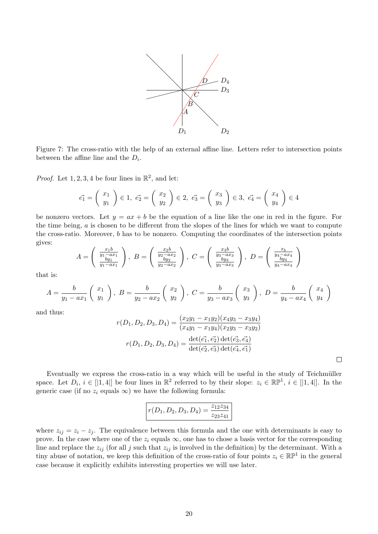

Figure 7: The cross-ratio with the help of an external affine line. Letters refer to intersection points between the affine line and the  $D_i$ .

*Proof.* Let 1, 2, 3, 4 be four lines in  $\mathbb{R}^2$ , and let:

$$
\vec{e_1} = \begin{pmatrix} x_1 \\ y_1 \end{pmatrix} \in 1, \ \vec{e_2} = \begin{pmatrix} x_2 \\ y_2 \end{pmatrix} \in 2, \ \vec{e_3} = \begin{pmatrix} x_3 \\ y_3 \end{pmatrix} \in 3, \ \vec{e_4} = \begin{pmatrix} x_4 \\ y_4 \end{pmatrix} \in 4
$$

be nonzero vectors. Let  $y = ax + b$  be the equation of a line like the one in red in the figure. For the time being,  $a$  is chosen to be different from the slopes of the lines for which we want to compute the cross-ratio. Moreover, b has to be nonzero. Computing the coordinates of the intersection points gives:

$$
A = \begin{pmatrix} \frac{x_1 b}{y_1 - ax_1} \\ \frac{by_1}{y_1 - ax_1} \end{pmatrix}, \ B = \begin{pmatrix} \frac{x_2 b}{y_2 - ax_2} \\ \frac{by_2}{y_2 - ax_2} \end{pmatrix}, \ C = \begin{pmatrix} \frac{x_3 b}{y_3 - ax_3} \\ \frac{by_3}{y_3 - ax_3} \end{pmatrix}, \ D = \begin{pmatrix} \frac{x_b}{y_4 - ax_4} \\ \frac{by_4}{y_4 - ax_4} \end{pmatrix}
$$

that is:

$$
A = \frac{b}{y_1 - ax_1} \begin{pmatrix} x_1 \\ y_1 \end{pmatrix}, B = \frac{b}{y_2 - ax_2} \begin{pmatrix} x_2 \\ y_2 \end{pmatrix}, C = \frac{b}{y_3 - ax_3} \begin{pmatrix} x_3 \\ y_3 \end{pmatrix}, D = \frac{b}{y_4 - ax_4} \begin{pmatrix} x_4 \\ y_4 \end{pmatrix}
$$

and thus:

$$
r(D_1, D_2, D_3, D_4) = \frac{(x_2y_1 - x_1y_2)(x_4y_3 - x_3y_4)}{(x_4y_1 - x_1y_4)(x_2y_3 - x_3y_2)}
$$

$$
r(D_1, D_2, D_3, D_4) = \frac{\det(\vec{e_1}, \vec{e_2}) \det(\vec{e_3}, \vec{e_4})}{\det(\vec{e_2}, \vec{e_3}) \det(\vec{e_4}, \vec{e_1})}
$$

Eventually we express the cross-ratio in a way which will be useful in the study of Teichmüller space. Let  $D_i$ ,  $i \in [1, 4]$  be four lines in  $\mathbb{R}^2$  referred to by their slope:  $z_i \in \mathbb{RP}^1$ ,  $i \in [1, 4]$ . In the generic case (if no  $z_i$  equals  $\infty$ ) we have the following formula:

$$
r(D_1, D_2, D_3, D_4) = \frac{z_{12}z_{34}}{z_{23}z_{41}}
$$

where  $z_{ij} = z_i - z_j$ . The equivalence between this formula and the one with determinants is easy to prove. In the case where one of the  $z_i$  equals  $\infty$ , one has to chose a basis vector for the corresponding line and replace the  $z_{ij}$  (for all j such that  $z_{ij}$  is involved in the definition) by the determinant. With a tiny abuse of notation, we keep this definition of the cross-ratio of four points  $z_i \in \mathbb{RP}^1$  in the general case because it explicitly exhibits interesting properties we will use later.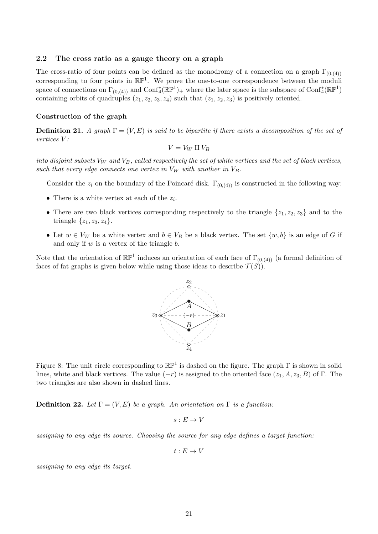#### 2.2 The cross ratio as a gauge theory on a graph

The cross-ratio of four points can be defined as the monodromy of a connection on a graph  $\Gamma_{(0,(4))}$ corresponding to four points in  $\mathbb{RP}^1$ . We prove the one-to-one correspondence between the moduli space of connections on  $\Gamma_{(0,(4))}$  and  $\text{Conf}_4^*(\mathbb{RP}^1)_+$  where the later space is the subspace of  $\text{Conf}_4^*(\mathbb{RP}^1)$ containing orbits of quadruples  $(z_1, z_2, z_3, z_4)$  such that  $(z_1, z_2, z_3)$  is positively oriented.

#### Construction of the graph

**Definition 21.** A graph  $\Gamma = (V, E)$  is said to be bipartite if there exists a decomposition of the set of vertices V :

$$
V = V_W \amalg V_B
$$

into disjoint subsets  $V_W$  and  $V_B$ , called respectively the set of white vertices and the set of black vertices, such that every edge connects one vertex in  $V_W$  with another in  $V_B$ .

Consider the  $z_i$  on the boundary of the Poincaré disk.  $\Gamma_{(0,(4))}$  is constructed in the following way:

- There is a white vertex at each of the  $z_i$ .
- There are two black vertices corresponding respectively to the triangle  $\{z_1, z_2, z_3\}$  and to the triangle  $\{z_1, z_3, z_4\}.$
- Let  $w \in V_W$  be a white vertex and  $b \in V_B$  be a black vertex. The set  $\{w, b\}$  is an edge of G if and only if  $w$  is a vertex of the triangle  $b$ .

Note that the orientation of  $\mathbb{RP}^1$  induces an orientation of each face of  $\Gamma_{(0,(4))}$  (a formal definition of faces of fat graphs is given below while using those ideas to describe  $\mathcal{T}(S)$ .



Figure 8: The unit circle corresponding to  $\mathbb{RP}^1$  is dashed on the figure. The graph  $\Gamma$  is shown in solid lines, white and black vertices. The value  $(-r)$  is assigned to the oriented face  $(z_1, A, z_3, B)$  of Γ. The two triangles are also shown in dashed lines.

**Definition 22.** Let  $\Gamma = (V, E)$  be a graph. An orientation on  $\Gamma$  is a function:

 $s: E \to V$ 

assigning to any edge its source. Choosing the source for any edge defines a target function:

 $t \cdot E \rightarrow V$ 

assigning to any edge its target.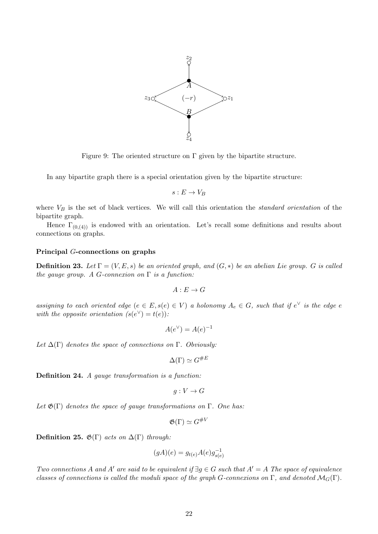

Figure 9: The oriented structure on  $\Gamma$  given by the bipartite structure.

In any bipartite graph there is a special orientation given by the bipartite structure:

$$
s: E \to V_B
$$

where  $V_B$  is the set of black vertices. We will call this orientation the *standard orientation* of the bipartite graph.

Hence  $\Gamma_{(0,(4))}$  is endowed with an orientation. Let's recall some definitions and results about connections on graphs.

#### Principal G-connections on graphs

**Definition 23.** Let  $\Gamma = (V, E, s)$  be an oriented graph, and  $(G, *)$  be an abelian Lie group. G is called the gauge group. A G-connexion on  $\Gamma$  is a function:

$$
A:E\to G
$$

assigning to each oriented edge  $(e \in E, s(e) \in V)$  a holonomy  $A_e \in G$ , such that if  $e^{\vee}$  is the edge  $e$ with the opposite orientation  $(s(e^{\vee}) = t(e))$ :

$$
A(e^{\vee}) = A(e)^{-1}
$$

Let  $\Delta(\Gamma)$  denotes the space of connections on  $\Gamma$ . Obviously:

$$
\Delta(\Gamma) \simeq G^{\#E}
$$

Definition 24. A gauge transformation is a function:

$$
g: V \to G
$$

Let  $\mathfrak{G}(\Gamma)$  denotes the space of gauge transformations on  $\Gamma$ . One has:

$$
\mathfrak{G}(\Gamma) \simeq G^{\#V}
$$

Definition 25.  $\mathfrak{G}(\Gamma)$  acts on  $\Delta(\Gamma)$  through:

$$
(gA)(e) = g_{t(e)}A(e)g_{s(e)}^{-1}
$$

Two connections A and A' are said to be equivalent if  $\exists q \in G$  such that  $A' = A$  The space of equivalence classes of connections is called the moduli space of the graph G-connexions on Γ, and denoted  $\mathcal{M}_G(\Gamma)$ .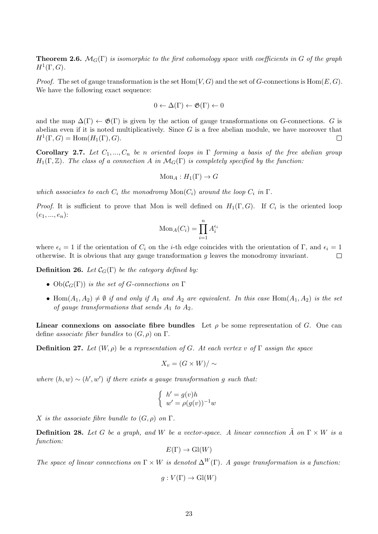**Theorem 2.6.**  $\mathcal{M}_G(\Gamma)$  is isomorphic to the first cohomology space with coefficients in G of the graph  $H^1(\Gamma,G).$ 

*Proof.* The set of gauge transformation is the set Hom $(V, G)$  and the set of G-connections is Hom $(E, G)$ . We have the following exact sequence:

$$
0 \leftarrow \Delta(\Gamma) \leftarrow \mathfrak{G}(\Gamma) \leftarrow 0
$$

and the map  $\Delta(\Gamma) \leftarrow \mathfrak{G}(\Gamma)$  is given by the action of gauge transformations on G-connections. G is abelian even if it is noted multiplicatively. Since  $G$  is a free abelian module, we have moreover that  $H^1(\Gamma, G) = \text{Hom}(H_1(\Gamma), G).$  $\Box$ 

**Corollary 2.7.** Let  $C_1, ..., C_n$  be n oriented loops in  $\Gamma$  forming a basis of the free abelian group  $H_1(\Gamma, \mathbb{Z})$ . The class of a connection A in  $\mathcal{M}_G(\Gamma)$  is completely specified by the function:

$$
\text{Mon}_A: H_1(\Gamma) \to G
$$

which associates to each  $C_i$  the monodromy  $Mon(C_i)$  around the loop  $C_i$  in  $\Gamma$ .

*Proof.* It is sufficient to prove that Mon is well defined on  $H_1(\Gamma, G)$ . If  $C_i$  is the oriented loop  $(e_1, ..., e_n)$ :

$$
\text{Mon}_A(C_i) = \prod_{i=1}^n A_i^{\epsilon_i}
$$

where  $\epsilon_i = 1$  if the orientation of  $C_i$  on the *i*-th edge coincides with the orientation of Γ, and  $\epsilon_i = 1$ otherwise. It is obvious that any gauge transformation  $q$  leaves the monodromy invariant.  $\Box$ 

**Definition 26.** Let  $\mathcal{C}_G(\Gamma)$  be the category defined by:

- $Ob(\mathcal{C}_G(\Gamma))$  is the set of G-connections on  $\Gamma$
- Hom $(A_1, A_2) \neq \emptyset$  if and only if  $A_1$  and  $A_2$  are equivalent. In this case Hom $(A_1, A_2)$  is the set of gauge transformations that sends  $A_1$  to  $A_2$ .

Linear connexions on associate fibre bundles Let  $\rho$  be some representation of G. One can define associate fiber bundles to  $(G, \rho)$  on  $\Gamma$ .

**Definition 27.** Let  $(W, \rho)$  be a representation of G. At each vertex v of  $\Gamma$  assign the space

$$
X_v = (G \times W) / \sim
$$

where  $(h, w) \sim (h', w')$  if there exists a gauge transformation g such that:

$$
\begin{cases} h' = g(v)h \\ w' = \rho(g(v))^{-1}w \end{cases}
$$

X is the associate fibre bundle to  $(G, \rho)$  on  $\Gamma$ .

**Definition 28.** Let G be a graph, and W be a vector-space. A linear connection  $\tilde{A}$  on  $\Gamma \times W$  is a function:

$$
E(\Gamma) \to Gl(W)
$$

The space of linear connections on  $\Gamma \times W$  is denoted  $\Delta^W(\Gamma)$ . A gauge transformation is a function:

$$
g: V(\Gamma) \to \mathrm{Gl}(W)
$$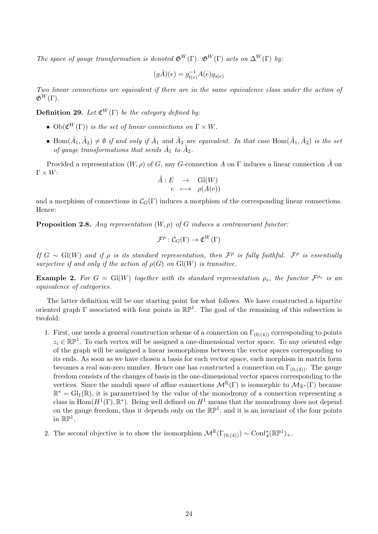The space of gauge transformation is denoted  $\mathfrak{G}^W(\Gamma)$ .  $\mathfrak{G}^W(\Gamma)$  acts on  $\Delta^W(\Gamma)$  by:

$$
(g\tilde{A})(e) = g_{t(e)}^{-1}A(e)g_{s(e)}
$$

Two linear connections are equivalent if there are in the same equivalence class under the action of  $\mathfrak{G}^W(\Gamma)$ .

**Definition 29.** Let  $\mathfrak{C}^W(\Gamma)$  be the category defined by:

- $Ob(\mathfrak{C}^W(\Gamma))$  is the set of linear connections on  $\Gamma \times W$ .
- Hom $(\tilde{A}_1, \tilde{A}_2) \neq \emptyset$  if and only if  $\tilde{A}_1$  and  $\tilde{A}_2$  are equivalent. In that case Hom $(\tilde{A}_1, \tilde{A}_2)$  is the set of gauge transformations that sends  $\tilde{A}_1$  to  $\tilde{A}_2$ .

Provided a representation  $(W, \rho)$  of G, any G-connection A on  $\Gamma$  induces a linear connection A on  $\Gamma \times W$ :

$$
\begin{array}{rcl}\n\tilde{A}:E & \to & \mathrm{Gl}(W) \\
e & \longmapsto & \rho(A(e))\n\end{array}
$$

and a morphism of connections in  $\mathcal{C}_G(\Gamma)$  induces a morphism of the corresponding linear connections. Hence:

**Proposition 2.8.** Any representation  $(W, \rho)$  of G induces a contravariant functor:

$$
\mathcal{F}^\rho:\mathcal{C}_G(\Gamma)\to\mathfrak{C}^W(\Gamma)
$$

If  $G \sim Gl(W)$  and if  $\rho$  is its standard representation, then  $\mathcal{F}^{\rho}$  is fully faithful.  $\mathcal{F}^{\rho}$  is essentially surjective if and only if the action of  $\rho(G)$  on  $Gl(W)$  is transitive.

**Example 2.** For  $G = Gl(W)$  together with its standard representation  $\rho_s$ , the functor  $\mathcal{F}^{\rho_s}$  is an equivalence of categories.

The latter definition will be our starting point for what follows. We have constructed a bipartite oriented graph  $\Gamma$  associated with four points in  $\mathbb{RP}^1$ . The goal of the remaining of this subsection is twofold:

- 1. First, one needs a general construction scheme of a connection on  $\Gamma_{(0,(4))}$  corresponding to points  $z_i \in \mathbb{RP}^1$ . To each vertex will be assigned a one-dimensional vector space. To any oriented edge of the graph will be assigned a linear isomorphisms between the vector spaces corresponding to its ends. As soon as we have chosen a basis for each vector space, each morphism in matrix form becomes a real non-zero number. Hence one has constructed a connection on  $\Gamma_{(0,(4))}$ . The gauge freedom consists of the changes of basis in the one-dimensional vector spaces corresponding to the vertices. Since the moduli space of affine connections  $\mathcal{M}^{\mathbb{R}}(\Gamma)$  is isomorphic to  $\mathcal{M}_{\mathbb{R}^*}(\Gamma)$  because  $\mathbb{R}^* = Gl_1(\mathbb{R})$ , it is parametrised by the value of the monodromy of a connection representing a class in  $\text{Hom}(H^1(\Gamma), \mathbb{R}^*)$ . Being well defined on  $H^1$  means that the monodromy does not depend on the gauge freedom, thus it depends only on the  $\mathbb{RP}^1$ , and it is an invariant of the four points in  $\mathbb{RP}^1$ .
- 2. The second objective is to show the isomorphism  $\mathcal{M}^{\mathbb{R}}(\Gamma_{(0,(4))}) \sim \text{Conf}_{4}^{*}(\mathbb{RP}^{1})_{+}$ .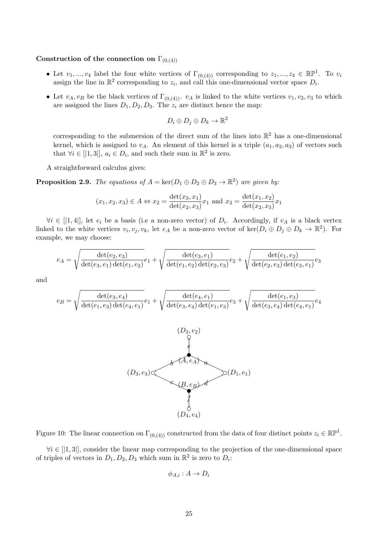## Construction of the connection on  $\Gamma_{(0,(4))}$

- Let  $v_1, ..., v_4$  label the four white vertices of  $\Gamma_{(0,(4))}$  corresponding to  $z_1, ..., z_4 \in \mathbb{RP}^1$ . To  $v_i$ assign the line in  $\mathbb{R}^2$  corresponding to  $z_i$ , and call this one-dimensional vector space  $D_i$ .
- Let  $v_A, v_B$  be the black vertices of  $\Gamma_{(0,(4))}$ .  $v_A$  is linked to the white vertices  $v_1, v_2, v_3$  to which are assigned the lines  $D_1, D_2, D_3$ . The  $z_i$  are distinct hence the map:

$$
D_i \oplus D_j \oplus D_k \to \mathbb{R}^2
$$

corresponding to the submersion of the direct sum of the lines into  $\mathbb{R}^2$  has a one-dimensional kernel, which is assigned to  $v_A$ . An element of this kernel is a triple  $(a_1, a_2, a_3)$  of vectors such that  $\forall i \in [|1,3|], a_i \in D_i$ , and such their sum in  $\mathbb{R}^2$  is zero.

A straightforward calculus gives:

**Proposition 2.9.** The equations of  $A = \text{ker}(D_1 \oplus D_2 \oplus D_3 \rightarrow \mathbb{R}^2)$  are given by:

$$
(x_1, x_2, x_3) \in A \Leftrightarrow x_2 = \frac{\det(x_3, x_1)}{\det(x_2, x_3)} x_1
$$
 and  $x_3 = \frac{\det(x_1, x_2)}{\det(x_2, x_3)} x_1$ 

 $\forall i \in [1, 4],$  let  $e_i$  be a basis (i.e a non-zero vector) of  $D_i$ . Accordingly, if  $v_A$  is a black vertex linked to the white vertices  $v_i, v_j, v_k$ , let  $e_A$  be a non-zero vector of ker $(D_i \oplus D_j \oplus D_k \to \mathbb{R}^2)$ . For example, we may choose:

$$
e_A = \sqrt{\frac{\det(e_2, e_3)}{\det(e_3, e_1)\det(e_1, e_2)}} e_1 + \sqrt{\frac{\det(e_3, e_1)}{\det(e_1, e_2)\det(e_2, e_3)}} e_2 + \sqrt{\frac{\det(e_1, e_2)}{\det(e_2, e_3)\det(e_3, e_1)}} e_3
$$

and

$$
e_B = \sqrt{\frac{\det(e_3, e_4)}{\det(e_1, e_3)\det(e_4, e_1)}} e_1 + \sqrt{\frac{\det(e_4, e_1)}{\det(e_3, e_4)\det(e_1, e_3)}} e_3 + \sqrt{\frac{\det(e_1, e_3)}{\det(e_3, e_4)\det(e_4, e_1)}} e_4
$$



Figure 10: The linear connection on  $\Gamma_{(0,(4))}$  constructed from the data of four distinct points  $z_i \in \mathbb{RP}^1$ .

 $\forall i \in [1, 3],$  consider the linear map corresponding to the projection of the one-dimensional space of triples of vectors in  $D_1, D_2, D_3$  which sum in  $\mathbb{R}^2$  is zero to  $D_i$ :

$$
\phi_{A,i}: A \to D_i
$$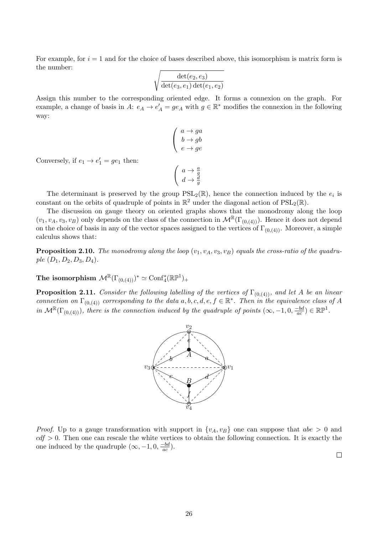For example, for  $i = 1$  and for the choice of bases described above, this isomorphism is matrix form is the number:

$$
\sqrt{\frac{\det(e_2,e_3)}{\det(e_3,e_1)\det(e_1,e_2)}}
$$

Assign this number to the corresponding oriented edge. It forms a connexion on the graph. For example, a change of basis in A:  $e_A \to e'_A = ge_A$  with  $g \in \mathbb{R}^*$  modifies the connexion in the following way:

> $a \rightarrow ga$  $b \rightarrow g b$  $e \rightarrow ge$

 $\sqrt{ }$  $\overline{1}$ 

Conversely, if  $e_1 \rightarrow e'_1 = ge_1$  then:

$$
\left(\begin{array}{c}a \to \frac{a}{g} \\d \to \frac{d}{g}\end{array}\right)
$$

The determinant is preserved by the group  $PSL_2(\mathbb{R})$ , hence the connection induced by the  $e_i$  is constant on the orbits of quadruple of points in  $\mathbb{R}^2$  under the diagonal action of  $PSL_2(\mathbb{R})$ .

The discussion on gauge theory on oriented graphs shows that the monodromy along the loop  $(v_1, v_A, v_3, v_B)$  only depends on the class of the connection in  $\mathcal{M}^{\mathbb{R}}(\Gamma_{(0,4)})$ . Hence it does not depend on the choice of basis in any of the vector spaces assigned to the vertices of  $\Gamma_{(0,(4))}$ . Moreover, a simple calculus shows that:

**Proposition 2.10.** The monodromy along the loop  $(v_1, v_A, v_3, v_B)$  equals the cross-ratio of the quadruple  $(D_1, D_2, D_3, D_4)$ .

The isomorphism  $\mathcal{M}^{\mathbb{R}}(\Gamma_{(0,(4))})^* \simeq \text{Conf}_{4}^*(\mathbb{RP}^1)_+$ 

**Proposition 2.11.** Consider the following labelling of the vertices of  $\Gamma_{(0,(4))}$ , and let A be an linear connection on  $\Gamma_{(0,(4))}$  corresponding to the data a, b, c, d, e,  $f \in \mathbb{R}^*$ . Then in the equivalence class of A in  $\mathcal{M}^{\mathbb{R}}(\Gamma_{(0,(4))})$ , there is the connection induced by the quadruple of points  $(\infty, -1, 0, \frac{-bd}{ac})$  $\frac{-bd}{ac}) \in \mathbb{RP}^1$ .



*Proof.* Up to a gauge transformation with support in  $\{v_A, v_B\}$  one can suppose that  $abe > 0$  and  $cdf > 0$ . Then one can rescale the white vertices to obtain the following connection. It is exactly the one induced by the quadruple  $(\infty, -1, 0, \frac{-bd}{ac})$  $\frac{-bd}{ac}$ ).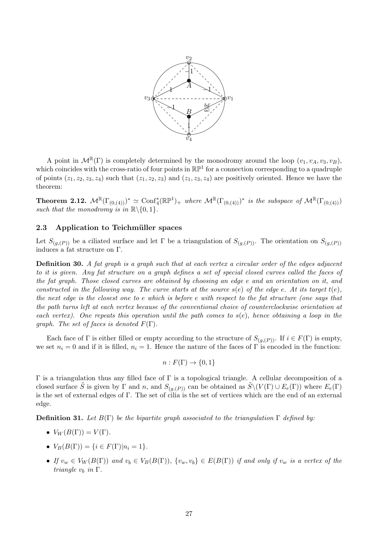

A point in  $\mathcal{M}^{\mathbb{R}}(\Gamma)$  is completely determined by the monodromy around the loop  $(v_1, v_A, v_3, v_B)$ , which coincides with the cross-ratio of four points in  $\mathbb{RP}^1$  for a connection corresponding to a quadruple of points  $(z_1, z_2, z_3, z_4)$  such that  $(z_1, z_2, z_3)$  and  $(z_1, z_3, z_4)$  are positively oriented. Hence we have the theorem:

**Theorem 2.12.**  $\mathcal{M}^{\mathbb{R}}(\Gamma_{(0,(4))})^* \simeq \text{Conf}_4^*(\mathbb{RP}^1)_+$  where  $\mathcal{M}^{\mathbb{R}}(\Gamma_{(0,(4))})^*$  is the subspace of  $\mathcal{M}^{\mathbb{R}}(\Gamma_{(0,(4))})$ such that the monodromy is in  $\mathbb{R}\setminus\{0, 1\}.$ 

### 2.3 Application to Teichmüller spaces

Let  $S_{(g,(P))}$  be a ciliated surface and let Γ be a triangulation of  $S_{(g,(P))}$ . The orientation on  $S_{(g,(P))}$ induces a fat structure on  $\Gamma.$ 

Definition 30. A fat graph is a graph such that at each vertex a circular order of the edges adjacent to it is given. Any fat structure on a graph defines a set of special closed curves called the faces of the fat graph. Those closed curves are obtained by choosing an edge e and an orientation on it, and constructed in the following way. The curve starts at the source  $s(e)$  of the edge e. At its target  $t(e)$ , the next edge is the closest one to e which is before e with respect to the fat structure (one says that the path turns left at each vertex because of the conventional choice of counterclockwise orientation at each vertex). One repeats this operation until the path comes to  $s(e)$ , hence obtaining a loop in the *graph.* The set of faces is denoted  $F(\Gamma)$ .

Each face of  $\Gamma$  is either filled or empty according to the structure of  $S_{(q,(P))}$ . If  $i \in F(\Gamma)$  is empty, we set  $n_i = 0$  and if it is filled,  $n_i = 1$ . Hence the nature of the faces of Γ is encoded in the function:

$$
n: F(\Gamma) \to \{0, 1\}
$$

 $Γ$  is a triangulation thus any filled face of  $Γ$  is a topological triangle. A cellular decomposition of a closed surface S is given by Γ and n, and  $S_{(g,(P))}$  can be obtained as  $\widetilde{S}\setminus (V(\Gamma) \cup E_e(\Gamma))$  where  $E_e(\Gamma)$ is the set of external edges of Γ. The set of cilia is the set of vertices which are the end of an external edge.

**Definition 31.** Let  $B(\Gamma)$  be the bipartite graph associated to the triangulation  $\Gamma$  defined by:

- $V_W(B(\Gamma)) = V(\Gamma)$ .
- $V_B(B(\Gamma)) = \{i \in F(\Gamma)|n_i = 1\}.$
- If  $v_w \in V_W(B(\Gamma))$  and  $v_b \in V_B(B(\Gamma))$ ,  $\{v_w, v_b\} \in E(B(\Gamma))$  if and only if  $v_w$  is a vertex of the triangle  $v_h$  in  $\Gamma$ .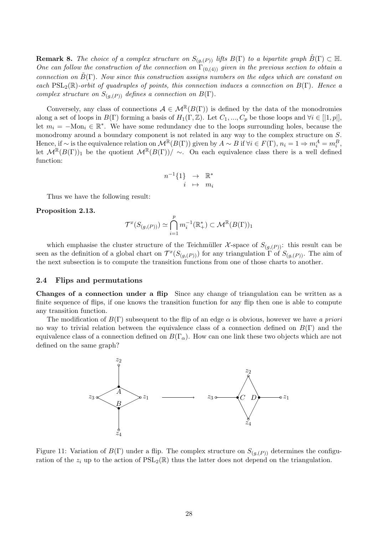**Remark 8.** The choice of a complex structure on  $S_{(q,(P))}$  lifts  $B(\Gamma)$  to a bipartite graph  $\tilde{B}(\Gamma) \subset \mathbb{H}$ . One can follow the construction of the connection on  $\Gamma_{(0,(4))}$  given in the previous section to obtain a connection on  $\tilde{B}(\Gamma)$ . Now since this construction assigns numbers on the edges which are constant on each  $PSL_2(\mathbb{R})$ -orbit of quadruples of points, this connection induces a connection on  $B(\Gamma)$ . Hence a complex structure on  $S_{(q,(P))}$  defines a connection on  $B(\Gamma)$ .

Conversely, any class of connections  $A \in \mathcal{M}^{\mathbb{R}}(B(\Gamma))$  is defined by the data of the monodromies along a set of loops in  $B(\Gamma)$  forming a basis of  $H_1(\Gamma, \mathbb{Z})$ . Let  $C_1, ..., C_p$  be those loops and  $\forall i \in [\lceil 1, p \rceil]$ , let  $m_i = -\text{Mon}_i \in \mathbb{R}^*$ . We have some redundancy due to the loops surrounding holes, because the monodromy around a boundary component is not related in any way to the complex structure on S. Hence, if  $\sim$  is the equivalence relation on  $\mathcal{M}^{\mathbb{R}}(B(\Gamma))$  given by  $A \sim B$  if  $\forall i \in F(\Gamma), n_i = 1 \Rightarrow m_i^A = m_i^B$ , let  $\mathcal{M}^{\mathbb{R}}(B(\Gamma))_1$  be the quotient  $\mathcal{M}^{\mathbb{R}}(B(\Gamma))$  ~. On each equivalence class there is a well defined function:

$$
n^{-1}\{1\} \rightarrow \mathbb{R}^*
$$
  
 $i \mapsto m_i$ 

Thus we have the following result:

Proposition 2.13.

$$
\mathcal{T}^x(S_{(g,(P))}) \simeq \bigcap_{i=1}^p m_i^{-1}(\mathbb{R}_+^*) \subset \mathcal{M}^{\mathbb{R}}(B(\Gamma))_1
$$

which emphasise the cluster structure of the Teichmüller X-space of  $S_{(g,(P))}$ : this result can be seen as the definition of a global chart on  $\mathcal{T}^x(S_{(g,(P))})$  for any triangulation  $\Gamma$  of  $S_{(g,(P))}$ . The aim of the next subsection is to compute the transition functions from one of those charts to another.

### 2.4 Flips and permutations

Changes of a connection under a flip Since any change of triangulation can be written as a finite sequence of flips, if one knows the transition function for any flip then one is able to compute any transition function.

The modification of  $B(\Gamma)$  subsequent to the flip of an edge  $\alpha$  is obvious, however we have a priori no way to trivial relation between the equivalence class of a connection defined on  $B(\Gamma)$  and the equivalence class of a connection defined on  $B(\Gamma_\alpha)$ . How can one link these two objects which are not defined on the same graph?



Figure 11: Variation of  $B(\Gamma)$  under a flip. The complex structure on  $S_{(g,(P))}$  determines the configuration of the  $z_i$  up to the action of  $PSL_2(\mathbb{R})$  thus the latter does not depend on the triangulation.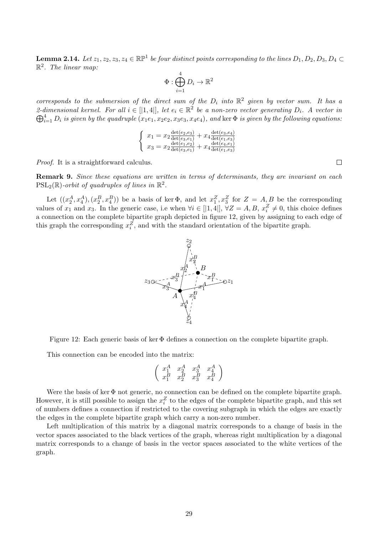**Lemma 2.14.** Let  $z_1, z_2, z_3, z_4 \in \mathbb{RP}^1$  be four distinct points corresponding to the lines  $D_1, D_2, D_3, D_4 \subset$  $\mathbb{R}^2$ . The linear map:

$$
\Phi: \bigoplus_{i=1}^4 D_i \to \mathbb{R}^2
$$

corresponds to the submersion of the direct sum of the  $D_i$  into  $\mathbb{R}^2$  given by vector sum. It has a 2-dimensional kernel. For all  $i \in [[1, 4]],$  let  $e_i \in \mathbb{R}^2$  be a non-zero vector generating  $D_i$ . A vector in  $\bigoplus_{i=1}^4 D_i$  is given by the quadruple  $(x_1e_1, x_2e_2, x_3e_3, x_4e_4)$ , and ker  $\Phi$  is given by the following equations:

$$
\begin{cases}\nx_1 = x_2 \frac{\det(e_2, e_3)}{\det(e_3, e_1)} + x_4 \frac{\det(e_3, e_4)}{\det(e_1, e_3)} \\
x_3 = x_2 \frac{\det(e_1, e_2)}{\det(e_3, e_1)} + x_4 \frac{\det(e_4, e_1)}{\det(e_1, e_3)}\n\end{cases}
$$

Proof. It is a straightforward calculus.

Remark 9. Since these equations are written in terms of determinants, they are invariant on each  $\mathrm{PSL}_2(\mathbb{R})$ -orbit of quadruples of lines in  $\mathbb{R}^2$ .

Let  $((x_2^A, x_4^A), (x_2^B, x_4^B))$  be a basis of ker  $\Phi$ , and let  $x_1^Z, x_3^Z$  for  $Z = A, B$  be the corresponding values of  $x_1$  and  $x_3$ . In the generic case, i.e when  $\forall i \in [|1,4|], \forall Z = A, B, x_i^Z \neq 0$ , this choice defines a connection on the complete bipartite graph depicted in figure 12, given by assigning to each edge of this graph the corresponding  $x_i^Z$ , and with the standard orientation of the bipartite graph.



Figure 12: Each generic basis of ker  $\Phi$  defines a connection on the complete bipartite graph.

This connection can be encoded into the matrix:

$$
\left(\begin{array}{ccc} x_1^A & x_2^A & x_3^A & x_4^A \\ x_1^B & x_2^B & x_3^B & x_4^B \end{array}\right)
$$

Were the basis of ker  $\Phi$  not generic, no connection can be defined on the complete bipartite graph. However, it is still possible to assign the  $x_i^Z$  to the edges of the complete bipartite graph, and this set of numbers defines a connection if restricted to the covering subgraph in which the edges are exactly the edges in the complete bipartite graph which carry a non-zero number.

Left multiplication of this matrix by a diagonal matrix corresponds to a change of basis in the vector spaces associated to the black vertices of the graph, whereas right multiplication by a diagonal matrix corresponds to a change of basis in the vector spaces associated to the white vertices of the graph.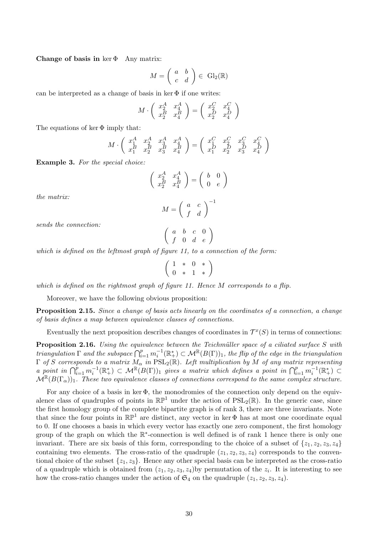Change of basis in  $\ker \Phi$  Any matrix:

$$
M = \left(\begin{array}{cc} a & b \\ c & d \end{array}\right) \in \text{ Gl}_2(\mathbb{R})
$$

can be interpreted as a change of basis in ker  $\Phi$  if one writes:

$$
M \cdot \left(\begin{array}{cc} x_2^A & x_4^A \\ x_2^B & x_4^B \end{array}\right) = \left(\begin{array}{cc} x_2^C & x_4^C \\ x_2^D & x_4^D \end{array}\right)
$$

The equations of ker  $\Phi$  imply that:

$$
M \cdot \left( \begin{array}{ccc} x_1^A & x_2^A & x_3^A & x_4^A \\ x_1^B & x_2^B & x_3^B & x_4^B \end{array} \right) = \left( \begin{array}{ccc} x_1^C & x_2^C & x_3^C & x_4^C \\ x_1^D & x_2^D & x_3^D & x_4^D \end{array} \right)
$$

Example 3. For the special choice:

$$
\begin{pmatrix} x_2^A & x_4^A \\ x_2^B & x_4^B \end{pmatrix} = \begin{pmatrix} b & 0 \\ 0 & e \end{pmatrix}
$$

$$
M = \begin{pmatrix} a & c \end{pmatrix}^{-1}
$$

the matrix:

$$
M = \left(\begin{array}{cc} a & c \\ f & d \end{array}\right)^{-1}
$$

sends the connection:

$$
\left(\begin{array}{cccc}a&b&c&0\\f&0&d&e\end{array}\right)
$$

which is defined on the leftmost graph of figure 11, to a connection of the form:

$$
\left(\begin{array}{ccc} 1 & * & 0 & * \\ 0 & * & 1 & * \end{array}\right)
$$

which is defined on the rightmost graph of figure 11. Hence  $M$  corresponds to a flip.

Moreover, we have the following obvious proposition:

Proposition 2.15. Since a change of basis acts linearly on the coordinates of a connection, a change of basis defines a map between equivalence classes of connections.

Eventually the next proposition describes changes of coordinates in  $\mathcal{T}^x(S)$  in terms of connections:

**Proposition 2.16.** Using the equivalence between the Teichmüller space of a ciliated surface S with  $triangulation \Gamma$  and the subspace  $\bigcap_{i=1}^p m_i^{-1}(\mathbb{R}_+^*) \subset \mathcal{M}^{\mathbb{R}}(B(\Gamma))_1$ , the flip of the edge in the triangulation  $\Gamma$  of S corresponds to a matrix  $M_{\alpha}$  in  $\widehat{\mathrm{PSL}}_2(\mathbb{R})$ . Left multiplication by M of any matrix representing a point in  $\bigcap_{i=1}^p m_i^{-1}(\mathbb{R}_+^*) \subset \mathcal{M}^{\mathbb{R}}(B(\Gamma))_1$  gives a matrix which defines a point in  $\bigcap_{i=1}^p m_i^{-1}(\mathbb{R}_+^*) \subset$  $\mathcal{M}^{\mathbb{R}}(B(\Gamma_{\alpha}))_1$ . These two equivalence classes of connections correspond to the same complex structure.

For any choice of a basis in ker Φ, the monodromies of the connection only depend on the equivalence class of quadruples of points in  $\mathbb{RP}^1$  under the action of  $PSL_2(\mathbb{R})$ . In the generic case, since the first homology group of the complete bipartite graph is of rank 3, there are three invariants. Note that since the four points in  $\mathbb{RP}^1$  are distinct, any vector in ker  $\Phi$  has at most one coordinate equal to 0. If one chooses a basis in which every vector has exactly one zero component, the first homology group of the graph on which the ℝ<sup>\*</sup>-connection is well defined is of rank 1 hence there is only one invariant. There are six basis of this form, corresponding to the choice of a subset of  $\{z_1, z_2, z_3, z_4\}$ containing two elements. The cross-ratio of the quadruple  $(z_1, z_2, z_3, z_4)$  corresponds to the conventional choice of the subset  $\{z_1, z_3\}$ . Hence any other special basis can be interpreted as the cross-ratio of a quadruple which is obtained from  $(z_1, z_2, z_3, z_4)$  by permutation of the  $z_i$ . It is interesting to see how the cross-ratio changes under the action of  $\mathfrak{S}_4$  on the quadruple  $(z_1, z_2, z_3, z_4)$ .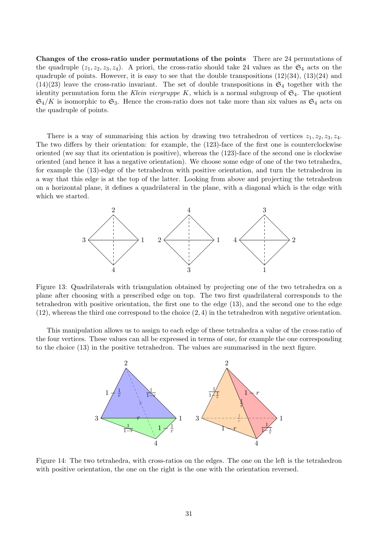Changes of the cross-ratio under permutations of the points There are 24 permutations of the quadruple  $(z_1, z_2, z_3, z_4)$ . A priori, the cross-ratio should take 24 values as the  $\mathfrak{S}_4$  acts on the quadruple of points. However, it is easy to see that the double transpositions  $(12)(34)$ ,  $(13)(24)$  and  $(14)(23)$  leave the cross-ratio invariant. The set of double transpositions in  $\mathfrak{S}_4$  together with the identity permutation form the Klein viergruppe K, which is a normal subgroup of  $\mathfrak{S}_4$ . The quotient  $\mathfrak{S}_4/K$  is isomorphic to  $\mathfrak{S}_3$ . Hence the cross-ratio does not take more than six values as  $\mathfrak{S}_4$  acts on the quadruple of points.

There is a way of summarising this action by drawing two tetrahedron of vertices  $z_1, z_2, z_3, z_4$ . The two differs by their orientation: for example, the (123)-face of the first one is counterclockwise oriented (we say that its orientation is positive), whereas the (123)-face of the second one is clockwise oriented (and hence it has a negative orientation). We choose some edge of one of the two tetrahedra, for example the (13)-edge of the tetrahedron with positive orientation, and turn the tetrahedron in a way that this edge is at the top of the latter. Looking from above and projecting the tetrahedron on a horizontal plane, it defines a quadrilateral in the plane, with a diagonal which is the edge with which we started.



Figure 13: Quadrilaterals with triangulation obtained by projecting one of the two tetrahedra on a plane after choosing with a prescribed edge on top. The two first quadrilateral corresponds to the tetrahedron with positive orientation, the first one to the edge (13), and the second one to the edge  $(12)$ , whereas the third one correspond to the choice  $(2, 4)$  in the tetrahedron with negative orientation.

This manipulation allows us to assign to each edge of these tetrahedra a value of the cross-ratio of the four vertices. These values can all be expressed in terms of one, for example the one corresponding to the choice (13) in the positive tetrahedron. The values are summarised in the next figure.



Figure 14: The two tetrahedra, with cross-ratios on the edges. The one on the left is the tetrahedron with positive orientation, the one on the right is the one with the orientation reversed.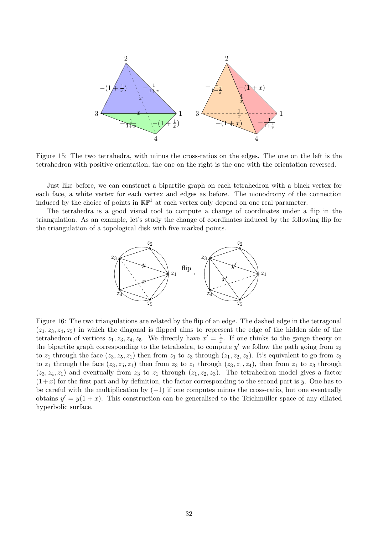

Figure 15: The two tetrahedra, with minus the cross-ratios on the edges. The one on the left is the tetrahedron with positive orientation, the one on the right is the one with the orientation reversed.

Just like before, we can construct a bipartite graph on each tetrahedron with a black vertex for each face, a white vertex for each vertex and edges as before. The monodromy of the connection induced by the choice of points in  $\mathbb{RP}^1$  at each vertex only depend on one real parameter.

The tetrahedra is a good visual tool to compute a change of coordinates under a flip in the triangulation. As an example, let's study the change of coordinates induced by the following flip for the triangulation of a topological disk with five marked points.



Figure 16: The two triangulations are related by the flip of an edge. The dashed edge in the tetragonal  $(z_1, z_3, z_4, z_5)$  in which the diagonal is flipped aims to represent the edge of the hidden side of the tetrahedron of vertices  $z_1, z_3, z_4, z_5$ . We directly have  $x' = \frac{1}{x}$  $\frac{1}{x}$ . If one thinks to the gauge theory on the bipartite graph corresponding to the tetrahedra, to compute  $y'$  we follow the path going from  $z_3$ to  $z_1$  through the face  $(z_3, z_5, z_1)$  then from  $z_1$  to  $z_3$  through  $(z_1, z_2, z_3)$ . It's equivalent to go from  $z_3$ to  $z_1$  through the face  $(z_3, z_5, z_1)$  then from  $z_3$  to  $z_1$  through  $(z_3, z_1, z_4)$ , then from  $z_1$  to  $z_3$  through  $(z_3, z_4, z_1)$  and eventually from  $z_3$  to  $z_1$  through  $(z_1, z_2, z_3)$ . The tetrahedron model gives a factor  $(1+x)$  for the first part and by definition, the factor corresponding to the second part is y. One has to be careful with the multiplication by  $(-1)$  if one computes minus the cross-ratio, but one eventually obtains  $y' = y(1 + x)$ . This construction can be generalised to the Teichmüller space of any ciliated hyperbolic surface.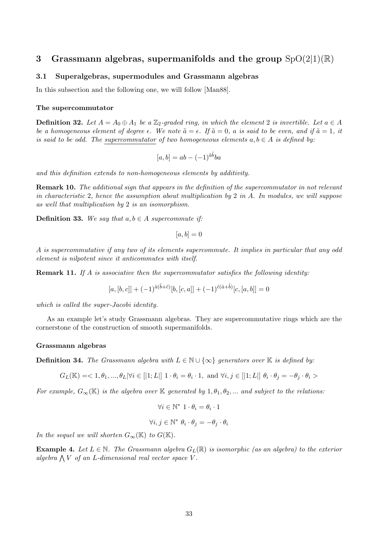## 3 Grassmann algebras, supermanifolds and the group  $SpO(2|1)(\mathbb{R})$

## 3.1 Superalgebras, supermodules and Grassmann algebras

In this subsection and the following one, we will follow [Man88].

#### The supercommutator

**Definition 32.** Let  $A = A_0 \oplus A_1$  be a  $\mathbb{Z}_2$ -graded ring, in which the element 2 is invertible. Let  $a \in A$ be a homogeneous element of degree  $\epsilon$ . We note  $\tilde{a} = \epsilon$ . If  $\tilde{a} = 0$ , a is said to be even, and if  $\tilde{a} = 1$ , it is said to be odd. The supercommutator of two homogeneous elements  $a, b \in A$  is defined by:

$$
[a, b] = ab - (-1)^{\tilde{a}\tilde{b}}ba
$$

and this definition extends to non-homogeneous elements by additivity.

Remark 10. The additional sign that appears in the definition of the supercommutator in not relevant in characteristic 2, hence the assumption about multiplication by 2 in  $A$ . In modules, we will suppose as well that multiplication by 2 is an isomorphism.

**Definition 33.** We say that  $a, b \in A$  supercommute if:

$$
[a, b] = 0
$$

A is supercommutative if any two of its elements supercommute. It implies in particular that any odd element is nilpotent since it anticommutes with itself.

**Remark 11.** If A is associative then the supercommutator satisfies the following identity:

$$
[a,[b,c]] + (-1)^{\tilde{a}(\tilde{b}+\tilde{c})}[b,[c,a]] + (-1)^{\tilde{c}(\tilde{a}+\tilde{b})}[c,[a,b]] = 0
$$

which is called the super-Jacobi identity.

As an example let's study Grassmann algebras. They are supercommutative rings which are the cornerstone of the construction of smooth supermanifolds.

#### Grassmann algebras

**Definition 34.** The Grassmann algebra with  $L \in \mathbb{N} \cup \{\infty\}$  generators over K is defined by:

 $G_L(\mathbb{K}) = 1, \theta_1, ..., \theta_L |\forall i \in [|1; L|] \; 1 \cdot \theta_i = \theta_i \cdot 1$ , and  $\forall i, j \in [|1; L|] \; \theta_i \cdot \theta_j = -\theta_j \cdot \theta_i > 0$ 

For example,  $G_{\infty}(\mathbb{K})$  is the algebra over K generated by  $1, \theta_1, \theta_2, ...$  and subject to the relations:

$$
\forall i \in \mathbb{N}^* \; 1 \cdot \theta_i = \theta_i \cdot 1
$$

$$
\forall i, j \in \mathbb{N}^* \; \theta_i \cdot \theta_j = -\theta_j \cdot \theta_i
$$

In the sequel we will shorten  $G_{\infty}(\mathbb{K})$  to  $G(\mathbb{K})$ .

**Example 4.** Let  $L \in \mathbb{N}$ . The Grassmann algebra  $G_L(\mathbb{R})$  is isomorphic (as an algebra) to the exterior algebra  $\bigwedge V$  of an L-dimensional real vector space V.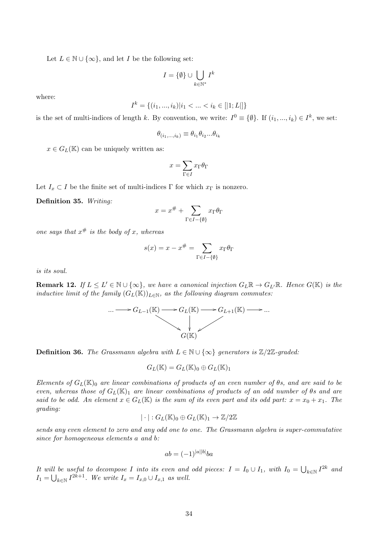Let  $L \in \mathbb{N} \cup \{\infty\}$ , and let I be the following set:

$$
I = \{\emptyset\} \cup \bigcup_{k \in \mathbb{N}^*} I^k
$$

where:

$$
I^k = \{(i_1, ..., i_k)|i_1 < ... < i_k \in [|1;L|]\}
$$

is the set of multi-indices of length k. By convention, we write:  $I^0 \equiv \{\emptyset\}$ . If  $(i_1, ..., i_k) \in I^k$ , we set:

$$
\theta_{(i_1,\ldots,i_k)}\equiv \theta_{i_1}\theta_{i_2}...\theta_{i_k}
$$

 $x \in G_L(\mathbb{K})$  can be uniquely written as:

$$
x = \sum_{\Gamma \in I} x_{\Gamma} \theta_{\Gamma}
$$

Let  $I_x \subset I$  be the finite set of multi-indices Γ for which  $x_{\Gamma}$  is nonzero.

Definition 35. Writing:

$$
x = x^{\#} + \sum_{\Gamma \in I - \{\emptyset\}} x_{\Gamma} \theta_{\Gamma}
$$

one says that  $x^{\#}$  is the body of x, whereas

$$
s(x) = x - x^{\#} = \sum_{\Gamma \in I - \{\emptyset\}} x_{\Gamma} \theta_{\Gamma}
$$

is its soul.

**Remark 12.** If  $L \leq L' \in \mathbb{N} \cup \{\infty\}$ , we have a canonical injection  $G_L \mathbb{R} \to G_{L'} \mathbb{R}$ . Hence  $G(\mathbb{K})$  is the inductive limit of the family  $(G_L(\mathbb{K}))_{L\in\mathbb{N}}$ , as the following diagram commutes:



**Definition 36.** The Grassmann algebra with  $L \in \mathbb{N} \cup \{\infty\}$  generators is  $\mathbb{Z}/2\mathbb{Z}$ -graded:

 $G_L(\mathbb{K}) = G_L(\mathbb{K})_0 \oplus G_L(\mathbb{K})_1$ 

Elements of  $G_L(\mathbb{K})_0$  are linear combinations of products of an even number of  $\theta s$ , and are said to be even, whereas those of  $G_L(\mathbb{K})_1$  are linear combinations of products of an odd number of  $\theta$ s and are said to be odd. An element  $x \in G_L(\mathbb{K})$  is the sum of its even part and its odd part:  $x = x_0 + x_1$ . The grading:

$$
|\cdot|:G_L(\mathbb{K})_0\oplus G_L(\mathbb{K})_1\to \mathbb{Z}/2\mathbb{Z}
$$

sends any even element to zero and any odd one to one. The Grassmann algebra is super-commutative since for homogeneous elements a and b:

$$
ab = (-1)^{|a||b|}ba
$$

It will be useful to decompose I into its even and odd pieces:  $I = I_0 \cup I_1$ , with  $I_0 = \bigcup_{k \in \mathbb{N}} I^{2k}$  and  $I_1 = \bigcup_{k \in \mathbb{N}} I^{2k+1}$ . We write  $I_x = I_{x,0} \cup I_{x,1}$  as well.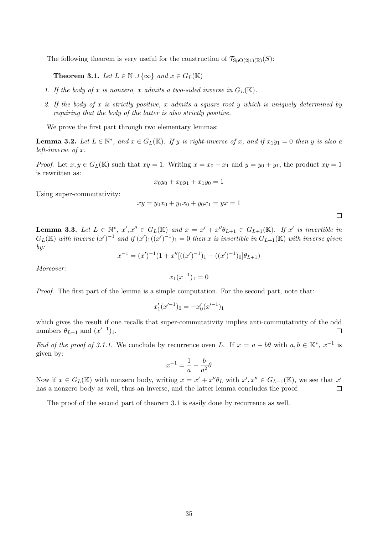The following theorem is very useful for the construction of  $\mathcal{T}_{\text{SpO}(2|1)(\mathbb{R})}(S)$ :

**Theorem 3.1.** Let  $L \in \mathbb{N} \cup \{\infty\}$  and  $x \in G_L(\mathbb{K})$ 

- 1. If the body of x is nonzero, x admits a two-sided inverse in  $G_L(\mathbb{K})$ .
- 2. If the body of x is strictly positive, x admits a square root y which is uniquely determined by requiring that the body of the latter is also strictly positive.

We prove the first part through two elementary lemmas:

**Lemma 3.2.** Let  $L \in \mathbb{N}^*$ , and  $x \in G_L(\mathbb{K})$ . If y is right-inverse of x, and if  $x_1y_1 = 0$  then y is also a left-inverse of x.

*Proof.* Let  $x, y \in G_L(\mathbb{K})$  such that  $xy = 1$ . Writing  $x = x_0 + x_1$  and  $y = y_0 + y_1$ , the product  $xy = 1$ is rewritten as:

$$
x_0y_0 + x_0y_1 + x_1y_0 = 1
$$

Using super-commutativity:

$$
xy = y_0 x_0 + y_1 x_0 + y_0 x_1 = yx = 1
$$

**Lemma 3.3.** Let  $L \in \mathbb{N}^*$ ,  $x', x'' \in G_L(\mathbb{K})$  and  $x = x' + x''\theta_{L+1} \in G_{L+1}(\mathbb{K})$ . If  $x'$  is invertible in  $G_L(\mathbb{K})$  with inverse  $(x')^{-1}$  and if  $(x')_1((x')^{-1})_1=0$  then x is invertible in  $G_{L+1}(\mathbb{K})$  with inverse given by:

$$
x^{-1} = (x')^{-1} (1 + x''[((x')^{-1})_1 - ((x')^{-1})_0]\theta_{L+1})
$$

Moreover:

$$
x_1(x^{-1})_1 = 0
$$

Proof. The first part of the lemma is a simple computation. For the second part, note that:

$$
x_1'(x'^{-1})_0 = -x_0'(x'^{-1})_1
$$

which gives the result if one recalls that super-commutativity implies anti-commutativity of the odd numbers  $\theta_{L+1}$  and  $(x'^{-1})_1$ .  $\Box$ 

End of the proof of 3.1.1. We conclude by recurrence oven L. If  $x = a + b\theta$  with  $a, b \in \mathbb{K}^*, x^{-1}$  is given by:

$$
x^{-1} = \frac{1}{a} - \frac{b}{a^2}\theta
$$

Now if  $x \in G_L(\mathbb{K})$  with nonzero body, writing  $x = x' + x''\theta_L$  with  $x', x'' \in G_{L-1}(\mathbb{K})$ , we see that  $x'$ has a nonzero body as well, thus an inverse, and the latter lemma concludes the proof.  $\Box$ 

The proof of the second part of theorem 3.1 is easily done by recurrence as well.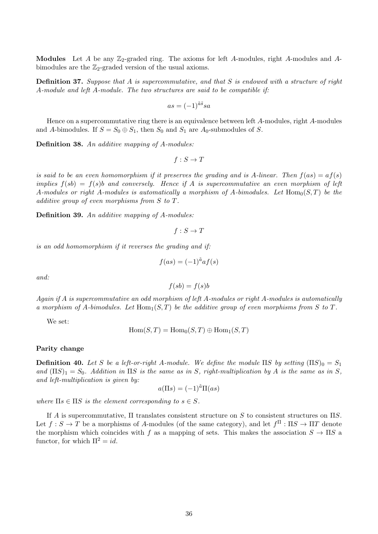Modules Let A be any  $\mathbb{Z}_2$ -graded ring. The axioms for left A-modules, right A-modules and Abimodules are the  $\mathbb{Z}_2$ -graded version of the usual axioms.

**Definition 37.** Suppose that A is supercommutative, and that S is endowed with a structure of right A-module and left A-module. The two structures are said to be compatible if:

$$
as = (-1)^{\tilde{a}\tilde{s}}sa
$$

Hence on a supercommutative ring there is an equivalence between left A-modules, right A-modules and A-bimodules. If  $S = S_0 \oplus S_1$ , then  $S_0$  and  $S_1$  are  $A_0$ -submodules of S.

Definition 38. An additive mapping of A-modules:

$$
f: S \to T
$$

is said to be an even homomorphism if it preserves the grading and is A-linear. Then  $f(as) = af(s)$ implies  $f(sb) = f(s)b$  and conversely. Hence if A is supercommutative an even morphism of left A-modules or right A-modules is automatically a morphism of A-bimodules. Let  $Hom_0(S,T)$  be the additive group of even morphisms from S to T.

Definition 39. An additive mapping of A-modules:

$$
f: S \to T
$$

is an odd homomorphism if it reverses the grading and if:

$$
f(as) = (-1)^{\tilde{a}} af(s)
$$

and:

$$
f(s\bar{b}) = f(s)\bar{b}
$$

Again if A is supercommutative an odd morphism of left A-modules or right A-modules is automatically a morphism of A-bimodules. Let  $\text{Hom}_{1}(S, T)$  be the additive group of even morphisms from S to T.

We set:

$$
Hom(S, T) = Hom_0(S, T) \oplus Hom_1(S, T)
$$

#### Parity change

**Definition 40.** Let S be a left-or-right A-module. We define the module  $\Pi S$  by setting  $(\Pi S)_0 = S_1$ and  $($ IIS $)_1 = S_0$ . Addition in IIS is the same as in S, right-multiplication by A is the same as in S, and left-multiplication is given by:

$$
a(\Pi s) = (-1)^{\tilde{a}} \Pi(as)
$$

where  $\Pi s \in \Pi S$  is the element corresponding to  $s \in S$ .

If A is supercommutative,  $\Pi$  translates consistent structure on S to consistent structures on  $\Pi S$ . Let  $f: S \to T$  be a morphisms of A-modules (of the same category), and let  $f^{\Pi}: \Pi S \to \Pi T$  denote the morphism which coincides with f as a mapping of sets. This makes the association  $S \to \Pi S$  a functor, for which  $\Pi^2 = id$ .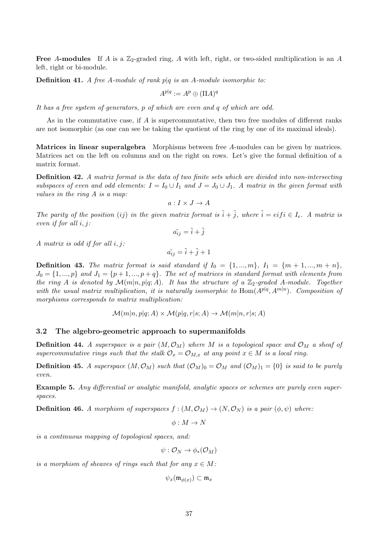Free A-modules If A is a  $\mathbb{Z}_2$ -graded ring, A with left, right, or two-sided multiplication is an A left, right or bi-module.

**Definition 41.** A free A-module of rank p $|q|$  is an A-module isomorphic to:

$$
A^{p|q} := A^p \oplus (\Pi A)^q
$$

It has a free system of generators, p of which are even and q of which are odd.

As in the commutative case, if A is supercommutative, then two free modules of different ranks are not isomorphic (as one can see be taking the quotient of the ring by one of its maximal ideals).

Matrices in linear superalgebra Morphisms between free A-modules can be given by matrices. Matrices act on the left on columns and on the right on rows. Let's give the formal definition of a matrix format.

Definition 42. A matrix format is the data of two finite sets which are divided into non-intersecting subspaces of even and odd elements:  $I = I_0 \cup I_1$  and  $J = J_0 \cup J_1$ . A matrix in the given format with values in the ring A is a map:

$$
a: I \times J \to A
$$

The parity of the position (ij) in the given matrix format is  $\tilde{i} + \tilde{j}$ , where  $\tilde{i} = eif i \in I_e$ . A matrix is even if for all i, j:

$$
\tilde{a}_{ij} = \tilde{i} + \tilde{j}
$$

A matrix is odd if for all i, j:

$$
\tilde{a}_{ij} = \tilde{i} + \tilde{j} + 1
$$

**Definition 43.** The matrix format is said standard if  $I_0 = \{1, ..., m\}$ ,  $I_1 = \{m+1, ..., m+n\}$ ,  $J_0 = \{1, ..., p\}$  and  $J_1 = \{p+1, ..., p+q\}$ . The set of matrices in standard format with elements from the ring A is denoted by  $\mathcal{M}(m|n, p|q; A)$ . It has the structure of a  $\mathbb{Z}_2$ -graded A-module. Together with the usual matrix multiplication, it is naturally isomorphic to  $\text{Hom}(A^{p|q}, A^{m|n})$ . Composition of morphisms corresponds to matrix multiplication:

$$
\mathcal{M}(m|n, p|q; A) \times \mathcal{M}(p|q, r|s; A) \to \mathcal{M}(m|n, r|s; A)
$$

#### 3.2 The algebro-geometric approach to supermanifolds

**Definition 44.** A superspace is a pair  $(M, \mathcal{O}_M)$  where M is a topological space and  $\mathcal{O}_M$  a sheaf of supercommutative rings such that the stalk  $\mathcal{O}_x = \mathcal{O}_{M,x}$  at any point  $x \in M$  is a local ring.

**Definition 45.** A superspace  $(M, \mathcal{O}_M)$  such that  $(\mathcal{O}_M)_0 = \mathcal{O}_M$  and  $(\mathcal{O}_M)_1 = \{0\}$  is said to be purely even.

Example 5. Any differential or analytic manifold, analytic spaces or schemes are purely even superspaces.

**Definition 46.** A morphism of superspaces  $f : (M, \mathcal{O}_M) \to (N, \mathcal{O}_N)$  is a pair  $(\phi, \psi)$  where:

 $\phi: M \to N$ 

is a continuous mapping of topological spaces, and:

 $\psi : \mathcal{O}_N \to \phi_*(\mathcal{O}_M)$ 

is a morphism of sheaves of rings such that for any  $x \in M$ :

$$
\psi_x(\mathfrak{m}_{\phi(x)}) \subset \mathfrak{m}_x
$$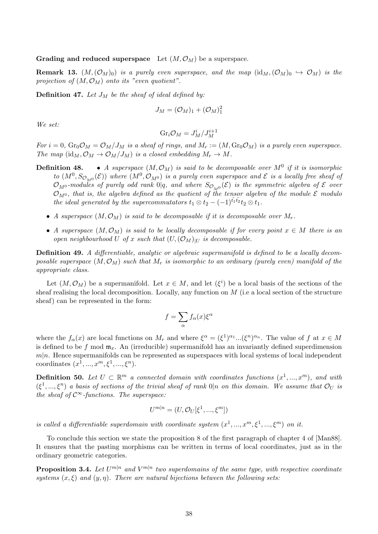Grading and reduced superspace Let  $(M, \mathcal{O}_M)$  be a superspace.

**Remark 13.**  $(M,(\mathcal{O}_M)_0)$  is a purely even superspace, and the map  $(id_M,(\mathcal{O}_M)_0 \hookrightarrow \mathcal{O}_M)$  is the projection of  $(M, \mathcal{O}_M)$  onto its "even quotient".

**Definition 47.** Let  $J_M$  be the sheaf of ideal defined by:

$$
J_M = (\mathcal{O}_M)_1 + (\mathcal{O}_M)_1^2
$$

We set:

$$
Gr_i\mathcal{O}_M=J_M^i/J_M^{i+1}
$$

For  $i = 0$ ,  $\text{Gr}_0 \mathcal{O}_M = \mathcal{O}_M / J_M$  is a sheaf of rings, and  $M_r := (M, \text{Gr}_0 \mathcal{O}_M)$  is a purely even superspace. The map  $(id_M, \mathcal{O}_M \to \mathcal{O}_M/J_M)$  is a closed embedding  $M_r \to M$ .

- **Definition 48.** A superspace  $(M, \mathcal{O}_M)$  is said to be decomposable over  $M^0$  if it is isomorphic to  $(M^0, S_{\mathcal{O}_{M^0}}(\mathcal{E}))$  where  $(M^0, \mathcal{O}_{M^0})$  is a purely even superspace and  $\mathcal E$  is a locally free sheaf of  $\mathcal{O}_{M^0}$ -modules of purely odd rank  $0|q,$  and where  $S_{\mathcal{O}_{M^0}}(\mathcal{E})$  is the symmetric algebra of  $\mathcal E$  over  $\mathcal{O}_{M^0}$ , that is, the algebra defined as the quotient of the tensor algebra of the module  $\mathcal E$  modulo the ideal generated by the supercommutators  $t_1 \otimes t_2 - (-1)^{t_1t_2}t_2 \otimes t_1$ .
	- A superspace  $(M, \mathcal{O}_M)$  is said to be decomposable if it is decomposable over  $M_r$ .
	- A superspace  $(M, \mathcal{O}_M)$  is said to be locally decomposable if for every point  $x \in M$  there is an open neighbourhood U of x such that  $(U,(\mathcal{O}_M))$  is decomposable.

Definition 49. A differentiable, analytic or algebraic supermanifold is defined to be a locally decomposable superspace  $(M, \mathcal{O}_M)$  such that  $M_r$  is isomorphic to an ordinary (purely even) manifold of the appropriate class.

Let  $(M, \mathcal{O}_M)$  be a supermanifold. Let  $x \in M$ , and let  $(\xi^i)$  be a local basis of the sections of the sheaf realising the local decomposition. Locally, any function on  $M$  (i.e a local section of the structure sheaf) can be represented in the form:

$$
f = \sum_{\alpha} f_{\alpha}(x) \xi^{\alpha}
$$

where the  $f_{\alpha}(x)$  are local functions on  $M_r$  and where  $\xi^{\alpha} = (\xi^1)^{\alpha_1} \dots (\xi^n)^{\alpha_n}$ . The value of f at  $x \in M$ is defined to be f mod  $\mathfrak{m}_x$ . An (irreducible) supermanifold has an invariantly defined superdimension  $m|n$ . Hence supermanifolds can be represented as superspaces with local systems of local independent coordinates  $(x^1, ..., x^m, \xi^1, ..., \xi^n)$ .

**Definition 50.** Let  $U \subset \mathbb{R}^m$  a connected domain with coordinates functions  $(x^1, ..., x^m)$ , and with  $(\xi^1,...,\xi^n)$  a basis of sections of the trivial sheaf of rank  $0|n$  on this domain. We assume that  $\mathcal{O}_U$  is the sheaf of  $\mathcal{C}^{\infty}$ -functions. The superspace:

$$
U^{m|n} = (U, \mathcal{O}_U[\xi^1, ..., \xi^m])
$$

is called a differentiable superdomain with coordinate system  $(x^1, ..., x^m, \xi^1, ..., \xi^m)$  on it.

To conclude this section we state the proposition 8 of the first paragraph of chapter 4 of [Man88]. It ensures that the pasting morphisms can be written in terms of local coordinates, just as in the ordinary geometric categories.

**Proposition 3.4.** Let  $U^{m|n}$  and  $V^{m|n}$  two superdomains of the same type, with respective coordinate systems  $(x, \xi)$  and  $(y, \eta)$ . There are natural bijections between the following sets: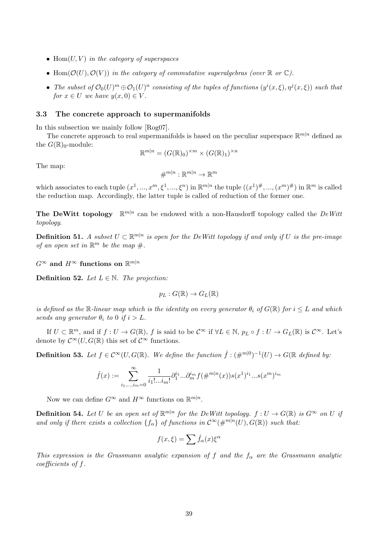- Hom $(U, V)$  in the category of superspaces
- Hom $(\mathcal{O}(U), \mathcal{O}(V))$  in the category of commutative superalgebras (over  $\mathbb R$  or  $\mathbb C$ ).
- The subset of  $\mathcal{O}_0(U)^m \oplus \mathcal{O}_1(U)^n$  consisting of the tuples of functions  $(y^i(x,\xi), \eta^j(x,\xi))$  such that for  $x \in U$  we have  $y(x, 0) \in V$ .

## 3.3 The concrete approach to supermanifolds

In this subsection we mainly follow [Rog07].

The concrete approach to real supermanifolds is based on the peculiar superspace  $\mathbb{R}^{m|n}$  defined as the  $G(\mathbb{R})_0$ -module:

$$
\mathbb{R}^{m|n} = (G(\mathbb{R})_0)^{\times m} \times (G(\mathbb{R})_1)^{\times n}
$$

The map:

$$
\#^{m|n} : \mathbb{R}^{m|n} \to \mathbb{R}^m
$$

which associates to each tuple  $(x^1, ..., x^m, \xi^1, ..., \xi^n)$  in  $\mathbb{R}^{m|n}$  the tuple  $((x^1)^{\#}, ..., (x^m)^{\#})$  in  $\mathbb{R}^m$  is called the reduction map. Accordingly, the latter tuple is called of reduction of the former one.

The DeWitt topology  $\mathbb{R}^{m|n}$  can be endowed with a non-Hausdorff topology called the DeWitt topology.

**Definition 51.** A subset  $U \subset \mathbb{R}^{m|n}$  is open for the DeWitt topology if and only if U is the pre-image of an open set in  $\mathbb{R}^m$  be the map  $\#$ .

 $G^{\infty}$  and  $H^{\infty}$  functions on  $\mathbb{R}^{m|n}$ 

**Definition 52.** Let  $L \in \mathbb{N}$ . The projection:

$$
p_L: G(\mathbb{R}) \to G_L(\mathbb{R})
$$

is defined as the R-linear map which is the identity on every generator  $\theta_i$  of  $G(\mathbb{R})$  for  $i \leq L$  and which sends any generator  $\theta_i$  to 0 if  $i > L$ .

If  $U \subset \mathbb{R}^m$ , and if  $f: U \to G(\mathbb{R})$ , f is said to be  $\mathcal{C}^{\infty}$  if  $\forall L \in \mathbb{N}$ ,  $p_L \circ f: U \to G_L(\mathbb{R})$  is  $\mathcal{C}^{\infty}$ . Let's denote by  $\mathcal{C}^{\infty}(U, G(\mathbb{R})$  this set of  $\mathcal{C}^{\infty}$  functions.

**Definition 53.** Let  $f \in C^{\infty}(U, G(\mathbb{R})$ . We define the function  $\hat{f} : (\#^{m|0})^{-1}(U) \to G(\mathbb{R}$  defined by:

$$
\hat{f}(x) := \sum_{i_1,\dots,i_m=0}^{\infty} \frac{1}{i_1! \dots i_m!} \partial_1^{i_1} \dots \partial_m^{i_m} f(\#^{m|n}(x)) s(x^1)^{i_1} \dots s(x^m)^{i_m}
$$

Now we can define  $G^{\infty}$  and  $H^{\infty}$  functions on  $\mathbb{R}^{m|n}$ .

**Definition 54.** Let U be an open set of  $\mathbb{R}^{m|n}$  for the DeWitt topology.  $f: U \to G(\mathbb{R})$  is  $G^{\infty}$  on U if and only if there exists a collection  $\{f_{\alpha}\}\$  of functions in  $\mathcal{C}^{\infty}(\#^{m|n}(U), G(\mathbb{R}))$  such that:

$$
f(x,\xi) = \sum \hat{f}_{\alpha}(x)\xi^{\alpha}
$$

This expression is the Grassmann analytic expansion of f and the  $f_{\alpha}$  are the Grassmann analytic coefficients of f.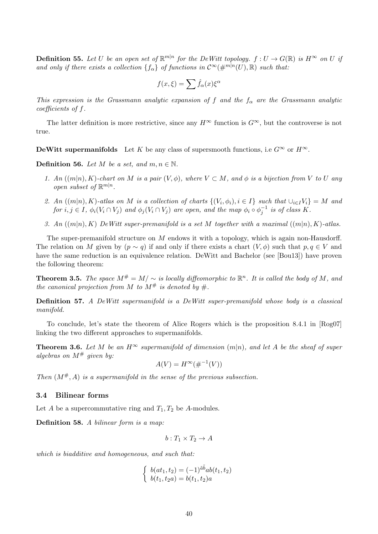**Definition 55.** Let U be an open set of  $\mathbb{R}^{m|n}$  for the DeWitt topology.  $f: U \to G(\mathbb{R})$  is  $H^{\infty}$  on U if and only if there exists a collection  $\{f_{\alpha}\}\$  of functions in  $\mathcal{C}^{\infty}(\#^{m|n}(U), \mathbb{R})$  such that:

$$
f(x,\xi) = \sum \hat{f}_{\alpha}(x)\xi^{\alpha}
$$

This expression is the Grassmann analytic expansion of f and the  $f_{\alpha}$  are the Grassmann analytic coefficients of f.

The latter definition is more restrictive, since any  $H^{\infty}$  function is  $G^{\infty}$ , but the controverse is not true.

**DeWitt supermanifolds** Let K be any class of supersmooth functions, i.e  $G^{\infty}$  or  $H^{\infty}$ .

**Definition 56.** Let M be a set, and  $m, n \in \mathbb{N}$ .

- 1. An  $((m|n), K)$ -chart on M is a pair  $(V, \phi)$ , where  $V \subset M$ , and  $\phi$  is a bijection from V to U any open subset of  $\mathbb{R}^{m|n}$ .
- 2. An  $((m|n), K)$ -atlas on M is a collection of charts  $\{(V_i, \phi_i), i \in I\}$  such that  $\cup_{i \in I} V_i\} = M$  and for  $i, j \in I$ ,  $\phi_i(V_i \cap V_j)$  and  $\phi_j(V_i \cap V_j)$  are open, and the map  $\phi_i \circ \phi_j^{-1}$  is of class K.
- 3. An  $((m|n), K)$  DeWitt super-premanifold is a set M together with a maximal  $((m|n), K)$ -atlas.

The super-premanifold structure on  $M$  endows it with a topology, which is again non-Hausdorff. The relation on M given by  $(p \sim q)$  if and only if there exists a chart  $(V, \phi)$  such that  $p, q \in V$  and have the same reduction is an equivalence relation. DeWitt and Bachelor (see [Bou13]) have proven the following theorem:

**Theorem 3.5.** The space  $M^{\#} = M/\sim$  is locally diffeomorphic to  $\mathbb{R}^n$ . It is called the body of M, and the canonical projection from M to  $M^{\#}$  is denoted by  $\#$ .

Definition 57. A DeWitt supermanifold is a DeWitt super-premanifold whose body is a classical manifold.

To conclude, let's state the theorem of Alice Rogers which is the proposition 8.4.1 in [Rog07] linking the two different approaches to supermanifolds.

**Theorem 3.6.** Let M be an  $H^{\infty}$  supermanifold of dimension  $(m|n)$ , and let A be the sheaf of super algebras on  $M^{\#}$  given by:

$$
A(V) = H^{\infty}(\#^{-1}(V))
$$

Then  $(M^{\#}, A)$  is a supermanifold in the sense of the previous subsection.

#### 3.4 Bilinear forms

Let A be a supercommutative ring and  $T_1, T_2$  be A-modules.

Definition 58. A bilinear form is a map:

$$
b: T_1 \times T_2 \to A
$$

which is biadditive and homogeneous, and such that:

$$
\begin{cases} b(at_1, t_2) = (-1)^{\tilde{a}\tilde{b}} ab(t_1, t_2) \\ b(t_1, t_2a) = b(t_1, t_2)a \end{cases}
$$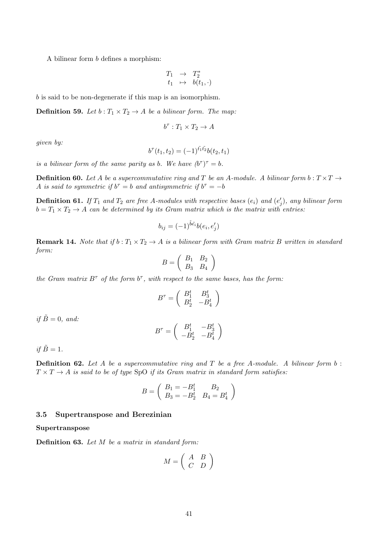A bilinear form b defines a morphism:

$$
\begin{array}{rcl} T_1 & \to & T_2^* \\ t_1 & \mapsto & b(t_1, \cdot) \end{array}
$$

b is said to be non-degenerate if this map is an isomorphism.

**Definition 59.** Let  $b: T_1 \times T_2 \to A$  be a bilinear form. The map:

$$
b^{\tau}:T_1\times T_2\to A
$$

given by:

$$
b^{\tau}(t_1, t_2) = (-1)^{\tilde{t_1}\tilde{t_2}} b(t_2, t_1)
$$

is a bilinear form of the same parity as b. We have  $(b^{\tau})^{\tau} = b$ .

**Definition 60.** Let A be a supercommutative ring and T be an A-module. A bilinear form  $b: T \times T \rightarrow$ A is said to symmetric if  $b^{\tau} = b$  and antisymmetric if  $b^{\tau} = -b$ 

**Definition 61.** If  $T_1$  and  $T_2$  are free A-modules with respective bases  $(e_i)$  and  $(e'_j)$ , any bilinear form  $b = T_1 \times T_2 \rightarrow A$  can be determined by its Gram matrix which is the matrix with entries:

$$
b_{ij} = (-1)^{\tilde{b}\tilde{e_i}} b(e_i, e'_j)
$$

**Remark 14.** Note that if  $b: T_1 \times T_2 \to A$  is a bilinear form with Gram matrix B written in standard form:

$$
B = \left(\begin{array}{cc} B_1 & B_2 \\ B_3 & B_4 \end{array}\right)
$$

the Gram matrix  $B^{\tau}$  of the form  $b^{\tau}$ , with respect to the same bases, has the form.

$$
B^{\tau} = \left(\begin{array}{cc} B_1^t & B_3^t \\ B_2^t & -B_4^t \end{array}\right)
$$

if  $\tilde{B} = 0$ , and:

$$
B^{\tau}=\left(\begin{array}{cc}B_1^t&-B_3^t\\-B_2^t&-B_4^t\end{array}\right)
$$

if  $\tilde{B}=1$ .

**Definition 62.** Let A be a supercommutative ring and T be a free A-module. A bilinear form  $b$ :  $T \times T \rightarrow A$  is said to be of type SpO if its Gram matrix in standard form satisfies:

$$
B = \left( \begin{array}{cc} B_1 = -B_1^t & B_2 \\ B_3 = -B_2^t & B_4 = B_4^t \end{array} \right)
$$

#### 3.5 Supertranspose and Berezinian

Supertranspose

Definition 63. Let M be a matrix in standard form:

$$
M = \left(\begin{array}{cc} A & B \\ C & D \end{array}\right)
$$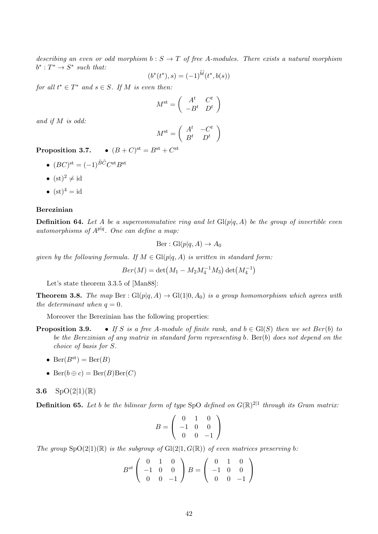describing an even or odd morphism  $b : S \to T$  of free A-modules. There exists a natural morphism  $b^*: T^* \to S^*$  such that:

$$
(b^*(t^*), s) = (-1)^{\tilde{b}\tilde{t}}(t^*, b(s))
$$

for all  $t^* \in T^*$  and  $s \in S$ . If M is even then:

$$
M^{\rm st} = \left( \begin{array}{cc} A^t & C^t \\ -B^t & D^t \end{array} \right)
$$

and if M is odd:

$$
M^{\rm st} = \left( \begin{array}{cc} A^t & -C^t \\ B^t & D^t \end{array} \right)
$$

Proposition 3.7.  $\bullet$   $(B+C)^{\text{st}} = B^{\text{st}} + C^{\text{st}}$ 

- $(BC)$ <sup>st</sup> =  $(-1)^{\tilde{B}\tilde{C}}C$ <sup>st</sup> $B$ <sup>st</sup>
- $(st)^2 \neq id$
- $(st)^4 = id$

#### Berezinian

**Definition 64.** Let A be a supercommutative ring and let  $Gl(p|q, A)$  be the group of invertible even automorphisms of  $A^{p|q}$ . One can define a map:

$$
Ber: Gl(p|q, A) \to A_0
$$

given by the following formula. If  $M \in Gl(p|q, A)$  is written in standard form:

$$
Ber(M) = det(M_1 - M_2M_4^{-1}M_3) det(M_4^{-1})
$$

Let's state theorem 3.3.5 of [Man88]:

**Theorem 3.8.** The map Ber:  $Gl(p|q, A) \rightarrow Gl(1|0, A_0)$  is a group homomorphism which agrees with the determinant when  $q = 0$ .

Moreover the Berezinian has the following properties:

- **Proposition 3.9.** If S is a free A-module of finite rank, and  $b \in Gl(S)$  then we set  $Ber(b)$  to be the Berezinian of any matrix in standard form representing b.  $\text{Ber}(b)$  does not depend on the choice of basis for S.
	- Ber $(B^{st}) = \text{Ber}(B)$
	- Ber $(b \oplus c) = \text{Ber}(B) \text{Ber}(C)$

## **3.6**  $SpO(2|1)(\mathbb{R})$

**Definition 65.** Let b be the bilinear form of type SpO defined on  $G(\mathbb{R})^{2|1}$  through its Gram matrix:

$$
B = \left(\begin{array}{rrr} 0 & 1 & 0 \\ -1 & 0 & 0 \\ 0 & 0 & -1 \end{array}\right)
$$

The group  $SpO(2|1)(\mathbb{R})$  is the subgroup of  $Gl(2|1, G(\mathbb{R}))$  of even matrices preserving b:

$$
B^{st}\left(\begin{array}{ccc}0&1&0\\-1&0&0\\0&0&-1\end{array}\right)B=\left(\begin{array}{ccc}0&1&0\\-1&0&0\\0&0&-1\end{array}\right)
$$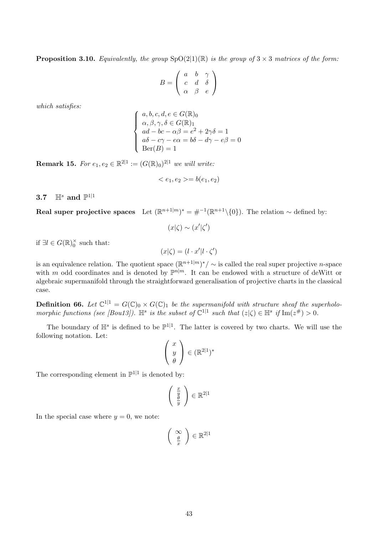**Proposition 3.10.** Equivalently, the group  $SpO(2|1)(\mathbb{R})$  is the group of  $3 \times 3$  matrices of the form:

$$
B = \left(\begin{array}{ccc} a & b & \gamma \\ c & d & \delta \\ \alpha & \beta & e \end{array}\right)
$$

which satisfies:

$$
\left\{\begin{array}{l} a,b,c,d,e\in G(\mathbb{R})_0\\ \alpha,\beta,\gamma,\delta\in G(\mathbb{R})_1\\ ad-bc-\alpha\beta=e^2+2\gamma\delta=1\\ a\delta-c\gamma-e\alpha=b\delta-d\gamma-e\beta=0\\ \text{Ber}(B)=1 \end{array}\right.
$$

**Remark 15.** For  $e_1, e_2 \in \mathbb{R}^{2|1} := (G(\mathbb{R})_0)^{2|1}$  we will write:

$$
\langle e_1, e_2 \rangle = b(e_1, e_2)
$$

 $3.7$  Hs and  $\mathbb{P}^{1|1}$ 

**Real super projective spaces** Let  $(\mathbb{R}^{n+1|m})^* = \#^{-1}(\mathbb{R}^{n+1} \setminus \{0\})$ . The relation  $\sim$  defined by:

$$
(x|\zeta) \sim (x'|\zeta')
$$

if  $\exists l \in G(\mathbb{R})_0^{\times}$  such that:

 $(x|\zeta) = (l \cdot x' | l \cdot \zeta')$ 

is an equivalence relation. The quotient space  $(\mathbb{R}^{n+1|m})^*/\sim$  is called the real super projective *n*-space with m odd coordinates and is denoted by  $\mathbb{P}^{n|m}$ . It can be endowed with a structure of deWitt or algebraic supermanifold through the straightforward generalisation of projective charts in the classical case.

**Definition 66.** Let  $\mathbb{C}^{1|1} = G(\mathbb{C})_0 \times G(\mathbb{C})_1$  be the supermanifold with structure sheaf the superholomorphic functions (see [Bou13]).  $\mathbb{H}^s$  is the subset of  $\mathbb{C}^{1|1}$  such that  $(z|\zeta) \in \mathbb{H}^s$  if  $\text{Im}(z^{\#}) > 0$ .

The boundary of  $\mathbb{H}^s$  is defined to be  $\mathbb{P}^{1|1}$ . The latter is covered by two charts. We will use the following notation. Let:

$$
\left(\begin{array}{c} x \\ y \\ \theta \end{array}\right) \in (\mathbb{R}^{2|1})^*
$$

The corresponding element in  $\mathbb{P}^{1|1}$  is denoted by:

$$
\left(\begin{array}{c}\frac{x}{y}\\\frac{\theta}{y}\end{array}\right)\in\mathbb{R}^{2|1}
$$

In the special case where  $y = 0$ , we note:

$$
\left(\begin{array}{c} \infty \\ \frac{\theta}{x} \end{array}\right) \in \mathbb{R}^{2|1}
$$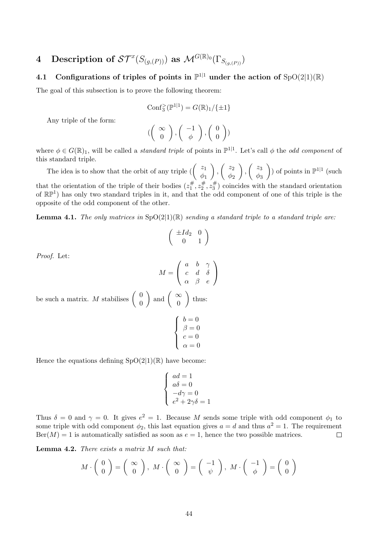# 4 Description of  $\mathcal{ST}^{x}(S_{(g,(P))})$  as  $\mathcal{M}^{G(\mathbb{R})_0}(\Gamma_{S_{(g,(P))}})$

# 4.1 Configurations of triples of points in  $\mathbb{P}^{1|1}$  under the action of  $SpO(2|1)(\mathbb{R})$

The goal of this subsection is to prove the following theorem:

Conf<sub>3</sub>
$$
(\mathbb{P}^{1|1}) = G(\mathbb{R})_1 / {\pm 1}
$$

Any triple of the form:

$$
(\left(\begin{array}{c}\infty\\0\end{array}\right), \left(\begin{array}{c}-1\\ \phi\end{array}\right), \left(\begin{array}{c}0\\0\end{array}\right))
$$

where  $\phi \in G(\mathbb{R})_1$ , will be called a *standard triple* of points in  $\mathbb{P}^{1,1}$ . Let's call  $\phi$  the *odd component* of this standard triple.

The idea is to show that the orbit of any triple  $\begin{pmatrix} z_1 \\ z_2 \end{pmatrix}$  $\phi_1$  $\bigg)$ ,  $\bigg( \begin{array}{c} z_2 \\ z_1 \end{array}$  $\phi_2$  $\bigg)$ ,  $\bigg( \begin{array}{c} z_3 \\ z_1 \end{array} \bigg)$  $\phi_3$ ) of points in  $\mathbb{P}^{1|1}$  (such that the orientation of the triple of their bodies  $(z_1^{\#})$  $z_1^{\#}, z_2^{\#}$  $x_2^{\#}, z_3^{\#}$  $\binom{\#}{3}$  coincides with the standard orientation of  $\mathbb{RP}^1$ ) has only two standard triples in it, and that the odd component of one of this triple is the opposite of the odd component of the other.

**Lemma 4.1.** The only matrices in  $SpO(2|1)(\mathbb{R})$  sending a standard triple to a standard triple are:

$$
\left(\begin{array}{cc} \pm Id_2 & 0 \\ 0 & 1 \end{array}\right)
$$

Proof. Let:

$$
M = \left(\begin{array}{ccc} a & b & \gamma \\ c & d & \delta \\ \alpha & \beta & e \end{array}\right)
$$

be such a matrix. M stabilises  $\begin{pmatrix} 0 \\ 0 \end{pmatrix}$  $\overline{0}$ ) and  $\begin{pmatrix} \infty \\ 0 \end{pmatrix}$ 0  $\Big)$  thus:

$$
\left\{\begin{array}{l} b=0\\ \beta=0\\ c=0\\ \alpha=0 \end{array}\right.
$$

Hence the equations defining  $SpO(2|1)(\mathbb{R})$  have become:

$$
\left\{ \begin{array}{l} ad=1 \\ a\delta=0 \\ -d\gamma=0 \\ e^2+2\gamma\delta= \end{array} \right.
$$

Thus  $\delta = 0$  and  $\gamma = 0$ . It gives  $e^2 = 1$ . Because M sends some triple with odd component  $\phi_1$  to some triple with odd component  $\phi_2$ , this last equation gives  $a = d$  and thus  $a^2 = 1$ . The requirement  $\text{Ber}(M) = 1$  is automatically satisfied as soon as  $e = 1$ , hence the two possible matrices.  $\Box$ 

 $\overline{1}$ 

Lemma 4.2. There exists a matrix M such that:

$$
M \cdot \left( \begin{array}{c} 0 \\ 0 \end{array} \right) = \left( \begin{array}{c} \infty \\ 0 \end{array} \right), \ M \cdot \left( \begin{array}{c} \infty \\ 0 \end{array} \right) = \left( \begin{array}{c} -1 \\ \psi \end{array} \right), \ M \cdot \left( \begin{array}{c} -1 \\ \phi \end{array} \right) = \left( \begin{array}{c} 0 \\ 0 \end{array} \right)
$$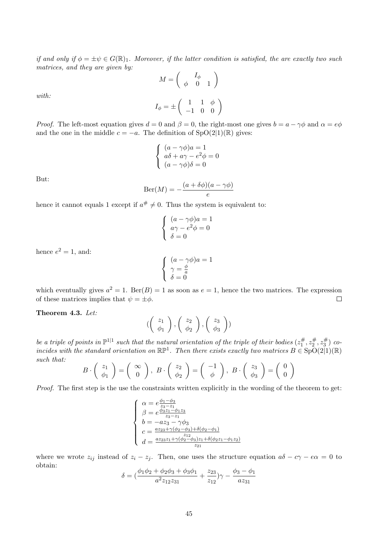if and only if  $\phi = \pm \psi \in G(\mathbb{R})_1$ . Moreover, if the latter condition is satisfied, the are exactly two such matrices, and they are given by:

$$
M = \begin{pmatrix} I_{\phi} \\ \phi & 0 & 1 \end{pmatrix}
$$

$$
I_{\phi} = \pm \begin{pmatrix} 1 & 1 & \phi \\ -1 & 0 & 0 \end{pmatrix}
$$

with:

*Proof.* The left-most equation gives 
$$
d = 0
$$
 and  $\beta = 0$ , the right-most one gives  $b = a - \gamma \phi$  and  $\alpha = e\phi$  and the one in the middle  $c = -a$ . The definition of SpO(2|1)(R) gives:

$$
\begin{cases}\n(a - \gamma \phi)a = 1 \\
a\delta + a\gamma - e^2 \phi = 0 \\
(a - \gamma \phi)\delta = 0\n\end{cases}
$$

But:

$$
Ber(M) = -\frac{(a + \delta\phi)(a - \gamma\phi)}{e}
$$

hence it cannot equals 1 except if  $a^{\#} \neq 0$ . Thus the system is equivalent to:

$$
\begin{cases}\n(a - \gamma \phi)a = 1 \\
a\gamma - e^2 \phi = 0 \\
\delta = 0\n\end{cases}
$$

hence  $e^2 = 1$ , and:

$$
\left\{\begin{array}{l} (a - \gamma \phi)a = 1 \\ \gamma = \frac{\phi}{a} \\ \delta = 0 \end{array} \right.
$$

which eventually gives  $a^2 = 1$ . Ber(B) = 1 as soon as  $e = 1$ , hence the two matrices. The expression of these matrices implies that  $\psi = \pm \phi$ .  $\Box$ 

#### Theorem 4.3. Let:

$$
(\left(\begin{array}{c}z_1\\ \phi_1\end{array}\right), \left(\begin{array}{c}z_2\\ \phi_2\end{array}\right), \left(\begin{array}{c}z_3\\ \phi_3\end{array}\right))
$$

be a triple of points in  $\mathbb{P}^{1|1}$  such that the natural orientation of the triple of their bodies  $(z_1^{\#})$  $z_1^{\#}, z_2^{\#}$  $z_2^{\#}, z_3^{\#}$  $\binom{\#}{3}$  coincides with the standard orientation on  $\mathbb{RP}^1$ . Then there exists exactly two matrices  $B \in \text{SpO}(2|1)(\mathbb{R})$ such that:

$$
B \cdot \begin{pmatrix} z_1 \\ \phi_1 \end{pmatrix} = \begin{pmatrix} \infty \\ 0 \end{pmatrix}, \ B \cdot \begin{pmatrix} z_2 \\ \phi_2 \end{pmatrix} = \begin{pmatrix} -1 \\ \phi \end{pmatrix}, \ B \cdot \begin{pmatrix} z_3 \\ \phi_3 \end{pmatrix} = \begin{pmatrix} 0 \\ 0 \end{pmatrix}
$$

Proof. The first step is the use the constraints written explicitly in the wording of the theorem to get:

$$
\begin{cases}\n\alpha = e \frac{\phi_1 - \phi_3}{z_3 - z_1} \\
\beta = e \frac{\phi_3 z_1 - \phi_1 z_3}{z_3 - z_1} \\
b = -a z_3 - \gamma \phi_3 \\
c = \frac{az_2 s + \gamma(\phi_2 - \phi_3) + \delta(\phi_2 - \phi_1)}{z_2 - z_3} \\
d = \frac{az_2 s + \gamma(\phi_2 - \phi_3) z_1 + \delta(\phi_2 z_1 - \phi_1 z_2)}{z_2 - z_3}\n\end{cases}
$$

where we wrote  $z_{ij}$  instead of  $z_i - z_j$ . Then, one uses the structure equation  $a\delta - c\gamma - e\alpha = 0$  to obtain:

$$
\delta = (\frac{\phi_1 \phi_2 + \phi_2 \phi_3 + \phi_3 \phi_1}{a^2 z_{12} z_{31}} + \frac{z_{23}}{z_{12}})\gamma - \frac{\phi_3 - \phi_1}{a z_{31}}
$$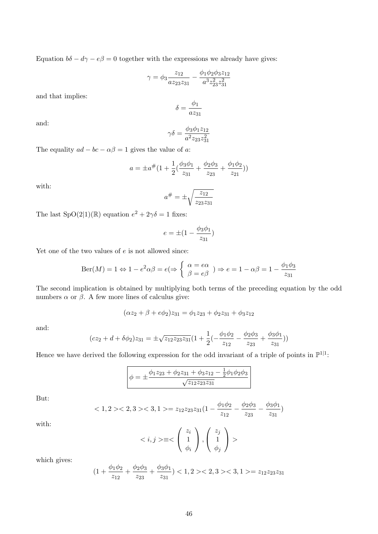Equation  $b\delta - d\gamma - e\beta = 0$  together with the expressions we already have gives:

$$
\gamma = \phi_3 \frac{z_{12}}{az_{23}z_{31}} - \frac{\phi_1 \phi_2 \phi_3 z_{12}}{a^3 z_{23}^2 z_{31}^2}
$$

and that implies:

$$
\delta = \frac{\phi_1}{az_{31}}
$$

and:

$$
\gamma \delta = \frac{\phi_3 \phi_1 z_{12}}{a^2 z_{23} z_{31}^2}
$$

The equality  $ad - bc - \alpha\beta = 1$  gives the value of a:

$$
a = \pm a^{\#}(1 + \frac{1}{2}(\frac{\phi_3 \phi_1}{z_{31}} + \frac{\phi_2 \phi_3}{z_{23}} + \frac{\phi_1 \phi_2}{z_{21}}))
$$

with:

$$
a^{\#} = \pm \sqrt{\frac{z_{12}}{z_{23}z_{31}}}
$$

The last  $SpO(2|1)(\mathbb{R})$  equation  $e^2 + 2\gamma \delta = 1$  fixes:

$$
e = \pm (1 - \frac{\phi_3 \phi_1}{z_{31}})
$$

Yet one of the two values of  $e$  is not allowed since:

$$
Ber(M) = 1 \Leftrightarrow 1 - e^2 \alpha \beta = e \Leftrightarrow \begin{cases} \alpha = e \alpha \\ \beta = e \beta \end{cases} \Rightarrow e = 1 - \alpha \beta = 1 - \frac{\phi_1 \phi_3}{z_{31}}
$$

The second implication is obtained by multiplying both terms of the preceding equation by the odd numbers  $\alpha$  or  $\beta$ . A few more lines of calculus give:

$$
(\alpha z_2 + \beta + e\phi_2)z_{31} = \phi_1 z_{23} + \phi_2 z_{31} + \phi_3 z_{12}
$$

and:

$$
(cz_2 + d + \delta\phi_2)z_{31} = \pm\sqrt{z_{12}z_{23}z_{31}}\left(1 + \frac{1}{2}\left(-\frac{\phi_1\phi_2}{z_{12}} - \frac{\phi_2\phi_3}{z_{23}} + \frac{\phi_3\phi_1}{z_{31}}\right)\right)
$$

Hence we have derived the following expression for the odd invariant of a triple of points in  $\mathbb{P}^{1|1}$ :

$$
\phi = \pm \frac{\phi_1 z_{23} + \phi_2 z_{31} + \phi_3 z_{12} - \frac{1}{2} \phi_1 \phi_2 \phi_3}{\sqrt{z_{12} z_{23} z_{31}}}
$$

But:

$$
\langle 1, 2 \rangle \langle 2, 3 \rangle \langle 3, 1 \rangle = z_{12} z_{23} z_{31} (1 - \frac{\phi_1 \phi_2}{z_{12}} - \frac{\phi_2 \phi_3}{z_{23}} - \frac{\phi_3 \phi_1}{z_{31}})
$$

$$
\langle i, j \rangle \equiv \langle \begin{pmatrix} z_i \\ 1 \\ \phi_i \end{pmatrix}, \begin{pmatrix} z_j \\ 1 \\ \phi_j \end{pmatrix} \rangle
$$

with:

which gives:

$$
\left(\begin{array}{cc} \phi_i \end{array}\right)
$$

$$
(1 + \frac{\phi_1 \phi_2}{z_{12}} + \frac{\phi_2 \phi_3}{z_{23}} + \frac{\phi_3 \phi_1}{z_{31}}) < 1, 2 > < 2, 3 > < 3, 1 > = z_{12} z_{23} z_{31}
$$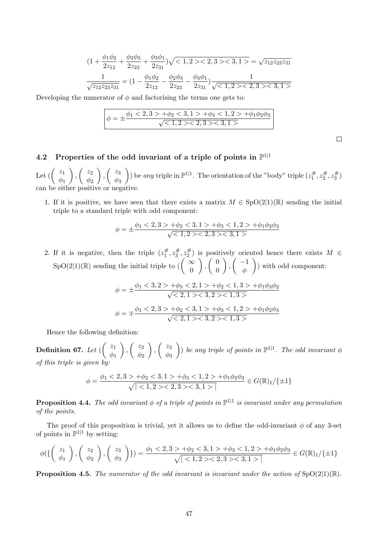$$
(1 + \frac{\phi_1 \phi_2}{2z_{12}} + \frac{\phi_2 \phi_3}{2z_{23}} + \frac{\phi_3 \phi_1}{2z_{31}})\sqrt{<1, 2><2, 3><3, 1>} = \sqrt{z_{12} z_{23} z_{31}}
$$

$$
\frac{1}{\sqrt{z_{12} z_{23} z_{31}}} = (1 - \frac{\phi_1 \phi_2}{2z_{12}} - \frac{\phi_2 \phi_3}{2z_{23}} - \frac{\phi_3 \phi_1}{2z_{31}})\frac{1}{\sqrt{<1, 2><2, 3><3, 1>}}
$$

Developing the numerator of  $\phi$  and factorising the terms one gets to:

$$
\phi = \pm \frac{\phi_1 < 2, 3 > +\phi_2 < 3, 1 > +\phi_3 < 1, 2 > +\phi_1 \phi_2 \phi_3}{\sqrt{1, 2 > 2, 3 > 3, 1 >}}
$$

 $\Box$ 

# 4.2 Properties of the odd invariant of a triple of points in  $\mathbb{P}^{1|1}$

Let  $(\begin{array}{c} z_1 \\ z_2 \end{array})$  $\phi_1$  $\bigg)$ ,  $\bigg( \begin{array}{c} z_2 \\ z_1 \end{array}$  $\phi_2$  $\bigg)$ ,  $\bigg( \begin{array}{c} z_3 \\ z_1 \end{array}$  $\phi_3$ ) be any triple in  $\mathbb{P}^{1|1}$ . The orientation of the "body" triple  $(z_1^{\#})$  $z_1^{\#}, z_2^{\#}$  $z_2^\#, z_3^\#$ ·#)<br>′3 ) can be either positive or negative.

1. If it is positive, we have seen that there exists a matrix  $M \in SpO(2|1)(\mathbb{R})$  sending the initial triple to a standard triple with odd component:

$$
\phi = \pm \frac{\phi_1 < 2, 3 > +\phi_2 < 3, 1 > +\phi_3 < 1, 2 > +\phi_1 \phi_2 \phi_3}{\sqrt{1, 2 > 2, 3 > 3, 1 >}}
$$

2. If it is negative, then the triple  $(z_1^{\#})$  $z_1^{\#}, z_3^{\#}$  $z_3^{\#}, z_2^{\#}$  $\binom{\#}{2}$  is positively oriented hence there exists  $M \in$  $SpO(2|1)(\mathbb{R})$  sending the initial triple to  $\begin{pmatrix} \infty \\ 0 \end{pmatrix}$  $\boldsymbol{0}$  $\Big)$ ,  $\Big( \begin{array}{c} 0 \\ 0 \end{array} \Big)$  $\boldsymbol{0}$  $\Big)$ ,  $\Big( \begin{array}{c} -1 \\ 1 \end{array} \Big)$ φ ) with odd component:

$$
\phi = \pm \frac{\phi_1 < 3, 2 > +\phi_3 < 2, 1 > +\phi_2 < 1, 3 > +\phi_1 \phi_3 \phi_2}{\sqrt{< 2, 1 > < 3, 2 > < 1, 3 >}} \\
\phi = \mp \frac{\phi_1 < 2, 3 > +\phi_2 < 3, 1 > +\phi_3 < 1, 2 > +\phi_1 \phi_2 \phi_3}{\sqrt{< 2, 1 > < 3, 2 > < 1, 3 >}} \\
\text{where } \phi = \pm \frac{\phi_1 < 2, 3 > +\phi_2 < 3, 1 > +\phi_3 < 1, 2 > +\phi_1 \phi_2 \phi_3}{\sqrt{< 2, 1 > < 3, 2 > < 1, 3 >}} \\
\text{where } \phi = \pm \frac{\phi_1 < 2, 3 > +\phi_2 < 3, 1 > +\phi_3 < 1, 2 > +\phi_1 \phi_2 \phi_3}{\sqrt{< 2, 1 > < 3, 2 > < 1, 3 >}} \\
\text{where } \phi = \pm \frac{\phi_1 < 2, 3 > +\phi_2 < 3, 1 > +\phi_3 < 1, 2 > +\phi_1 \phi_2 \phi_3}{\sqrt{< 2, 1 > < 3, 2 > < 1, 3 >}} \\
\text{where } \phi = \pm \frac{\phi_1 < 2, 3 > +\phi_2 < 3, 1 > +\phi_3 < 1, 2 > +\phi_1 \phi_2 \phi_3}{\sqrt{< 2, 1 > < 3, 2 > < 1, 3 >}} \\
\text{where } \phi = \pm \frac{\phi_1 < 2, 3 > +\phi_2 < 3, 1 > +\phi_3 < 1, 2 > +\phi_1 \phi_2 \phi_3}{\sqrt{< 2, 1 > < 3, 2 > < 1,
$$

Hence the following definition:

Definition 67. Let  $(\begin{array}{c} z_1 \ z_2 \end{array}$  $\phi_1$  $\bigg)$ ,  $\bigg( \begin{array}{c} z_2 \\ z_1 \end{array}$  $\phi_2$  $\bigg)$ ,  $\bigg( \begin{array}{c} z_3 \\ 1 \end{array} \bigg)$  $\phi_3$ (b) be any triple of points in  $\mathbb{P}^{1|1}$ . The odd invariant  $\phi$ of this triple is given by:

$$
\phi = \frac{\phi_1 < 2, 3 > +\phi_2 < 3, 1 > +\phi_3 < 1, 2 > +\phi_1 \phi_2 \phi_3}{\sqrt{|\langle 1, 2 \rangle \langle 2, 3 \rangle \langle 3, 1 \rangle|}} \in G(\mathbb{R})_1 / \{\pm 1\}
$$

**Proposition 4.4.** The odd invariant  $\phi$  of a triple of points in  $\mathbb{P}^{1|1}$  is invariant under any permutation of the points.

The proof of this proposition is trivial, yet it allows us to define the odd-invariant  $\phi$  of any 3-set of points in  $\mathbb{P}^{1|1}$  by setting:

$$
\phi\left(\left\{\begin{pmatrix} z_1\\ \phi_1 \end{pmatrix}, \begin{pmatrix} z_2\\ \phi_2 \end{pmatrix}, \begin{pmatrix} z_3\\ \phi_3 \end{pmatrix}\right\}\right) = \frac{\phi_1 < 2, 3 > +\phi_2 < 3, 1 > +\phi_3 < 1, 2 > +\phi_1 \phi_2 \phi_3}{\sqrt{|<1, 2 > < 2, 3 > < 3, 1 > |}} \in G(\mathbb{R})_1/\{\pm 1\}
$$

**Proposition 4.5.** The numerator of the odd invariant is invariant under the action of  $SpO(2|1)(\mathbb{R})$ .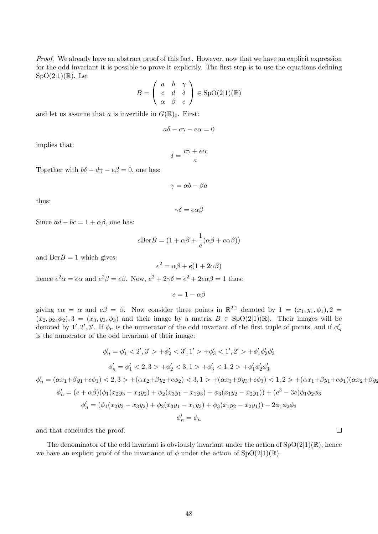Proof. We already have an abstract proof of this fact. However, now that we have an explicit expression for the odd invariant it is possible to prove it explicitly. The first step is to use the equations defining  $SpO(2|1)(\mathbb{R})$ . Let

$$
B = \begin{pmatrix} a & b & \gamma \\ c & d & \delta \\ \alpha & \beta & e \end{pmatrix} \in \text{SpO}(2|1)(\mathbb{R})
$$

and let us assume that a is invertible in  $G(\mathbb{R})_0$ . First:

$$
a\delta - c\gamma - e\alpha = 0
$$

implies that:

$$
\delta = \frac{c\gamma + e\alpha}{a}
$$

Together with  $b\delta - d\gamma - e\beta = 0$ , one has:

$$
\gamma = \alpha b - \beta a
$$

thus:

$$
\gamma\delta=e\alpha\beta
$$

Since  $ad - bc = 1 + \alpha \beta$ , one has:

$$
e\text{Ber}B = (1 + \alpha\beta + \frac{1}{e}(\alpha\beta + e\alpha\beta))
$$

and  $\text{Ber}B = 1$  which gives:

$$
e^2 = \alpha\beta + e(1 + 2\alpha\beta)
$$

hence  $e^2 \alpha = e \alpha$  and  $e^2 \beta = e \beta$ . Now,  $e^2 + 2 \gamma \delta = e^2 + 2e \alpha \beta = 1$  thus:

 $e = 1 - \alpha \beta$ 

giving  $e\alpha = \alpha$  and  $e\beta = \beta$ . Now consider three points in  $\mathbb{R}^{2|1}$  denoted by  $1 = (x_1, y_1, \phi_1), 2 =$  $(x_2, y_2, \phi_2)$ ,  $3 = (x_3, y_3, \phi_3)$  and their image by a matrix  $B \in SpO(2|1)(\mathbb{R})$ . Their images will be denoted by 1', 2', 3'. If  $\phi_n$  is the numerator of the odd invariant of the first triple of points, and if  $\phi'_n$ is the numerator of the odd invariant of their image:

$$
\phi'_n = \phi'_1 < 2', 3' > +\phi'_2 < 3', 1' > +\phi'_3 < 1', 2' > +\phi'_1 \phi'_2 \phi'_3
$$
\n
$$
\phi'_n = \phi'_1 < 2, 3 > +\phi'_2 < 3, 1 > +\phi'_3 < 1, 2 > +\phi'_1 \phi'_2 \phi'_3
$$
\n
$$
\phi'_n = (\alpha x_1 + \beta y_1 + e\phi_1) < 2, 3 > +(\alpha x_2 + \beta y_2 + e\phi_2) < 3, 1 > +(\alpha x_3 + \beta y_3 + e\phi_3) < 1, 2 > +(\alpha x_1 + \beta y_1 + e\phi_1)(\alpha x_2 + \beta y_2 + \phi'_2 \phi'_3)
$$
\n
$$
\phi'_n = (e + \alpha \beta)(\phi_1(x_2y_3 - x_3y_2) + \phi_2(x_3y_1 - x_1y_3) + \phi_3(x_1y_2 - x_2y_1)) + (e^3 - 3e)\phi_1 \phi_2 \phi_3
$$
\n
$$
\phi'_n = (\phi_1(x_2y_3 - x_3y_2) + \phi_2(x_3y_1 - x_1y_3) + \phi_3(x_1y_2 - x_2y_1)) - 2\phi_1 \phi_2 \phi_3
$$
\n
$$
\phi'_n = \phi_n
$$

and that concludes the proof.

The denominator of the odd invariant is obviously invariant under the action of  $SpO(2|1)(\mathbb{R})$ , hence we have an explicit proof of the invariance of  $\phi$  under the action of  $SpO(2|1)(\mathbb{R})$ .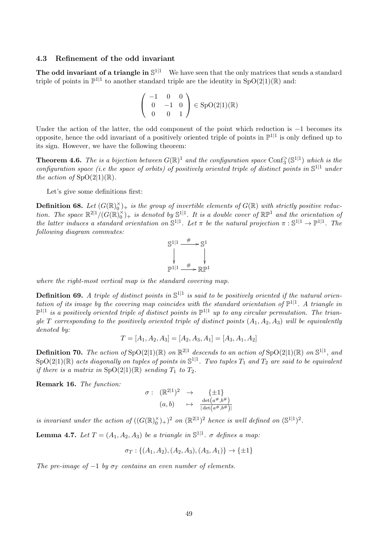## 4.3 Refinement of the odd invariant

The odd invariant of a triangle in  $\mathbb{S}^{1|1}$  We have seen that the only matrices that sends a standard triple of points in  $\mathbb{P}^{1|1}$  to another standard triple are the identity in  $SpO(2|1)(\mathbb{R})$  and:

$$
\left(\begin{array}{ccc} -1 & 0 & 0 \\ 0 & -1 & 0 \\ 0 & 0 & 1 \end{array}\right) \in \text{SpO}(2|1)(\mathbb{R})
$$

Under the action of the latter, the odd component of the point which reduction is −1 becomes its opposite, hence the odd invariant of a positively oriented triple of points in  $\mathbb{P}^{1|1}$  is only defined up to its sign. However, we have the following theorem:

**Theorem 4.6.** The is a bijection between  $G(\mathbb{R})^1$  and the configuration space Conf<sub>3</sub> $(\mathbb{S}^{1|1})$  which is the configuration space (i.e the space of orbits) of positively oriented triple of distinct points in  $\mathbb{S}^{1|1}$  under the action of  $SpO(2|1)(\mathbb{R})$ .

Let's give some definitions first:

**Definition 68.** Let  $(G(\mathbb{R})_0^{\times})_+$  is the group of invertible elements of  $G(\mathbb{R})$  with strictly positive reduction. The space  $\mathbb{R}^{2|1}/(G(\mathbb{R})_0^{\times})_+$  is denoted by  $\mathbb{S}^{1|1}$ . It is a double cover of  $\mathbb{RP}^1$  and the orientation of the latter induces a standard orientation on  $\mathbb{S}^{1|1}$ . Let  $\pi$  be the natural projection  $\pi : \mathbb{S}^{1|1} \to \mathbb{P}^{1|1}$ . The following diagram commutes:



where the right-most vertical map is the standard covering map.

**Definition 69.** A triple of distinct points in  $\mathbb{S}^{1|1}$  is said to be positively oriented if the natural orientation of its image by the covering map coincides with the standard orientation of  $\mathbb{P}^{1|1}$ . A triangle in  $\mathbb{P}^{1|1}$  is a positively oriented triple of distinct points in  $\mathbb{P}^{1|1}$  up to any circular permutation. The triangle T corresponding to the positively oriented triple of distinct points  $(A_1, A_2, A_3)$  will be equivalently denoted by:

$$
T = [A_1, A_2, A_3] = [A_2, A_3, A_1] = [A_3, A_1, A_2]
$$

**Definition 70.** The action of  $SpO(2|1)(\mathbb{R})$  on  $\mathbb{R}^{2|1}$  descends to an action of  $SpO(2|1)(\mathbb{R})$  on  $\mathbb{S}^{1|1}$ , and  $\text{SpO}(2|1)({\mathbb R})$  acts diagonally on tuples of points in  $\mathbb{S}^{1|1}$ . Two tuples  $T_1$  and  $T_2$  are said to be equivalent if there is a matrix in  $SpO(2|1)(\mathbb{R})$  sending  $T_1$  to  $T_2$ .

Remark 16. The function:

$$
\begin{array}{rcl}\n\sigma : & (\mathbb{R}^{2|1})^2 & \to & \{\pm 1\} \\
(a, b) & \mapsto & \frac{\det(a^{\#}, b^{\#})}{|\det(a^{\#}, b^{\#})|}\n\end{array}
$$

is invariant under the action of  $((G(\mathbb{R})_0^{\times})_+)^2$  on  $(\mathbb{R}^{2|1})^2$  hence is well defined on  $(\mathbb{S}^{1|1})^2$ .

**Lemma 4.7.** Let  $T = (A_1, A_2, A_3)$  be a triangle in  $\mathbb{S}^{1|1}$ .  $\sigma$  defines a map:

$$
\sigma_T: \{(A_1, A_2), (A_2, A_3), (A_3, A_1)\} \to \{\pm 1\}
$$

The pre-image of  $-1$  by  $\sigma_T$  contains an even number of elements.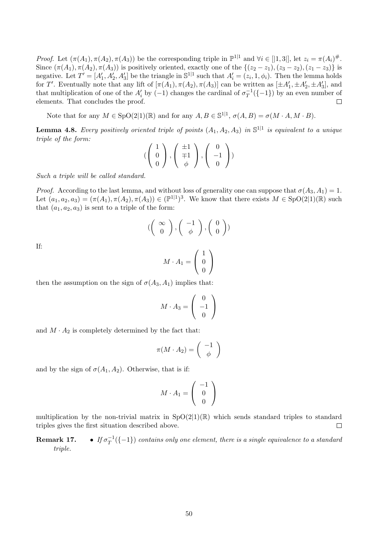*Proof.* Let  $(\pi(A_1), \pi(A_2), \pi(A_3))$  be the corresponding triple in  $\mathbb{P}^{1|1}$  and  $\forall i \in [1,3]$ , let  $z_i = \pi(A_i)^{\#}$ . Since  $(\pi(A_1), \pi(A_2), \pi(A_3))$  is positively oriented, exactly one of the  $\{(z_2 - z_1), (z_3 - z_2), (z_1 - z_3)\}$  is negative. Let  $T' = [A'_1, A'_2, A'_3]$  be the triangle in  $\mathbb{S}^{1|1}$  such that  $A'_i = (z_i, 1, \phi_i)$ . Then the lemma holds for T'. Eventually note that any lift of  $[\pi(A_1), \pi(A_2), \pi(A_3)]$  can be written as  $[\pm A'_1, \pm A'_2, \pm A'_3]$ , and that multiplication of one of the  $A_i'$  by  $(-1)$  changes the cardinal of  $\sigma_T^{-1}$  $T^{-1}(-1)$  by an even number of elements. That concludes the proof.  $\Box$ 

Note that for any  $M \in SpO(2|1)(\mathbb{R})$  and for any  $A, B \in \mathbb{S}^{1|1}$ ,  $\sigma(A, B) = \sigma(M \cdot A, M \cdot B)$ .

**Lemma 4.8.** Every positively oriented triple of points  $(A_1, A_2, A_3)$  in  $\mathbb{S}^{1|1}$  is equivalent to a unique triple of the form:

$$
\left(\left(\begin{array}{c}1\\0\\0\end{array}\right),\left(\begin{array}{c}\pm 1\\ \mp 1\\ \phi\end{array}\right),\left(\begin{array}{c}0\\-1\\0\end{array}\right)\right)
$$

Such a triple will be called standard.

*Proof.* According to the last lemma, and without loss of generality one can suppose that  $\sigma(A_3, A_1) = 1$ . Let  $(a_1, a_2, a_3) = (\pi(A_1), \pi(A_2), \pi(A_3)) \in (\mathbb{P}^{1|1})^3$ . We know that there exists  $M \in SpO(2|1)(\mathbb{R})$  such that  $(a_1, a_2, a_3)$  is sent to a triple of the form:

$$
(\left(\begin{array}{c}\infty\\0\end{array}\right), \left(\begin{array}{c}-1\\ \phi\end{array}\right), \left(\begin{array}{c}0\\0\end{array}\right))
$$

If:

$$
M \cdot A_1 = \left(\begin{array}{c} 1 \\ 0 \\ 0 \end{array}\right)
$$

then the assumption on the sign of  $\sigma(A_3, A_1)$  implies that:

$$
M \cdot A_3 = \left(\begin{array}{c} 0 \\ -1 \\ 0 \end{array}\right)
$$

and  $M \cdot A_2$  is completely determined by the fact that:

$$
\pi(M \cdot A_2) = \left(\begin{array}{c} -1 \\ \phi \end{array}\right)
$$

and by the sign of  $\sigma(A_1, A_2)$ . Otherwise, that is if:

$$
M \cdot A_1 = \left(\begin{array}{c} -1 \\ 0 \\ 0 \end{array}\right)
$$

multiplication by the non-trivial matrix in  $SpO(2|1)(\mathbb{R})$  which sends standard triples to standard triples gives the first situation described above.  $\Box$ 

Remark 17. −1  $T^{\!-1}(\{-1\})$  contains only one element, there is a single equivalence to a standard triple.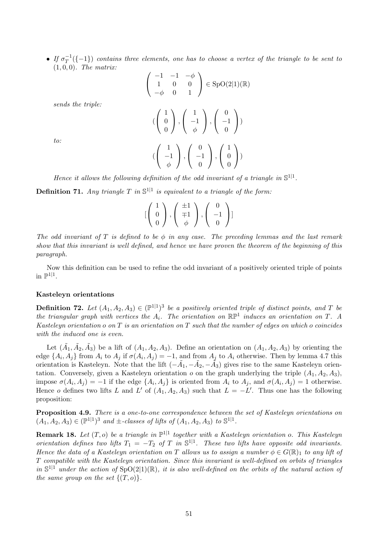$\bullet$  If  $\sigma_T^{-1}$  $T^{-1}_{T}(\{-1\})$  contains three elements, one has to choose a vertex of the triangle to be sent to  $(1, 0, 0)$ . The matrix:

$$
\begin{pmatrix}\n-1 & -1 & -\phi \\
1 & 0 & 0 \\
-\phi & 0 & 1\n\end{pmatrix} \in \text{SpO}(2|1)(\mathbb{R})
$$
\n
$$
\text{sends the triple:}
$$
\n
$$
(\begin{pmatrix} 1 \\ 0 \\ 0 \end{pmatrix}, \begin{pmatrix} 1 \\ -1 \\ \phi \end{pmatrix}, \begin{pmatrix} 0 \\ -1 \\ 0 \end{pmatrix})
$$
\n
$$
\text{to:}
$$
\n
$$
(\begin{pmatrix} 1 \\ -1 \\ \phi \end{pmatrix}, \begin{pmatrix} 0 \\ -1 \\ 0 \end{pmatrix}, \begin{pmatrix} 1 \\ 0 \\ 0 \end{pmatrix})
$$

Hence it allows the following definition of the odd invariant of a triangle in  $\mathbb{S}^{1|1}$ .

**Definition 71.** Any triangle T in  $\mathbb{S}^{1|1}$  is equivalent to a triangle of the form:

$$
[\left(\begin{array}{c}1\\0\\0\end{array}\right),\left(\begin{array}{c}\pm 1\\ \mp 1\\ \phi\end{array}\right),\left(\begin{array}{c}0\\-1\\0\end{array}\right) ]
$$

The odd invariant of T is defined to be  $\phi$  in any case. The preceding lemmas and the last remark show that this invariant is well defined, and hence we have proven the theorem of the beginning of this paragraph.

Now this definition can be used to refine the odd invariant of a positively oriented triple of points in  $\mathbb{P}^{1|1}$ .

#### Kasteleyn orientations

**Definition 72.** Let  $(A_1, A_2, A_3) \in (\mathbb{P}^{1|1})^3$  be a positively oriented triple of distinct points, and T be the triangular graph with vertices the  $A_i$ . The orientation on  $\mathbb{RP}^1$  induces an orientation on T. A Kasteleyn orientation o on  $T$  is an orientation on  $T$  such that the number of edges on which o coincides with the induced one is even.

Let  $(\tilde{A}_1, \tilde{A}_2, \tilde{A}_3)$  be a lift of  $(A_1, A_2, A_3)$ . Define an orientation on  $(A_1, A_2, A_3)$  by orienting the edge  $\{A_i, A_j\}$  from  $A_i$  to  $A_j$  if  $\sigma(A_i, A_j) = -1$ , and from  $A_j$  to  $A_i$  otherwise. Then by lemma 4.7 this orientation is Kasteleyn. Note that the lift  $(-\tilde{A}_1, -\tilde{A}_2, -\tilde{A}_3)$  gives rise to the same Kasteleyn orientation. Conversely, given a Kasteleyn orientation  $o$  on the graph underlying the triple  $(A_1, A_2, A_3)$ , impose  $\sigma(A_i, A_j) = -1$  if the edge  $\{A_i, A_j\}$  is oriented from  $A_i$  to  $A_j$ , and  $\sigma(A_i, A_j) = 1$  otherwise. Hence o defines two lifts L and L' of  $(A_1, A_2, A_3)$  such that  $L = -L'$ . Thus one has the following proposition:

Proposition 4.9. There is a one-to-one correspondence between the set of Kasteleyn orientations on  $(A_1, A_2, A_3) \in (\mathbb{P}^{1|1})^3$  and  $\pm$ -classes of lifts of  $(A_1, A_2, A_3)$  to  $\mathbb{S}^{1|1}$ .

**Remark 18.** Let  $(T, o)$  be a triangle in  $\mathbb{P}^{1|1}$  together with a Kasteleyn orientation o. This Kasteleyn orientation defines two lifts  $T_1 = -T_2$  of T in  $\mathbb{S}^{1|1}$ . These two lifts have opposite odd invariants. Hence the data of a Kasteleyn orientation on T allows us to assign a number  $\phi \in G(\mathbb{R})_1$  to any lift of T compatible with the Kasteleyn orientation. Since this invariant is well-defined on orbits of triangles in  $\mathbb{S}^{1|1}$  under the action of  $\text{SpO}(2|1)(\mathbb{R})$ , it is also well-defined on the orbits of the natural action of the same group on the set  $\{(T, o)\}.$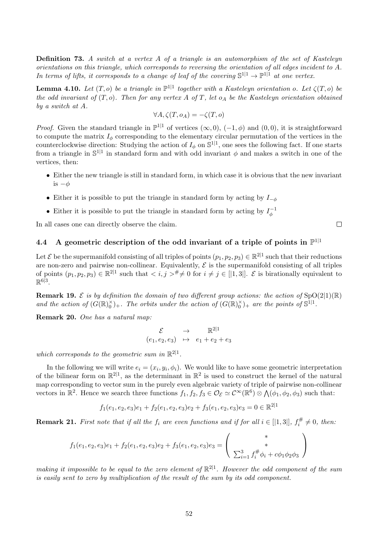Definition 73. A switch at a vertex A of a triangle is an automorphism of the set of Kasteleyn orientations on this triangle, which corresponds to reversing the orientation of all edges incident to A. In terms of lifts, it corresponds to a change of leaf of the covering  $\mathbb{S}^{1|1} \to \mathbb{P}^{1|1}$  at one vertex.

**Lemma 4.10.** Let  $(T, o)$  be a triangle in  $\mathbb{P}^{1|1}$  together with a Kasteleyn orientation o. Let  $\zeta(T, o)$  be the odd invariant of  $(T, o)$ . Then for any vertex A of T, let  $o<sub>A</sub>$  be the Kasteleyn orientation obtained by a switch at A.

$$
\forall A, \zeta(T, o_A) = -\zeta(T, o)
$$

*Proof.* Given the standard triangle in  $\mathbb{P}^{1|1}$  of vertices  $(\infty, 0)$ ,  $(-1, \phi)$  and  $(0, 0)$ , it is straightforward to compute the matrix  $I_{\phi}$  corresponding to the elementary circular permutation of the vertices in the counterclockwise direction: Studying the action of  $I_\phi$  on  $\mathbb{S}^{1|1}$ , one sees the following fact. If one starts from a triangle in  $\mathbb{S}^{1|1}$  in standard form and with odd invariant  $\phi$  and makes a switch in one of the vertices, then:

- Either the new triangle is still in standard form, in which case it is obvious that the new invariant is  $-\phi$
- Either it is possible to put the triangle in standard form by acting by  $I_{-\phi}$
- Either it is possible to put the triangle in standard form by acting by  $I_{\phi}^{-1}$ φ

In all cases one can directly observe the claim.

# 4.4 A geometric description of the odd invariant of a triple of points in  $\mathbb{P}^{1|1}$

Let  $\mathcal E$  be the supermanifold consisting of all triples of points  $(p_1, p_2, p_3) \in \mathbb R^{2\vert1}$  such that their reductions are non-zero and pairwise non-collinear. Equivalently,  $\mathcal E$  is the supermanifold consisting of all triples of points  $(p_1, p_2, p_3) \in \mathbb{R}^{2|1}$  such that  $\langle i, j \rangle^{\#} \neq 0$  for  $i \neq j \in [|1,3|]$ .  $\mathcal{E}$  is birationally equivalent to  $\mathbb{R}^{6|3}$ .

**Remark 19.**  $\mathcal{E}$  is by definition the domain of two different group actions: the action of SpO(2|1)(R) and the action of  $(G(\mathbb{R})_0^{\times})_+$ . The orbits under the action of  $(G(\mathbb{R})_0^{\times})_+$  are the points of  $\mathbb{S}^{1|1}$ .

Remark 20. One has a natural map:

$$
\begin{array}{ccl} \mathcal{E} & \rightarrow & \mathbb{R}^{2|1} \\ (e_1, e_2, e_3) & \mapsto & e_1 + e_2 + e_3 \end{array}
$$

which corresponds to the geometric sum in  $\mathbb{R}^{2|1}$ .

In the following we will write  $e_i = (x_i, y_i, \phi_i)$ . We would like to have some geometric interpretation of the bilinear form on  $\mathbb{R}^{2|1}$ , as the determinant in  $\mathbb{R}^2$  is used to construct the kernel of the natural map corresponding to vector sum in the purely even algebraic variety of triple of pairwise non-collinear vectors in  $\mathbb{R}^2$ . Hence we search three functions  $f_1, f_2, f_3 \in \mathcal{O}_{\mathcal{E}} \simeq \mathcal{C}^{\infty}(\mathbb{R}^6) \otimes \bigwedge (\phi_1, \phi_2, \phi_3)$  such that:

$$
f_1(e_1, e_2, e_3)e_1 + f_2(e_1, e_2, e_3)e_2 + f_3(e_1, e_2, e_3)e_3 = 0 \in \mathbb{R}^{2|1|}
$$

**Remark 21.** First note that if all the  $f_i$  are even functions and if for all  $i \in [[1,3]], f_i^{\#}$  $\ddot{i}^{\#} \neq 0$ , then:

$$
f_1(e_1, e_2, e_3)e_1 + f_2(e_1, e_2, e_3)e_2 + f_3(e_1, e_2, e_3)e_3 = \begin{pmatrix} * & & \\ & * & \\ \sum_{i=1}^3 f_i^{\#} \phi_i + c\phi_1 \phi_2 \phi_3 \end{pmatrix}
$$

making it impossible to be equal to the zero element of  $\mathbb{R}^{2|1}$ . However the odd component of the sum is easily sent to zero by multiplication of the result of the sum by its odd component.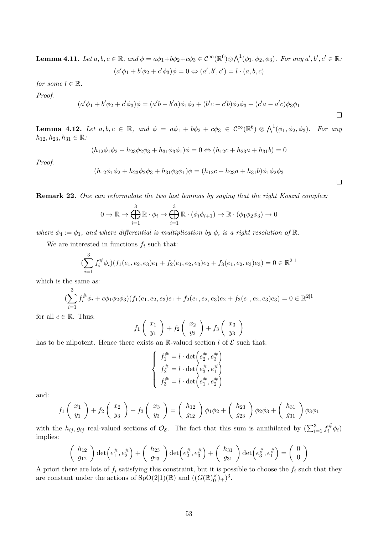**Lemma 4.11.** Let  $a, b, c \in \mathbb{R}$ , and  $\phi = a\phi_1 + b\phi_2 + c\phi_3 \in \mathcal{C}^{\infty}(\mathbb{R}^6) \otimes \bigwedge^1(\phi_1, \phi_2, \phi_3)$ . For any  $a', b', c' \in \mathbb{R}$ .  $(a'\phi_1 + b'\phi_2 + c'\phi_3)\phi = 0 \Leftrightarrow (a', b', c') = l \cdot (a, b, c)$ 

for some 
$$
l \in \mathbb{R}
$$
.

Proof.

$$
(a'\phi_1 + b'\phi_2 + c'\phi_3)\phi = (a'b - b'a)\phi_1\phi_2 + (b'c - c'b)\phi_2\phi_3 + (c'a - a'c)\phi_3\phi_1
$$

**Lemma 4.12.** Let  $a, b, c \in \mathbb{R}$ , and  $\phi = a\phi_1 + b\phi_2 + c\phi_3 \in C^{\infty}(\mathbb{R}^6) \otimes \bigwedge^1(\phi_1, \phi_2, \phi_3)$ . For any  $h_{12}, h_{23}, h_{31} \in \mathbb{R}$ :

$$
(h_{12}\phi_1\phi_2 + h_{23}\phi_2\phi_3 + h_{31}\phi_3\phi_1)\phi = 0 \Leftrightarrow (h_{12}c + h_{23}a + h_{31}b) = 0
$$

Proof.

$$
(h_{12}\phi_1\phi_2 + h_{23}\phi_2\phi_3 + h_{31}\phi_3\phi_1)\phi = (h_{12}c + h_{23}a + h_{31}b)\phi_1\phi_2\phi_3
$$

Remark 22. One can reformulate the two last lemmas by saying that the right Koszul complex:

$$
0 \to \mathbb{R} \to \bigoplus_{i=1}^{3} \mathbb{R} \cdot \phi_i \to \bigoplus_{i=1}^{3} \mathbb{R} \cdot (\phi_i \phi_{i+1}) \to \mathbb{R} \cdot (\phi_1 \phi_2 \phi_3) \to 0
$$

where  $\phi_4 := \phi_1$ , and where differential is multiplication by  $\phi$ , is a right resolution of  $\mathbb{R}$ .

We are interested in functions  $f_i$  such that:

$$
(\sum_{i=1}^{3} f_i^{\#} \phi_i)(f_1(e_1, e_2, e_3)e_1 + f_2(e_1, e_2, e_3)e_2 + f_3(e_1, e_2, e_3)e_3) = 0 \in \mathbb{R}^{2|1|}
$$

which is the same as:

$$
(\sum_{i=1}^{3} f_i^{\#} \phi_i + c\phi_1 \phi_2 \phi_3)(f_1(e_1, e_2, e_3)e_1 + f_2(e_1, e_2, e_3)e_2 + f_3(e_1, e_2, e_3)e_3) = 0 \in \mathbb{R}^{2|1|}
$$

for all  $c \in \mathbb{R}$ . Thus:

$$
f_1\left(\begin{array}{c}x_1\\y_1\end{array}\right)+f_2\left(\begin{array}{c}x_2\\y_3\end{array}\right)+f_3\left(\begin{array}{c}x_3\\y_3\end{array}\right)
$$

has to be nilpotent. Hence there exists an  $\mathbb{R}\text{-valued section } l$  of  $\mathcal E$  such that:

$$
\left\{\begin{array}{l} f_1^\#=l\cdot\det\left(e_2^\# ,e_3^\#\right) \\ f_2^\#=l\cdot\det\left(e_3^\#,e_1^\#\right) \\ f_3^\#=l\cdot\det\left(e_1^\#,e_2^\#\right) \end{array}\right.
$$

and:

$$
f_1\left(\begin{array}{c}x_1\\y_1\end{array}\right)+f_2\left(\begin{array}{c}x_2\\y_3\end{array}\right)+f_3\left(\begin{array}{c}x_3\\y_3\end{array}\right)=\left(\begin{array}{c}h_{12}\\g_{12}\end{array}\right)\phi_1\phi_2+\left(\begin{array}{c}h_{23}\\g_{23}\end{array}\right)\phi_2\phi_3+\left(\begin{array}{c}h_{31}\\g_{31}\end{array}\right)\phi_3\phi_1
$$

with the  $h_{ij}$ ,  $g_{ij}$  real-valued sections of  $\mathcal{O}_{\mathcal{E}}$ . The fact that this sum is annihilated by  $\left(\sum_{i=1}^3 f_i^{\#} \right)$  $\epsilon_i^{\#}\phi_i$ implies:

$$
\begin{pmatrix} h_{12} \\ g_{12} \end{pmatrix} \det \begin{pmatrix} e_1^\# , e_2^\# \end{pmatrix} + \begin{pmatrix} h_{23} \\ g_{23} \end{pmatrix} \det \begin{pmatrix} e_2^\# , e_3^\# \end{pmatrix} + \begin{pmatrix} h_{31} \\ g_{31} \end{pmatrix} \det \begin{pmatrix} e_3^\# , e_1^\# \end{pmatrix} = \begin{pmatrix} 0 \\ 0 \end{pmatrix}
$$

A priori there are lots of  $f_i$  satisfying this constraint, but it is possible to choose the  $f_i$  such that they are constant under the actions of  $SpO(2|1)(\mathbb{R})$  and  $((G(\mathbb{R})_0^{\times})_+)^3$ .

 $\Box$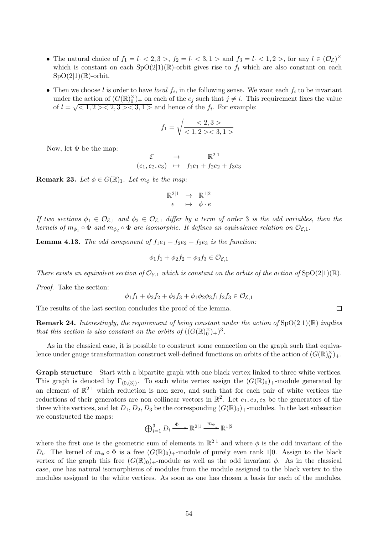- The natural choice of  $f_1 = l \cdot \langle 2, 3 \rangle$ ,  $f_2 = l \cdot \langle 3, 1 \rangle$  and  $f_3 = l \cdot \langle 1, 2 \rangle$ , for any  $l \in (\mathcal{O}_{\mathcal{E}})^{\times}$ which is constant on each  $SpO(2|1)(\mathbb{R})$ -orbit gives rise to  $f_i$  which are also constant on each  $SpO(2|1)(\mathbb{R})$ -orbit.
- Then we choose l is order to have local  $f_i$ , in the following sense. We want each  $f_i$  to be invariant under the action of  $(G(\mathbb{R})_0^{\times})_+$  on each of the  $e_j$  such that  $j \neq i$ . This requirement fixes the value of  $l = \sqrt{1, 2 \times 2, 3 \times 3, 1 \times 1}$  and hence of the  $f_i$ . For example:

$$
f_1 = \sqrt{\frac{<2,3>}{<1,2> <3,1>}}
$$

Now, let  $\Phi$  be the map:

$$
\begin{array}{rcl}\n\mathcal{E} & \rightarrow & \mathbb{R}^{2|1} \\
(e_1, e_2, e_3) & \mapsto & f_1 e_1 + f_2 e_2 + f_3 e_3\n\end{array}
$$

**Remark 23.** Let  $\phi \in G(\mathbb{R})_1$ . Let  $m_{\phi}$  be the map:

$$
\mathbb{R}^{2|1} \rightarrow \mathbb{R}^{1|2} \neq e \mapsto \phi \cdot e
$$

If two sections  $\phi_1 \in \mathcal{O}_{\mathcal{E},1}$  and  $\phi_2 \in \mathcal{O}_{\mathcal{E},1}$  differ by a term of order 3 is the odd variables, then the kernels of  $m_{\phi_1} \circ \Phi$  and  $m_{\phi_2} \circ \Phi$  are isomorphic. It defines an equivalence relation on  $\mathcal{O}_{\mathcal{E},1}$ .

**Lemma 4.13.** The odd component of  $f_1e_1 + f_2e_2 + f_3e_3$  is the function:

$$
\phi_1 f_1 + \phi_2 f_2 + \phi_3 f_3 \in \mathcal{O}_{\mathcal{E},1}
$$

There exists an equivalent section of  $\mathcal{O}_{\mathcal{E},1}$  which is constant on the orbits of the action of  $SpO(2|1)(\mathbb{R})$ .

Proof. Take the section:

$$
\phi_1 f_1 + \phi_2 f_2 + \phi_3 f_3 + \phi_1 \phi_2 \phi_3 f_1 f_2 f_3 \in \mathcal{O}_{\mathcal{E},1}
$$

The results of the last section concludes the proof of the lemma.

**Remark 24.** Interestingly, the requirement of being constant under the action of  $SpO(2|1)(\mathbb{R})$  implies that this section is also constant on the orbits of  $((G(\mathbb{R})_0^{\times})_+)^3$ .

As in the classical case, it is possible to construct some connection on the graph such that equivalence under gauge transformation construct well-defined functions on orbits of the action of  $(G(\mathbb{R})_0^{\times})_+$ .

Graph structure Start with a bipartite graph with one black vertex linked to three white vertices. This graph is denoted by  $\Gamma_{(0,(3))}$ . To each white vertex assign the  $(G(\mathbb{R})_0)_+$ -module generated by an element of  $\mathbb{R}^{2|1}$  which reduction is non zero, and such that for each pair of white vertices the reductions of their generators are non collinear vectors in  $\mathbb{R}^2$ . Let  $e_1, e_2, e_3$  be the generators of the three white vertices, and let  $D_1, D_2, D_3$  be the corresponding  $(G(\mathbb{R})_0)_+$ -modules. In the last subsection we constructed the maps:

$$
\bigoplus_{i=1}^3 D_i \xrightarrow{\Phi} \mathbb{R}^{2|1} \xrightarrow{m_\phi} \mathbb{R}^{1|2}
$$

where the first one is the geometric sum of elements in  $\mathbb{R}^{2|1}$  and where  $\phi$  is the odd invariant of the D<sub>i</sub>. The kernel of  $m_{\phi} \circ \Phi$  is a free  $(G(\mathbb{R})_0)$ <sub>+</sub>-module of purely even rank 1|0. Assign to the black vertex of the graph this free  $(G(\mathbb{R})_0)_+$ -module as well as the odd invariant  $\phi$ . As in the classical case, one has natural isomorphisms of modules from the module assigned to the black vertex to the modules assigned to the white vertices. As soon as one has chosen a basis for each of the modules,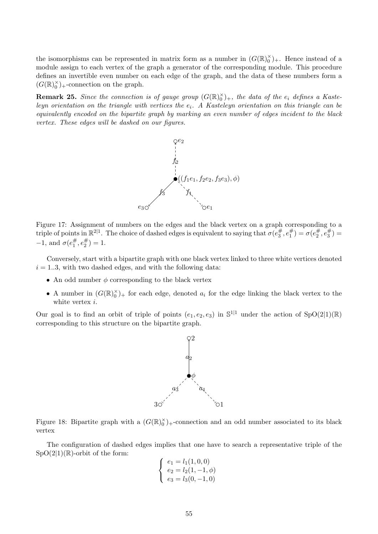the isomorphisms can be represented in matrix form as a number in  $(G(\mathbb{R})_0^\times)_+$ . Hence instead of a module assign to each vertex of the graph a generator of the corresponding module. This procedure defines an invertible even number on each edge of the graph, and the data of these numbers form a  $(G(\mathbb{R})_0^\times)_+$ -connection on the graph.

**Remark 25.** Since the connection is of gauge group  $(G(\mathbb{R})_0^{\times})_+$ , the data of the  $e_i$  defines a Kasteleyn orientation on the triangle with vertices the  $e_i$ . A Kasteleyn orientation on this triangle can be equivalently encoded on the bipartite graph by marking an even number of edges incident to the black vertex. These edges will be dashed on our figures.



Figure 17: Assignment of numbers on the edges and the black vertex on a graph corresponding to a triple of points in  $\mathbb{R}^{2|1}$ . The choice of dashed edges is equivalent to saying that  $\sigma(e_3^{\#})$  $\frac{\#}{3}, e_1^{\#}$  $\binom{\#}{1} = \sigma(e_2^{\#})$  $\bar{\bar{z}}^{\#},\bar{e}^{\#}_3$  $\binom{\#}{3} =$  $-1$ , and  $\sigma(e_1^{\#})$  $_1^{\#},e_2^{\#}$  $_{2}^{\#})=1.$ 

Conversely, start with a bipartite graph with one black vertex linked to three white vertices denoted  $i = 1..3$ , with two dashed edges, and with the following data:

- An odd number  $\phi$  corresponding to the black vertex
- A number in  $(G(\mathbb{R})_0^{\times})_+$  for each edge, denoted  $a_i$  for the edge linking the black vertex to the white vertex *i*.

Our goal is to find an orbit of triple of points  $(e_1, e_2, e_3)$  in  $\mathbb{S}^{1|1}$  under the action of  $SpO(2|1)(\mathbb{R})$ corresponding to this structure on the bipartite graph.



Figure 18: Bipartite graph with a  $(G(\mathbb{R})_0^{\times})_+$ -connection and an odd number associated to its black vertex

The configuration of dashed edges implies that one have to search a representative triple of the  $SpO(2|1)(\mathbb{R})$ -orbit of the form:

$$
\begin{cases}\ne_1 = l_1(1,0,0) \\
e_2 = l_2(1,-1,\phi) \\
e_3 = l_3(0,-1,0)\n\end{cases}
$$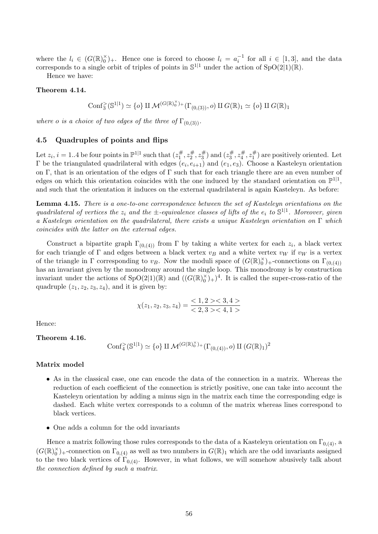where the  $l_i \in (G(\mathbb{R})_0^{\times})_+$ . Hence one is forced to choose  $l_i = a_i^{-1}$  for all  $i \in [1,3]$ , and the data corresponds to a single orbit of triples of points in  $\mathbb{S}^{1|1}$  under the action of  $SpO(2|1)(\mathbb{R})$ .

Hence we have:

#### Theorem 4.14.

$$
\mathrm{Conf}_3^{\geq}(\mathbb{S}^{1|1}) \simeq \{o\} \amalg \mathcal{M}^{(G(\mathbb{R})_0^{\times})_+}(\Gamma_{(0,(3))}, o) \amalg G(\mathbb{R})_1 \simeq \{o\} \amalg G(\mathbb{R})_1
$$

where o is a choice of two edges of the three of  $\Gamma_{(0,(3))}$ .

#### 4.5 Quadruples of points and flips

Let  $z_i$ ,  $i = 1..4$  be four points in  $\mathbb{P}^{1|1}$  such that  $(z_1^{\#})$  $z_1^{\#}, z_2^{\#}$  $z_2^\#, z_3^\#$  $(z_3^\#)$  and  $(z_3^\#)$  $z_3^\#, z_4^\#$  $z_4^{\#}, z_1^{\#}$  $j_1^{\#}$  are positively oriented. Let  $\Gamma$  be the triangulated quadrilateral with edges  $(e_i, e_{i+1})$  and  $(e_1, e_3)$ . Choose a Kasteleyn orientation on Γ, that is an orientation of the edges of Γ such that for each triangle there are an even number of edges on which this orientation coincides with the one induced by the standard orientation on  $\mathbb{P}^{1|1}$ , and such that the orientation it induces on the external quadrilateral is again Kasteleyn. As before:

Lemma 4.15. There is a one-to-one correspondence between the set of Kasteleyn orientations on the quadrilateral of vertices the  $z_i$  and the  $\pm$ -equivalence classes of lifts of the  $e_i$  to  $\mathbb{S}^{1|1}$ . Moreover, given a Kasteleyn orientation on the quadrilateral, there exists a unique Kasteleyn orientation on Γ which coincides with the latter on the external edges.

Construct a bipartite graph  $\Gamma_{(0,(4))}$  from  $\Gamma$  by taking a white vertex for each  $z_i$ , a black vertex for each triangle of  $\Gamma$  and edges between a black vertex  $v_B$  and a white vertex  $v_W$  if  $v_W$  is a vertex of the triangle in  $\Gamma$  corresponding to  $v_B$ . Now the moduli space of  $(G(\mathbb{R})_0^{\times})_+$ -connections on  $\Gamma_{(0,(4))}$ has an invariant given by the monodromy around the single loop. This monodromy is by construction invariant under the actions of  $SpO(2|1)(\mathbb{R})$  and  $((G(\mathbb{R})_0^{\times})_+)^4$ . It is called the super-cross-ratio of the quadruple  $(z_1, z_2, z_3, z_4)$ , and it is given by:

$$
\chi(z_1, z_2, z_3, z_4) = \frac{<1, 2> <3, 4>}{<2, 3> <4, 1>}
$$

Hence:

Theorem 4.16.

$$
\mathrm{Conf}_4^>(\mathbb{S}^{1|1}) \simeq \{o\} \amalg \mathcal{M}^{(G(\mathbb{R})_0^\times)_{+}}(\Gamma_{(0,(4))}, o) \amalg (G(\mathbb{R})_1)^2
$$

#### Matrix model

- As in the classical case, one can encode the data of the connection in a matrix. Whereas the reduction of each coefficient of the connection is strictly positive, one can take into account the Kasteleyn orientation by adding a minus sign in the matrix each time the corresponding edge is dashed. Each white vertex corresponds to a column of the matrix whereas lines correspond to black vertices.
- One adds a column for the odd invariants

Hence a matrix following those rules corresponds to the data of a Kasteleyn orientation on  $\Gamma_{0,(4)}$ , a  $(G(\mathbb{R})_0^\times)_+$ -connection on  $\Gamma_{0,(4)}$  as well as two numbers in  $G(\mathbb{R})_1$  which are the odd invariants assigned to the two black vertices of  $\Gamma_{0,(4)}$ . However, in what follows, we will somehow abusively talk about the connection defined by such a matrix.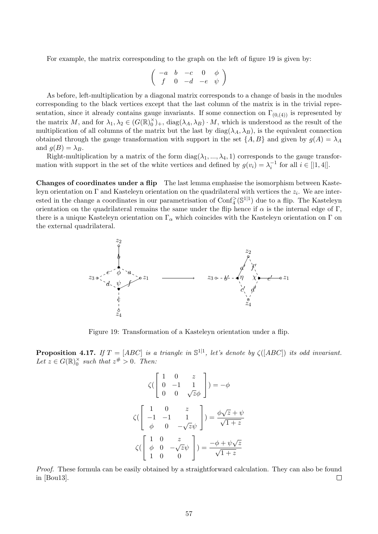For example, the matrix corresponding to the graph on the left of figure 19 is given by:

$$
\left(\begin{array}{cccc} -a & b & -c & 0 & \phi \\ f & 0 & -d & -e & \psi \end{array}\right)
$$

As before, left-multiplication by a diagonal matrix corresponds to a change of basis in the modules corresponding to the black vertices except that the last column of the matrix is in the trivial representation, since it already contains gauge invariants. If some connection on  $\Gamma_{(0,(4))}$  is represented by the matrix M, and for  $\lambda_1, \lambda_2 \in (G(\mathbb{R})_0^{\times})_+$ ,  $\text{diag}(\lambda_A, \lambda_B) \cdot M$ , which is understood as the result of the multiplication of all columns of the matrix but the last by  $diag(\lambda_A, \lambda_B)$ , is the equivalent connection obtained through the gauge transformation with support in the set  $\{A, B\}$  and given by  $g(A) = \lambda_A$ and  $g(B) = \lambda_B$ .

Right-multiplication by a matrix of the form  $diag(\lambda_1, ..., \lambda_4, 1)$  corresponds to the gauge transformation with support in the set of the white vertices and defined by  $g(v_i) = \lambda_i^{-1}$  for all  $i \in [|1, 4|]$ .

Changes of coordinates under a flip The last lemma emphasise the isomorphism between Kasteleyn orientation on  $\Gamma$  and Kasteleyn orientation on the quadrilateral with vertices the  $z_i$ . We are interested in the change a coordinates in our parametrisation of  $\text{Conf}_{4}^{\ge}(\mathbb{S}^{1|1})$  due to a flip. The Kasteleyn orientation on the quadrilateral remains the same under the flip hence if  $\alpha$  is the internal edge of Γ, there is a unique Kasteleyn orientation on  $\Gamma_\alpha$  which coincides with the Kasteleyn orientation on  $\Gamma$  on the external quadrilateral.



Figure 19: Transformation of a Kasteleyn orientation under a flip.

**Proposition 4.17.** If  $T = [ABC]$  is a triangle in  $\mathbb{S}^{1|1}$ , let's denote by  $\zeta([ABC])$  its odd invariant. Let  $z \in G(\mathbb{R})_0^{\times}$  such that  $z^{\#} > 0$ . Then:

$$
\zeta\begin{pmatrix} 1 & 0 & z \\ 0 & -1 & 1 \\ 0 & 0 & \sqrt{z}\phi \end{pmatrix} = -\phi
$$

$$
\zeta\begin{pmatrix} 1 & 0 & z \\ -1 & -1 & 1 \\ \phi & 0 & -\sqrt{z}\psi \end{pmatrix} = \frac{\phi\sqrt{z} + \psi}{\sqrt{1 + z}}
$$

$$
\zeta\begin{pmatrix} 1 & 0 & z \\ \phi & 0 & -\sqrt{z}\psi \\ 1 & 0 & 0 \end{pmatrix} = \frac{-\phi + \psi\sqrt{z}}{\sqrt{1 + z}}
$$

Proof. These formula can be easily obtained by a straightforward calculation. They can also be found in [Bou13].  $\Box$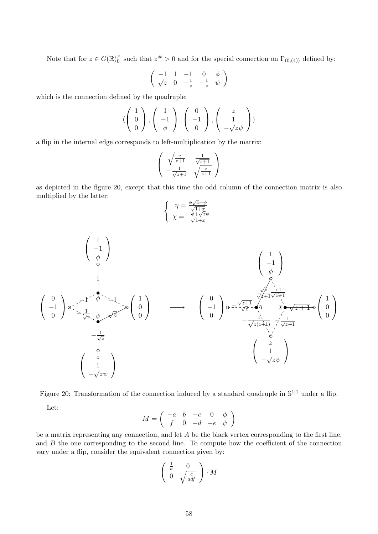Note that for  $z \in G(\mathbb{R})_0^{\times}$  such that  $z^{\#} > 0$  and for the special connection on  $\Gamma_{(0,(4))}$  defined by:

$$
\left(\begin{array}{ccc} -1 & 1 & -1 & 0 & \phi \\ \sqrt{z} & 0 & -\frac{1}{z} & -\frac{1}{z} & \psi \end{array}\right)
$$

which is the connection defined by the quadruple:

$$
(\begin{pmatrix} 1 \\ 0 \\ 0 \end{pmatrix}, \begin{pmatrix} 1 \\ -1 \\ \phi \end{pmatrix}, \begin{pmatrix} 0 \\ -1 \\ 0 \end{pmatrix}, \begin{pmatrix} z \\ 1 \\ -\sqrt{z}\psi \end{pmatrix})
$$

a flip in the internal edge corresponds to left-multiplication by the matrix:

$$
\begin{pmatrix}\n\sqrt{\frac{z}{z+1}} & \frac{1}{\sqrt{z+1}} \\
-\frac{1}{\sqrt{z+1}} & \sqrt{\frac{z}{z+1}}\n\end{pmatrix}
$$

as depicted in the figure 20, except that this time the odd column of the connection matrix is also multiplied by the latter: √

$$
\begin{cases} \eta = \frac{\phi\sqrt{z} + \psi}{\sqrt{1+x}}\\ \chi = \frac{-\phi + \sqrt{z}\psi}{\sqrt{1+x}} \end{cases}
$$



Figure 20: Transformation of the connection induced by a standard quadruple in  $\mathbb{S}^{1|1}$  under a flip.

Let:

$$
M = \left( \begin{array}{cccc} -a & b & -c & 0 & \phi \\ f & 0 & -d & -e & \psi \end{array} \right)
$$

be a matrix representing any connection, and let A be the black vertex corresponding to the first line, and  $B$  the one corresponding to the second line. To compute how the coefficient of the connection vary under a flip, consider the equivalent connection given by:

$$
\left(\begin{array}{cc} \frac{1}{a} & 0\\ 0 & \sqrt{\frac{c}{adf}} \end{array}\right) \cdot M
$$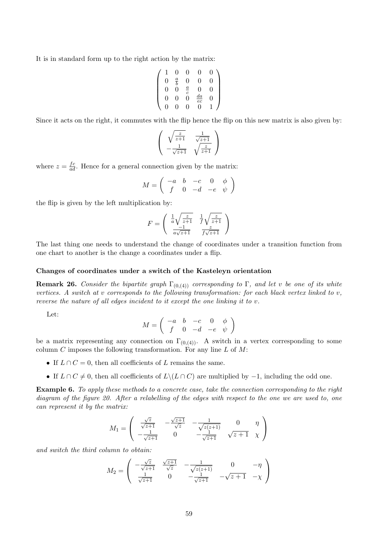It is in standard form up to the right action by the matrix:

$$
\left(\n\begin{array}{cccccc}\n1 & 0 & 0 & 0 & 0 \\
0 & \frac{a}{b} & 0 & 0 & 0 \\
0 & 0 & \frac{a}{c} & 0 & 0 \\
0 & 0 & 0 & \frac{da}{ec} & 0 \\
0 & 0 & 0 & 0 & 1\n\end{array}\n\right)
$$

Since it acts on the right, it commutes with the flip hence the flip on this new matrix is also given by:

$$
\begin{pmatrix}\n\sqrt{\frac{z}{z+1}} & \frac{1}{\sqrt{z+1}} \\
-\frac{1}{\sqrt{z+1}} & \sqrt{\frac{z}{z+1}}\n\end{pmatrix}
$$

where  $z = \frac{fc}{ad}$ . Hence for a general connection given by the matrix:

$$
M = \left( \begin{array}{rrr} -a & b & -c & 0 & \phi \\ f & 0 & -d & -e & \psi \end{array} \right)
$$

the flip is given by the left multiplication by:

$$
F=\left(\begin{array}{cc} \frac{1}{a}\sqrt{\frac{z}{z+1}} & \frac{1}{f}\sqrt{\frac{z}{z+1}} \\ \frac{-1}{a\sqrt{z+1}} & \frac{z}{f\sqrt{z+1}} \end{array}\right)
$$

The last thing one needs to understand the change of coordinates under a transition function from one chart to another is the change a coordinates under a flip.

#### Changes of coordinates under a switch of the Kasteleyn orientation

**Remark 26.** Consider the bipartite graph  $\Gamma_{(0,(4))}$  corresponding to Γ, and let v be one of its white vertices. A switch at v corresponds to the following transformation: for each black vertex linked to v, reverse the nature of all edges incident to it except the one linking it to v.

Let:

$$
M = \left( \begin{array}{cccc} -a & b & -c & 0 & \phi \\ f & 0 & -d & -e & \psi \end{array} \right)
$$

be a matrix representing any connection on  $\Gamma_{(0,(4))}$ . A switch in a vertex corresponding to some column  $C$  imposes the following transformation. For any line  $L$  of  $M$ :

- If  $L \cap C = 0$ , then all coefficients of L remains the same.
- If  $L \cap C \neq 0$ , then all coefficients of  $L \setminus (L \cap C)$  are multiplied by  $-1$ , including the odd one.

Example 6. To apply these methods to a concrete case, take the connection corresponding to the right diagram of the figure 20. After a relabelling of the edges with respect to the one we are used to, one can represent it by the matrix:

$$
M_1 = \begin{pmatrix} \frac{\sqrt{z}}{\sqrt{z+1}} & -\frac{\sqrt{z+1}}{\sqrt{z}} & -\frac{1}{\sqrt{z(z+1)}} & 0 & \eta \\ -\frac{1}{\sqrt{z+1}} & 0 & -\frac{1}{\sqrt{z+1}} & \sqrt{z+1} & \chi \end{pmatrix}
$$

and switch the third column to obtain:

$$
M_2 = \begin{pmatrix} -\frac{\sqrt{z}}{\sqrt{z+1}} & \frac{\sqrt{z+1}}{\sqrt{z}} & -\frac{1}{\sqrt{z(z+1)}} & 0 & -\eta \\ \frac{1}{\sqrt{z+1}} & 0 & -\frac{1}{\sqrt{z+1}} & -\sqrt{z+1} & -\chi \end{pmatrix}
$$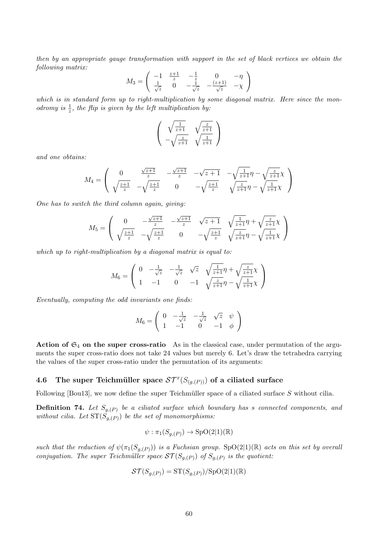then by an appropriate gauge transformation with support in the set of black vertices we obtain the following matrix:

$$
M_3 = \begin{pmatrix} -1 & \frac{z+1}{z} & -\frac{1}{z} & 0 & -\eta \\ \frac{1}{\sqrt{z}} & 0 & -\frac{1}{\sqrt{z}} & -\frac{(z+1)}{\sqrt{z}} & -\chi \end{pmatrix}
$$

which is in standard form up to right-multiplication by some diagonal matrix. Here since the monodromy is  $\frac{1}{z}$ , the flip is given by the left multiplication by:

$$
\begin{pmatrix}\n\sqrt{\frac{1}{z+1}} & \sqrt{\frac{z}{z+1}} \\
-\sqrt{\frac{z}{z+1}} & \sqrt{\frac{1}{z+1}}\n\end{pmatrix}
$$

and one obtains:

$$
M_4 = \begin{pmatrix} 0 & \frac{\sqrt{z+1}}{z} & -\frac{\sqrt{z+1}}{z} & -\sqrt{z+1} & -\sqrt{\frac{1}{z+1}}\eta - \sqrt{\frac{z}{z+1}}\chi \\ \sqrt{\frac{z+1}{z}} & -\sqrt{\frac{z+1}{z}} & 0 & -\sqrt{\frac{z+1}{z}} & \sqrt{\frac{z}{z+1}}\eta - \sqrt{\frac{1}{z+1}}\chi \end{pmatrix}
$$

One has to switch the third column again, giving:

$$
M_5 = \begin{pmatrix} 0 & -\frac{\sqrt{z+1}}{z} & -\frac{\sqrt{z+1}}{z} & \sqrt{z+1} & \sqrt{\frac{1}{z+1}}\eta + \sqrt{\frac{z}{z+1}}\chi \\ \sqrt{\frac{z+1}{z}} & -\sqrt{\frac{z+1}{z}} & 0 & -\sqrt{\frac{z+1}{z}} & \sqrt{\frac{z}{z+1}}\eta - \sqrt{\frac{1}{z+1}}\chi \end{pmatrix}
$$

which up to right-multiplication by a diagonal matrix is equal to:

$$
M_6 = \begin{pmatrix} 0 & -\frac{1}{\sqrt{z}} & -\frac{1}{\sqrt{z}} & \sqrt{z} & \sqrt{\frac{1}{z+1}}\eta + \sqrt{\frac{z}{z+1}}\chi \\ 1 & -1 & 0 & -1 & \sqrt{\frac{z}{z+1}}\eta - \sqrt{\frac{1}{z+1}}\chi \end{pmatrix}
$$

Eventually, computing the odd invariants one finds:

$$
M_6 = \left(\begin{array}{ccc} 0 & -\frac{1}{\sqrt{z}} & -\frac{1}{\sqrt{z}} & \sqrt{z} & \psi \\ 1 & -1 & 0 & -1 & \phi \end{array}\right)
$$

Action of  $\mathfrak{S}_4$  on the super cross-ratio As in the classical case, under permutation of the arguments the super cross-ratio does not take 24 values but merely 6. Let's draw the tetrahedra carrying the values of the super cross-ratio under the permutation of its arguments:

# 4.6 The super Teichmüller space  $\mathcal{ST}^{x}(S_{(g,(P))})$  of a ciliated surface

Following [Bou13], we now define the super Teichmüller space of a ciliated surface  $S$  without cilia.

**Definition 74.** Let  $S_{g,(P)}$  be a ciliated surface which boundary has s connected components, and without cilia. Let  $ST(S_{g,(P)})$  be the set of monomorphisms:

$$
\psi : \pi_1(S_{g,(P)}) \to \text{SpO}(2|1)(\mathbb{R})
$$

such that the reduction of  $\psi(\pi_1(S_{g,(P)}))$  is a Fuchsian group. SpO(2|1)(R) acts on this set by overall conjugation. The super Teichmüller space  $ST(S_{g,(P)})$  of  $S_{g,(P)}$  is the quotient:

$$
\mathcal{ST}(S_{g,(P)}) = \mathrm{ST}(S_{g,(P)})/\mathrm{SpO}(2|1)(\mathbb{R})
$$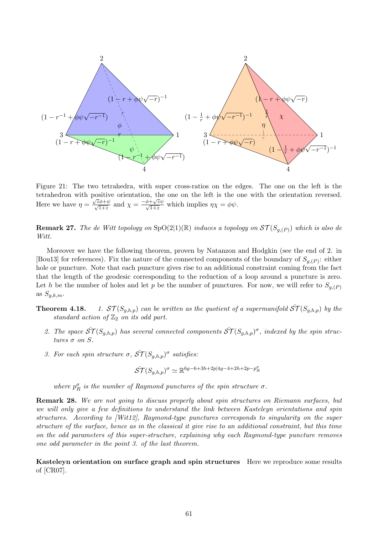

Figure 21: The two tetrahedra, with super cross-ratios on the edges. The one on the left is the tetrahedron with positive orientation, the one on the left is the one with the orientation reversed. Here we have  $\eta =$ bositive orientation, the one on the left is the  $\sqrt{\frac{z\phi+\psi}{\sqrt{1+z}}}$  and  $\chi = \frac{-\phi+\sqrt{z}\psi}{\sqrt{1+z}}$  which implies  $\eta\chi = \phi\psi$ .

**Remark 27.** The de Witt topology on  $SpO(2|1)(\mathbb{R})$  induces a topology on  $ST(S_{g,(P)})$  which is also de Witt.

Moreover we have the following theorem, proven by Natanzon and Hodgkin (see the end of 2. in [Bou13] for references). Fix the nature of the connected components of the boundary of  $S_{g,(P)}$ : either hole or puncture. Note that each puncture gives rise to an additional constraint coming from the fact that the length of the geodesic corresponding to the reduction of a loop around a puncture is zero. Let h be the number of holes and let p be the number of punctures. For now, we will refer to  $S_{g,(P)}$ as  $S_{g,k,m}$ .

**Theorem 4.18.** 1.  $ST(S_{g,h,p})$  can be written as the quotient of a supermanifold  $\hat{ST}(S_{g,h,p})$  by the standard action of  $\mathbb{Z}_2$  on its odd part.

- 2. The space  $\hat{ST}(S_{g,h,p})$  has several connected components  $\hat{ST}(S_{g,h,p})^{\sigma}$ , indexed by the spin structures  $\sigma$  on  $S$ .
- 3. For each spin structure  $\sigma$ ,  $\hat{ST}(S_{g,h,p})^{\sigma}$  satisfies:

$$
\hat{ST}(S_{g,h,p})^{\sigma} \simeq \mathbb{R}^{6g-6+3h+2p|4g-4+2h+2p-p_{R}^{\sigma}}
$$

where  $p_R^{\sigma}$  is the number of Raymond punctures of the spin structure  $\sigma$ .

Remark 28. We are not going to discuss properly about spin structures on Riemann surfaces, but we will only give a few definitions to understand the link between Kasteleyn orientations and spin structures. According to [Wit12], Raymond-type punctures corresponds to singularity on the super structure of the surface, hence as in the classical it give rise to an additional constraint, but this time on the odd parameters of this super-structure, explaining why each Raymond-type puncture removes one odd parameter in the point 3. of the last theorem.

Kasteleyn orientation on surface graph and spin structures Here we reproduce some results of [CR07].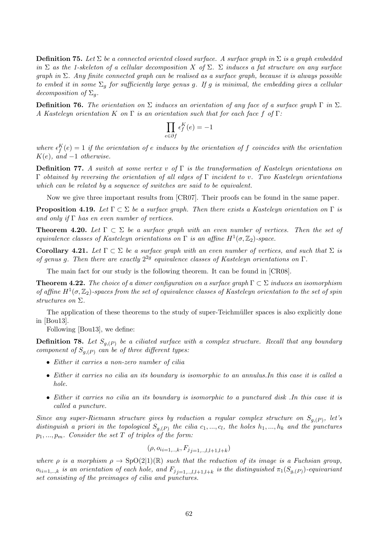**Definition 75.** Let  $\Sigma$  be a connected oriented closed surface. A surface graph in  $\Sigma$  is a graph embedded in  $\Sigma$  as the 1-skeleton of a cellular decomposition X of  $\Sigma$ .  $\Sigma$  induces a fat structure on any surface graph in  $\Sigma$ . Any finite connected graph can be realised as a surface graph, because it is always possible to embed it in some  $\Sigma_q$  for sufficiently large genus g. If g is minimal, the embedding gives a cellular decomposition of  $\Sigma_q$ .

**Definition 76.** The orientation on  $\Sigma$  induces an orientation of any face of a surface graph  $\Gamma$  in  $\Sigma$ . A Kasteleyn orientation K on  $\Gamma$  is an orientation such that for each face f of  $\Gamma$ :

$$
\prod_{e \in \partial f} \epsilon_f^K(e) = -1
$$

where  $\epsilon_f^K(e) = 1$  if the orientation of e induces by the orientation of f coincides with the orientation  $K(e)$ , and  $-1$  otherwise.

**Definition 77.** A switch at some vertex v of  $\Gamma$  is the transformation of Kasteleyn orientations on  $Γ$  obtained by reversing the orientation of all edges of Γ incident to v. Two Kasteleyn orientations which can be related by a sequence of switches are said to be equivalent.

Now we give three important results from [CR07]. Their proofs can be found in the same paper.

**Proposition 4.19.** Let  $\Gamma \subset \Sigma$  be a surface graph. Then there exists a Kasteleyn orientation on  $\Gamma$  is and only if  $\Gamma$  has en even number of vertices.

**Theorem 4.20.** Let  $\Gamma \subset \Sigma$  be a surface graph with an even number of vertices. Then the set of equivalence classes of Kasteleyn orientations on  $\Gamma$  is an affine  $H^1(\sigma, \mathbb{Z}_2)$ -space.

Corollary 4.21. Let  $\Gamma \subset \Sigma$  be a surface graph with an even number of vertices, and such that  $\Sigma$  is of genus g. Then there are exactly  $2^{2g}$  equivalence classes of Kasteleyn orientations on  $\Gamma$ .

The main fact for our study is the following theorem. It can be found in [CR08].

**Theorem 4.22.** The choice of a dimer configuration on a surface graph  $\Gamma \subset \Sigma$  induces an isomorphism of affine  $H^1(\sigma, \mathbb{Z}_2)$ -spaces from the set of equivalence classes of Kasteleyn orientation to the set of spin structures on Σ.

The application of these theorems to the study of super-Teichmüller spaces is also explicitly done in [Bou13].

Following [Bou13], we define:

**Definition 78.** Let  $S_{g,(P)}$  be a ciliated surface with a complex structure. Recall that any boundary component of  $S_{a(P)}$  can be of three different types:

- Either it carries a non-zero number of cilia
- Either it carries no cilia an its boundary is isomorphic to an annulus.In this case it is called a hole.
- Either it carries no cilia an its boundary is isomorphic to a punctured disk .In this case it is called a puncture.

Since any super-Riemann structure gives by reduction a regular complex structure on  $S_{g,(P)}$ , let's distinguish a priori in the topological  $S_{g,(P)}$  the cilia  $c_1, ..., c_l$ , the holes  $h_1, ..., h_k$  and the punctures  $p_1, \ldots, p_m$ . Consider the set T of triples of the form:

$$
(\rho, o_{i} = 1, \ldots, k, F_{j} = 1, \ldots, l, l+1, l+k})
$$

where  $\rho$  is a morphism  $\rho \to SpO(2|1)(\mathbb{R})$  such that the reduction of its image is a Fuchsian group,  $o_{i,i=1,..,k}$  is an orientation of each hole, and  $F_{j}{}_{j=1,..,l,l+1,l+k}$  is the distinguished  $\pi_1(S_{g,(P)})$ -equivariant set consisting of the preimages of cilia and punctures.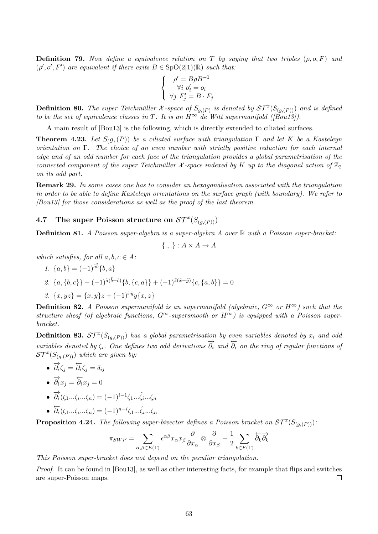**Definition 79.** Now define a equivalence relation on T by saying that two triples  $(\rho, o, F)$  and  $(\rho', \rho', F')$  are equivalent if there exits  $B \in SpO(2|1)(\mathbb{R})$  such that:

$$
\begin{cases}\n\rho' = B\rho B^{-1} \\
\forall i \ o'_i = o_i \\
\forall j \ F'_j = B \cdot F_j\n\end{cases}
$$

**Definition 80.** The super Teichmüller X-space of  $S_{g,(P)}$  is denoted by  $ST^x(S_{(g,(P))})$  and is defined to be the set of equivalence classes in T. It is an  $H^{\infty}$  de Witt supermanifold ([Bou13]).

A main result of [Bou13] is the following, which is directly extended to ciliated surfaces.

**Theorem 4.23.** Let  $S_{(g)}(P)$  be a ciliated surface with triangulation  $\Gamma$  and let K be a Kasteleyn orientation on Γ. The choice of an even number with strictly positive reduction for each internal edge and of an odd number for each face of the triangulation provides a global parametrisation of the connected component of the super Teichmüller X-space indexed by K up to the diagonal action of  $\mathbb{Z}_2$ on its odd part.

Remark 29. In some cases one has to consider an hexagonalisation associated with the triangulation in order to be able to define Kasteleyn orientations on the surface graph (with boundary). We refer to [Bou13] for those considerations as well as the proof of the last theorem.

# 4.7 The super Poisson structure on  $ST^x(S_{(g,(P))})$

**Definition 81.** A Poisson super-algebra is a super-algebra A over  $\mathbb R$  with a Poisson super-bracket:

$$
\{.,.\}:A\times A\to A
$$

which satisfies, for all  $a, b, c \in A$ :

- 1.  $\{a, b\} = (-1)^{\tilde{a}\tilde{b}} \{b, a\}$
- 2.  ${a, {b, c}} + (-1)^{\tilde{a}(\tilde{b}+\tilde{c})}{b, {c, a}} + (-1)^{\tilde{z}(\tilde{x}+\tilde{y})}{c, {a, b}} = 0$

3. 
$$
\{x, yz\} = \{x, y\}z + (-1)^{\tilde{x}\tilde{y}}y\{x, z\}
$$

**Definition 82.** A Poisson supermanifold is an supermanifold (algebraic,  $G^{\infty}$  or  $H^{\infty}$ ) such that the structure sheaf (of algebraic functions,  $G^{\infty}$ -supersmooth or  $H^{\infty}$ ) is equipped with a Poisson superbracket.

**Definition 83.**  $ST^x(S_{(g,(P))})$  has a global parametrisation by even variables denoted by  $x_i$  and odd variables denoted by  $\zeta_i$ . One defines two odd derivations  $\overrightarrow{\partial_i}$  and  $\overleftarrow{\partial_i}$  on the ring of regular functions of  $ST^x(S_{(g,(P))})$  which are given by:

$$
\bullet \ \overrightarrow{\partial_i} \zeta_j = \overleftarrow{\partial_i} \zeta_j = \delta_{ij}
$$

$$
\bullet \ \overrightarrow{\partial_i} x_j = \overleftarrow{\partial_i} x_j = 0
$$

- $\overrightarrow{\partial_i}(\zeta_1...\zeta_i...\zeta_n) = (-1)^{i-1}\zeta_1...\hat{\zeta}_i...\zeta_n$
- $\overleftarrow{\partial_i}(\zeta_1...\zeta_i...\zeta_n) = (-1)^{n-i}\zeta_1...\hat{\zeta}_i...\zeta_n$

**Proposition 4.24.** The following super-bivector defines a Poisson bracket on  $ST^x(S_{(g,(P))})$ .

$$
\pi_{SWP} = \sum_{\alpha,\beta \in E(\Gamma)} \epsilon^{\alpha\beta} x_{\alpha} x_{\beta} \frac{\partial}{\partial x_{\alpha}} \otimes \frac{\partial}{\partial x_{\beta}} - \frac{1}{2} \sum_{k \in F(\Gamma)} \overleftarrow{\partial_k} \overrightarrow{\partial_k}
$$

This Poisson super-bracket does not depend on the peculiar triangulation.

Proof. It can be found in [Bou13], as well as other interesting facts, for example that flips and switches are super-Poisson maps.  $\Box$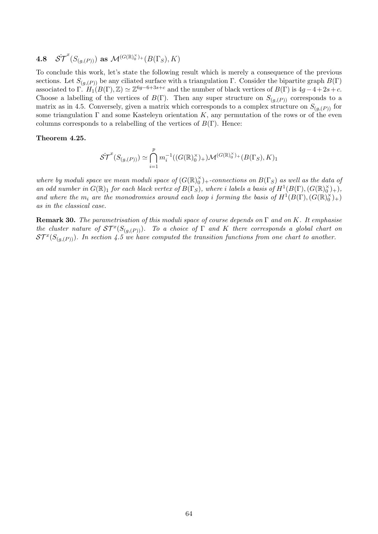4.8 
$$
\hat{ST}^x(S_{(g,(P))})
$$
 as  $\mathcal{M}^{(G(\mathbb{R})_0^\times)+}(B(\Gamma_S),K)$ 

To conclude this work, let's state the following result which is merely a consequence of the previous sections. Let  $S_{(g,(P))}$  be any ciliated surface with a triangulation Γ. Consider the bipartite graph  $B(\Gamma)$ associated to  $\Gamma$ .  $H_1(B(\Gamma), \mathbb{Z}) \simeq \mathbb{Z}^{6g-6+3s+c}$  and the number of black vertices of  $B(\Gamma)$  is  $4g-4+2s+c$ . Choose a labelling of the vertices of  $B(\Gamma)$ . Then any super structure on  $S_{(q,(P))}$  corresponds to a matrix as in 4.5. Conversely, given a matrix which corresponds to a complex structure on  $S_{(q,(P))}$  for some triangulation  $\Gamma$  and some Kasteleyn orientation K, any permutation of the rows or of the even columns corresponds to a relabelling of the vertices of  $B(\Gamma)$ . Hence:

#### Theorem 4.25.

$$
\hat{ST}^{x}(S_{(g,(P))}) \simeq \bigcap_{i=1}^{p} m_i^{-1}((G(\mathbb{R})_0^{\times})_{+})\mathcal{M}^{(G(\mathbb{R})_0^{\times})_{+}}(B(\Gamma_S), K)_1
$$

where by moduli space we mean moduli space of  $(G(\mathbb{R})_0^{\times})_+$ -connections on  $B(\Gamma_S)$  as well as the data of an odd number in  $G(\mathbb{R})_1$  for each black vertex of  $B(\Gamma_S)$ , where i labels a basis of  $H^1(B(\Gamma), (G(\mathbb{R})_0^\times)_+)$ , and where the m<sub>i</sub> are the monodromies around each loop i forming the basis of  $H^1(B(\Gamma), (G(\mathbb{R})_0^\times)_+)$ as in the classical case.

**Remark 30.** The parametrisation of this moduli space of course depends on  $\Gamma$  and on K. It emphasise the cluster nature of  $ST^x(S_{(g,(P))})$ . To a choice of  $\Gamma$  and  $K$  there corresponds a global chart on  $ST^x(S_{(g,(P))})$ . In section 4.5 we have computed the transition functions from one chart to another.